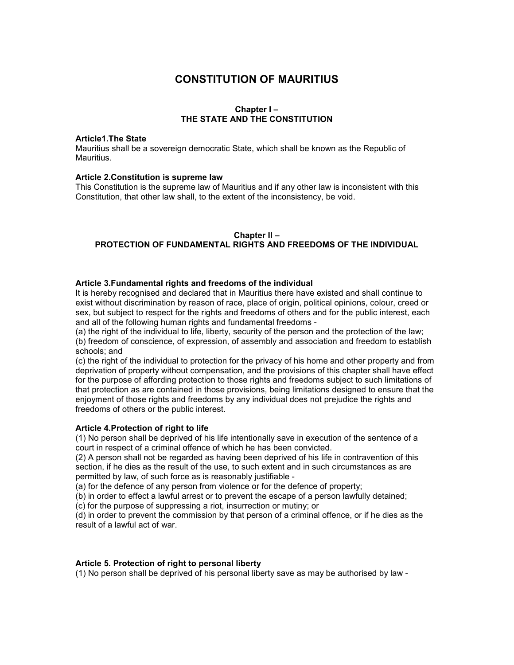# **CONSTITUTION OF MAURITIUS**

### **Chapter I – THE STATE AND THE CONSTITUTION**

### **Article1.The State**

Mauritius shall be a sovereign democratic State, which shall be known as the Republic of Mauritius.

### **Article 2.Constitution is supreme law**

This Constitution is the supreme law of Mauritius and if any other law is inconsistent with this Constitution, that other law shall, to the extent of the inconsistency, be void.

## **Chapter II – PROTECTION OF FUNDAMENTAL RIGHTS AND FREEDOMS OF THE INDIVIDUAL**

## **Article 3.Fundamental rights and freedoms of the individual**

It is hereby recognised and declared that in Mauritius there have existed and shall continue to exist without discrimination by reason of race, place of origin, political opinions, colour, creed or sex, but subject to respect for the rights and freedoms of others and for the public interest, each and all of the following human rights and fundamental freedoms -

(a) the right of the individual to life, liberty, security of the person and the protection of the law;

(b) freedom of conscience, of expression, of assembly and association and freedom to establish schools; and

(c) the right of the individual to protection for the privacy of his home and other property and from deprivation of property without compensation, and the provisions of this chapter shall have effect for the purpose of affording protection to those rights and freedoms subject to such limitations of that protection as are contained in those provisions, being limitations designed to ensure that the enjoyment of those rights and freedoms by any individual does not prejudice the rights and freedoms of others or the public interest.

### **Article 4.Protection of right to life**

(1) No person shall be deprived of his life intentionally save in execution of the sentence of a court in respect of a criminal offence of which he has been convicted.

(2) A person shall not be regarded as having been deprived of his life in contravention of this section, if he dies as the result of the use, to such extent and in such circumstances as are permitted by law, of such force as is reasonably justifiable -

(a) for the defence of any person from violence or for the defence of property;

(b) in order to effect a lawful arrest or to prevent the escape of a person lawfully detained;

(c) for the purpose of suppressing a riot, insurrection or mutiny; or

(d) in order to prevent the commission by that person of a criminal offence, or if he dies as the result of a lawful act of war.

## **Article 5. Protection of right to personal liberty**

(1) No person shall be deprived of his personal liberty save as may be authorised by law -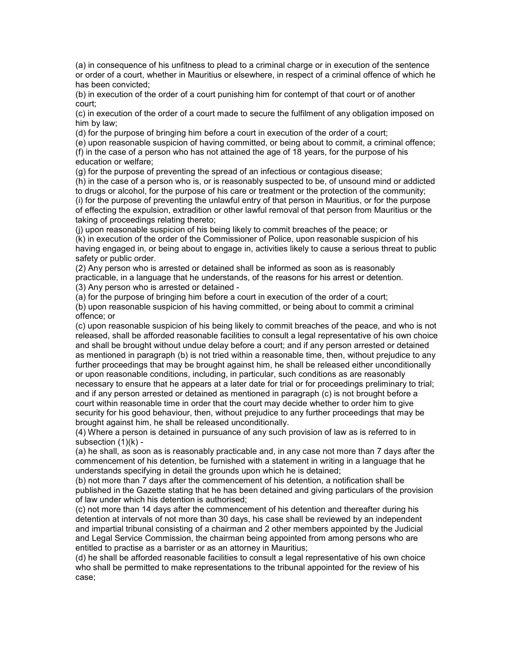(a) in consequence of his unfitness to plead to a criminal charge or in execution of the sentence or order of a court, whether in Mauritius or elsewhere, in respect of a criminal offence of which he has been convicted;

(b) in execution of the order of a court punishing him for contempt of that court or of another court;

(c) in execution of the order of a court made to secure the fulfilment of any obligation imposed on him by law;

(d) for the purpose of bringing him before a court in execution of the order of a court;

(e) upon reasonable suspicion of having committed, or being about to commit, a criminal offence; (f) in the case of a person who has not attained the age of 18 years, for the purpose of his education or welfare;

(g) for the purpose of preventing the spread of an infectious or contagious disease;

(h) in the case of a person who is, or is reasonably suspected to be, of unsound mind or addicted to drugs or alcohol, for the purpose of his care or treatment or the protection of the community; (i) for the purpose of preventing the unlawful entry of that person in Mauritius, or for the purpose of effecting the expulsion, extradition or other lawful removal of that person from Mauritius or the taking of proceedings relating thereto;

(j) upon reasonable suspicion of his being likely to commit breaches of the peace; or

(k) in execution of the order of the Commissioner of Police, upon reasonable suspicion of his having engaged in, or being about to engage in, activities likely to cause a serious threat to public safety or public order.

(2) Any person who is arrested or detained shall be informed as soon as is reasonably practicable, in a language that he understands, of the reasons for his arrest or detention. (3) Any person who is arrested or detained -

(a) for the purpose of bringing him before a court in execution of the order of a court;

(b) upon reasonable suspicion of his having committed, or being about to commit a criminal offence; or

(c) upon reasonable suspicion of his being likely to commit breaches of the peace, and who is not released, shall be afforded reasonable facilities to consult a legal representative of his own choice and shall be brought without undue delay before a court; and if any person arrested or detained as mentioned in paragraph (b) is not tried within a reasonable time, then, without prejudice to any further proceedings that may be brought against him, he shall be released either unconditionally or upon reasonable conditions, including, in particular, such conditions as are reasonably necessary to ensure that he appears at a later date for trial or for proceedings preliminary to trial; and if any person arrested or detained as mentioned in paragraph (c) is not brought before a court within reasonable time in order that the court may decide whether to order him to give security for his good behaviour, then, without prejudice to any further proceedings that may be brought against him, he shall be released unconditionally.

(4) Where a person is detained in pursuance of any such provision of law as is referred to in subsection  $(1)(k)$  -

(a) he shall, as soon as is reasonably practicable and, in any case not more than 7 days after the commencement of his detention, be furnished with a statement in writing in a language that he understands specifying in detail the grounds upon which he is detained;

(b) not more than 7 days after the commencement of his detention, a notification shall be published in the Gazette stating that he has been detained and giving particulars of the provision of law under which his detention is authorised;

(c) not more than 14 days after the commencement of his detention and thereafter during his detention at intervals of not more than 30 days, his case shall be reviewed by an independent and impartial tribunal consisting of a chairman and 2 other members appointed by the Judicial and Legal Service Commission, the chairman being appointed from among persons who are entitled to practise as a barrister or as an attorney in Mauritius;

(d) he shall be afforded reasonable facilities to consult a legal representative of his own choice who shall be permitted to make representations to the tribunal appointed for the review of his case;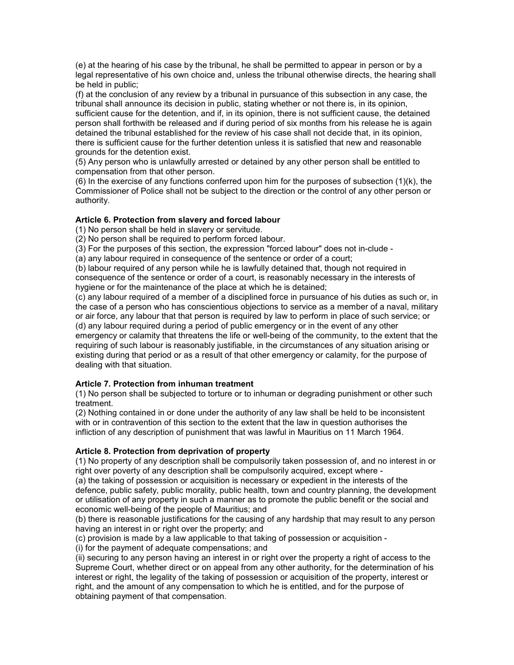(e) at the hearing of his case by the tribunal, he shall be permitted to appear in person or by a legal representative of his own choice and, unless the tribunal otherwise directs, the hearing shall be held in public;

(f) at the conclusion of any review by a tribunal in pursuance of this subsection in any case, the tribunal shall announce its decision in public, stating whether or not there is, in its opinion, sufficient cause for the detention, and if, in its opinion, there is not sufficient cause, the detained person shall forthwith be released and if during period of six months from his release he is again detained the tribunal established for the review of his case shall not decide that, in its opinion, there is sufficient cause for the further detention unless it is satisfied that new and reasonable grounds for the detention exist.

(5) Any person who is unlawfully arrested or detained by any other person shall be entitled to compensation from that other person.

(6) In the exercise of any functions conferred upon him for the purposes of subsection (1)(k), the Commissioner of Police shall not be subject to the direction or the control of any other person or authority.

## **Article 6. Protection from slavery and forced labour**

(1) No person shall be held in slavery or servitude.

(2) No person shall be required to perform forced labour.

(3) For the purposes of this section, the expression "forced labour" does not in-clude -

(a) any labour required in consequence of the sentence or order of a court;

(b) labour required of any person while he is lawfully detained that, though not required in consequence of the sentence or order of a court, is reasonably necessary in the interests of hygiene or for the maintenance of the place at which he is detained;

(c) any labour required of a member of a disciplined force in pursuance of his duties as such or, in the case of a person who has conscientious objections to service as a member of a naval, military or air force, any labour that that person is required by law to perform in place of such service; or (d) any labour required during a period of public emergency or in the event of any other emergency or calamity that threatens the life or well-being of the community, to the extent that the requiring of such labour is reasonably justifiable, in the circumstances of any situation arising or existing during that period or as a result of that other emergency or calamity, for the purpose of dealing with that situation.

## **Article 7. Protection from inhuman treatment**

(1) No person shall be subjected to torture or to inhuman or degrading punishment or other such treatment.

(2) Nothing contained in or done under the authority of any law shall be held to be inconsistent with or in contravention of this section to the extent that the law in question authorises the infliction of any description of punishment that was lawful in Mauritius on 11 March 1964.

## **Article 8. Protection from deprivation of property**

(1) No property of any description shall be compulsorily taken possession of, and no interest in or right over poverty of any description shall be compulsorily acquired, except where -

(a) the taking of possession or acquisition is necessary or expedient in the interests of the defence, public safety, public morality, public health, town and country planning, the development or utilisation of any property in such a manner as to promote the public benefit or the social and economic well-being of the people of Mauritius; and

(b) there is reasonable justifications for the causing of any hardship that may result to any person having an interest in or right over the property; and

(c) provision is made by a law applicable to that taking of possession or acquisition -

(i) for the payment of adequate compensations; and

(ii) securing to any person having an interest in or right over the property a right of access to the Supreme Court, whether direct or on appeal from any other authority, for the determination of his interest or right, the legality of the taking of possession or acquisition of the property, interest or right, and the amount of any compensation to which he is entitled, and for the purpose of obtaining payment of that compensation.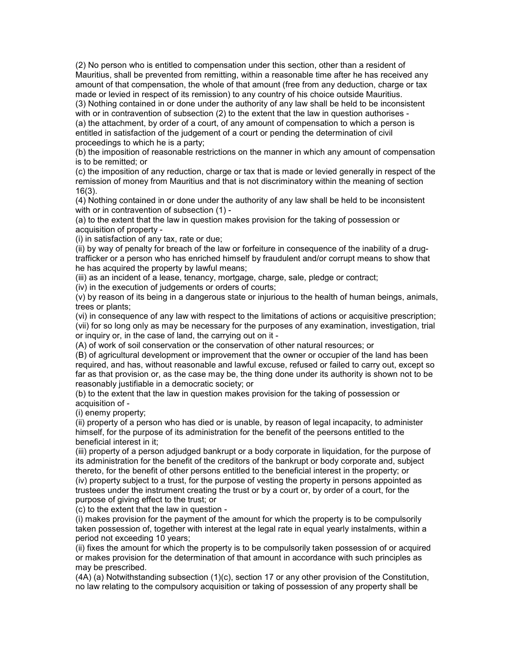(2) No person who is entitled to compensation under this section, other than a resident of Mauritius, shall be prevented from remitting, within a reasonable time after he has received any amount of that compensation, the whole of that amount (free from any deduction, charge or tax made or levied in respect of its remission) to any country of his choice outside Mauritius.

(3) Nothing contained in or done under the authority of any law shall be held to be inconsistent with or in contravention of subsection (2) to the extent that the law in question authorises - (a) the attachment, by order of a court, of any amount of compensation to which a person is entitled in satisfaction of the judgement of a court or pending the determination of civil proceedings to which he is a party;

(b) the imposition of reasonable restrictions on the manner in which any amount of compensation is to be remitted; or

(c) the imposition of any reduction, charge or tax that is made or levied generally in respect of the remission of money from Mauritius and that is not discriminatory within the meaning of section 16(3).

(4) Nothing contained in or done under the authority of any law shall be held to be inconsistent with or in contravention of subsection (1) -

(a) to the extent that the law in question makes provision for the taking of possession or acquisition of property -

(i) in satisfaction of any tax, rate or due;

(ii) by way of penalty for breach of the law or forfeiture in consequence of the inability of a drugtrafficker or a person who has enriched himself by fraudulent and/or corrupt means to show that he has acquired the property by lawful means;

(iii) as an incident of a lease, tenancy, mortgage, charge, sale, pledge or contract;

(iv) in the execution of judgements or orders of courts;

(v) by reason of its being in a dangerous state or injurious to the health of human beings, animals, trees or plants;

(vi) in consequence of any law with respect to the limitations of actions or acquisitive prescription; (vii) for so long only as may be necessary for the purposes of any examination, investigation, trial or inquiry or, in the case of land, the carrying out on it -

(A) of work of soil conservation or the conservation of other natural resources; or

(B) of agricultural development or improvement that the owner or occupier of the land has been required, and has, without reasonable and lawful excuse, refused or failed to carry out, except so far as that provision or, as the case may be, the thing done under its authority is shown not to be reasonably justifiable in a democratic society; or

(b) to the extent that the law in question makes provision for the taking of possession or acquisition of -

(i) enemy property;

(ii) property of a person who has died or is unable, by reason of legal incapacity, to administer himself, for the purpose of its administration for the benefit of the peersons entitled to the beneficial interest in it;

(iii) property of a person adjudged bankrupt or a body corporate in liquidation, for the purpose of its administration for the benefit of the creditors of the bankrupt or body corporate and, subject thereto, for the benefit of other persons entitled to the beneficial interest in the property; or (iv) property subject to a trust, for the purpose of vesting the property in persons appointed as trustees under the instrument creating the trust or by a court or, by order of a court, for the purpose of giving effect to the trust; or

(c) to the extent that the law in question -

(i) makes provision for the payment of the amount for which the property is to be compulsorily taken possession of, together with interest at the legal rate in equal yearly instalments, within a period not exceeding 10 years;

(ii) fixes the amount for which the property is to be compulsorily taken possession of or acquired or makes provision for the determination of that amount in accordance with such principles as may be prescribed.

(4A) (a) Notwithstanding subsection (1)(c), section 17 or any other provision of the Constitution, no law relating to the compulsory acquisition or taking of possession of any property shall be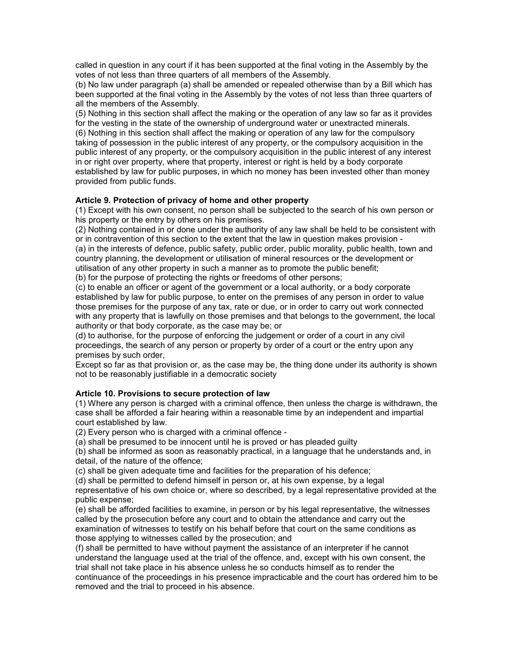called in question in any court if it has been supported at the final voting in the Assembly by the votes of not less than three quarters of all members of the Assembly.

(b) No law under paragraph (a) shall be amended or repealed otherwise than by a Bill which has been supported at the final voting in the Assembly by the votes of not less than three quarters of all the members of the Assembly.

(5) Nothing in this section shall affect the making or the operation of any law so far as it provides for the vesting in the state of the ownership of underground water or unextracted minerals.

(6) Nothing in this section shall affect the making or operation of any law for the compulsory taking of possession in the public interest of any property, or the compulsory acquisition in the public interest of any property, or the compulsory acquisition in the public interest of any interest in or right over property, where that property, interest or right is held by a body corporate established by law for public purposes, in which no money has been invested other than money provided from public funds.

## **Article 9. Protection of privacy of home and other property**

(1) Except with his own consent, no person shall be subjected to the search of his own person or his property or the entry by others on his premises.

(2) Nothing contained in or done under the authority of any law shall be held to be consistent with or in contravention of this section to the extent that the law in question makes provision -

(a) in the interests of defence, public safety, public order, public morality, public health, town and country planning, the development or utilisation of mineral resources or the development or utilisation of any other property in such a manner as to promote the public benefit;

(b) for the purpose of protecting the rights or freedoms of other persons;

(c) to enable an officer or agent of the government or a local authority, or a body corporate established by law for public purpose, to enter on the premises of any person in order to value those premises for the purpose of any tax, rate or due, or in order to carry out work connected with any property that is lawfully on those premises and that belongs to the government, the local authority or that body corporate, as the case may be; or

(d) to authorise, for the purpose of enforcing the judgement or order of a court in any civil proceedings, the search of any person or property by order of a court or the entry upon any premises by such order,

Except so far as that provision or, as the case may be, the thing done under its authority is shown not to be reasonably justifiable in a democratic society

### **Article 10. Provisions to secure protection of law**

(1) Where any person is charged with a criminal offence, then unless the charge is withdrawn, the case shall be afforded a fair hearing within a reasonable time by an independent and impartial court established by law.

(2) Every person who is charged with a criminal offence -

(a) shall be presumed to be innocent until he is proved or has pleaded guilty

(b) shall be informed as soon as reasonably practical, in a language that he understands and, in detail, of the nature of the offence;

(c) shall be given adequate time and facilities for the preparation of his defence;

(d) shall be permitted to defend himself in person or, at his own expense, by a legal

representative of his own choice or, where so described, by a legal representative provided at the public expense;

(e) shall be afforded facilities to examine, in person or by his legal representative, the witnesses called by the prosecution before any court and to obtain the attendance and carry out the examination of witnesses to testify on his behalf before that court on the same conditions as those applying to witnesses called by the prosecution; and

(f) shall be permitted to have without payment the assistance of an interpreter if he cannot understand the language used at the trial of the offence, and, except with his own consent, the trial shall not take place in his absence unless he so conducts himself as to render the continuance of the proceedings in his presence impracticable and the court has ordered him to be removed and the trial to proceed in his absence.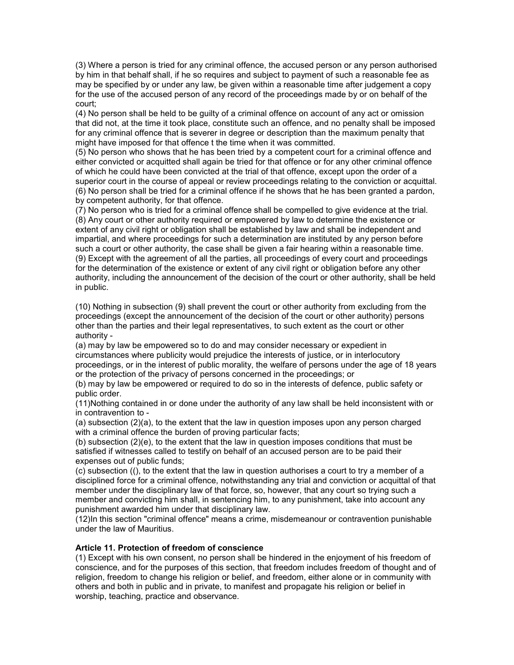(3) Where a person is tried for any criminal offence, the accused person or any person authorised by him in that behalf shall, if he so requires and subject to payment of such a reasonable fee as may be specified by or under any law, be given within a reasonable time after judgement a copy for the use of the accused person of any record of the proceedings made by or on behalf of the court;

(4) No person shall be held to be guilty of a criminal offence on account of any act or omission that did not, at the time it took place, constitute such an offence, and no penalty shall be imposed for any criminal offence that is severer in degree or description than the maximum penalty that might have imposed for that offence t the time when it was committed.

(5) No person who shows that he has been tried by a competent court for a criminal offence and either convicted or acquitted shall again be tried for that offence or for any other criminal offence of which he could have been convicted at the trial of that offence, except upon the order of a superior court in the course of appeal or review proceedings relating to the conviction or acquittal. (6) No person shall be tried for a criminal offence if he shows that he has been granted a pardon, by competent authority, for that offence.

(7) No person who is tried for a criminal offence shall be compelled to give evidence at the trial. (8) Any court or other authority required or empowered by law to determine the existence or extent of any civil right or obligation shall be established by law and shall be independent and impartial, and where proceedings for such a determination are instituted by any person before such a court or other authority, the case shall be given a fair hearing within a reasonable time. (9) Except with the agreement of all the parties, all proceedings of every court and proceedings for the determination of the existence or extent of any civil right or obligation before any other authority, including the announcement of the decision of the court or other authority, shall be held in public.

(10) Nothing in subsection (9) shall prevent the court or other authority from excluding from the proceedings (except the announcement of the decision of the court or other authority) persons other than the parties and their legal representatives, to such extent as the court or other authority -

(a) may by law be empowered so to do and may consider necessary or expedient in circumstances where publicity would prejudice the interests of justice, or in interlocutory proceedings, or in the interest of public morality, the welfare of persons under the age of 18 years or the protection of the privacy of persons concerned in the proceedings; or

(b) may by law be empowered or required to do so in the interests of defence, public safety or public order.

(11)Nothing contained in or done under the authority of any law shall be held inconsistent with or in contravention to -

(a) subsection (2)(a), to the extent that the law in question imposes upon any person charged with a criminal offence the burden of proving particular facts;

(b) subsection (2)(e), to the extent that the law in question imposes conditions that must be satisfied if witnesses called to testify on behalf of an accused person are to be paid their expenses out of public funds;

(c) subsection ((), to the extent that the law in question authorises a court to try a member of a disciplined force for a criminal offence, notwithstanding any trial and conviction or acquittal of that member under the disciplinary law of that force, so, however, that any court so trying such a member and convicting him shall, in sentencing him, to any punishment, take into account any punishment awarded him under that disciplinary law.

(12)In this section "criminal offence" means a crime, misdemeanour or contravention punishable under the law of Mauritius.

### **Article 11. Protection of freedom of conscience**

(1) Except with his own consent, no person shall be hindered in the enjoyment of his freedom of conscience, and for the purposes of this section, that freedom includes freedom of thought and of religion, freedom to change his religion or belief, and freedom, either alone or in community with others and both in public and in private, to manifest and propagate his religion or belief in worship, teaching, practice and observance.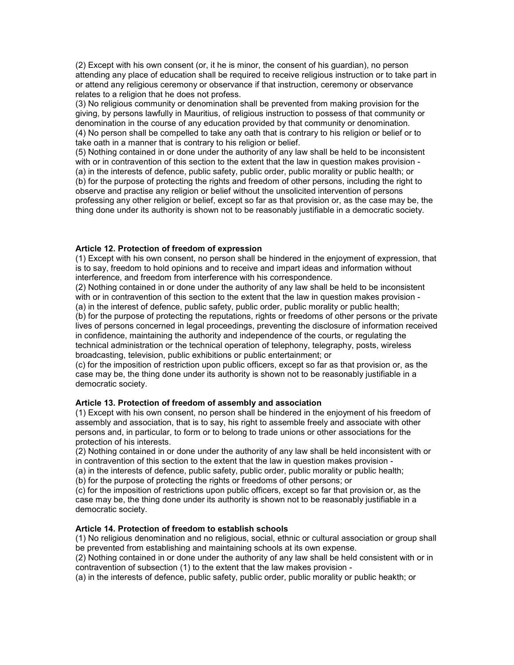(2) Except with his own consent (or, it he is minor, the consent of his guardian), no person attending any place of education shall be required to receive religious instruction or to take part in or attend any religious ceremony or observance if that instruction, ceremony or observance relates to a religion that he does not profess.

(3) No religious community or denomination shall be prevented from making provision for the giving, by persons lawfully in Mauritius, of religious instruction to possess of that community or denomination in the course of any education provided by that community or denomination. (4) No person shall be compelled to take any oath that is contrary to his religion or belief or to take oath in a manner that is contrary to his religion or belief.

(5) Nothing contained in or done under the authority of any law shall be held to be inconsistent with or in contravention of this section to the extent that the law in question makes provision -

(a) in the interests of defence, public safety, public order, public morality or public health; or (b) for the purpose of protecting the rights and freedom of other persons, including the right to observe and practise any religion or belief without the unsolicited intervention of persons professing any other religion or belief, except so far as that provision or, as the case may be, the thing done under its authority is shown not to be reasonably justifiable in a democratic society.

## **Article 12. Protection of freedom of expression**

(1) Except with his own consent, no person shall be hindered in the enjoyment of expression, that is to say, freedom to hold opinions and to receive and impart ideas and information without interference, and freedom from interference with his correspondence.

(2) Nothing contained in or done under the authority of any law shall be held to be inconsistent with or in contravention of this section to the extent that the law in question makes provision - (a) in the interest of defence, public safety, public order, public morality or public health; (b) for the purpose of protecting the reputations, rights or freedoms of other persons or the private lives of persons concerned in legal proceedings, preventing the disclosure of information received

in confidence, maintaining the authority and independence of the courts, or regulating the technical administration or the technical operation of telephony, telegraphy, posts, wireless broadcasting, television, public exhibitions or public entertainment; or

(c) for the imposition of restriction upon public officers, except so far as that provision or, as the case may be, the thing done under its authority is shown not to be reasonably justifiable in a democratic society.

### **Article 13. Protection of freedom of assembly and association**

(1) Except with his own consent, no person shall be hindered in the enjoyment of his freedom of assembly and association, that is to say, his right to assemble freely and associate with other persons and, in particular, to form or to belong to trade unions or other associations for the protection of his interests.

(2) Nothing contained in or done under the authority of any law shall be held inconsistent with or in contravention of this section to the extent that the law in question makes provision -

(a) in the interests of defence, public safety, public order, public morality or public health;

(b) for the purpose of protecting the rights or freedoms of other persons; or

(c) for the imposition of restrictions upon public officers, except so far that provision or, as the case may be, the thing done under its authority is shown not to be reasonably justifiable in a democratic society.

## **Article 14. Protection of freedom to establish schools**

(1) No religious denomination and no religious, social, ethnic or cultural association or group shall be prevented from establishing and maintaining schools at its own expense.

(2) Nothing contained in or done under the authority of any law shall be held consistent with or in contravention of subsection (1) to the extent that the law makes provision -

(a) in the interests of defence, public safety, public order, public morality or public heakth; or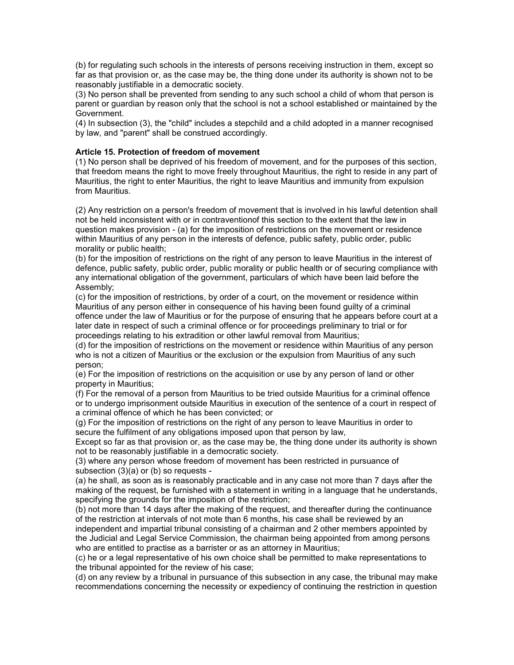(b) for regulating such schools in the interests of persons receiving instruction in them, except so far as that provision or, as the case may be, the thing done under its authority is shown not to be reasonably justifiable in a democratic society.

(3) No person shall be prevented from sending to any such school a child of whom that person is parent or guardian by reason only that the school is not a school established or maintained by the Government.

(4) In subsection (3), the "child" includes a stepchild and a child adopted in a manner recognised by law, and "parent" shall be construed accordingly.

### **Article 15. Protection of freedom of movement**

(1) No person shall be deprived of his freedom of movement, and for the purposes of this section, that freedom means the right to move freely throughout Mauritius, the right to reside in any part of Mauritius, the right to enter Mauritius, the right to leave Mauritius and immunity from expulsion from Mauritius.

(2) Any restriction on a person's freedom of movement that is involved in his lawful detention shall not be held inconsistent with or in contraventionof this section to the extent that the law in question makes provision - (a) for the imposition of restrictions on the movement or residence within Mauritius of any person in the interests of defence, public safety, public order, public morality or public health;

(b) for the imposition of restrictions on the right of any person to leave Mauritius in the interest of defence, public safety, public order, public morality or public health or of securing compliance with any international obligation of the government, particulars of which have been laid before the Assembly;

(c) for the imposition of restrictions, by order of a court, on the movement or residence within Mauritius of any person either in consequence of his having been found guilty of a criminal offence under the law of Mauritius or for the purpose of ensuring that he appears before court at a later date in respect of such a criminal offence or for proceedings preliminary to trial or for proceedings relating to his extradition or other lawful removal from Mauritius;

(d) for the imposition of restrictions on the movement or residence within Mauritius of any person who is not a citizen of Mauritius or the exclusion or the expulsion from Mauritius of any such person;

(e) For the imposition of restrictions on the acquisition or use by any person of land or other property in Mauritius;

(f) For the removal of a person from Mauritius to be tried outside Mauritius for a criminal offence or to undergo imprisonment outside Mauritius in execution of the sentence of a court in respect of a criminal offence of which he has been convicted; or

(g) For the imposition of restrictions on the right of any person to leave Mauritius in order to secure the fulfilment of any obligations imposed upon that person by law,

Except so far as that provision or, as the case may be, the thing done under its authority is shown not to be reasonably justifiable in a democratic society.

(3) where any person whose freedom of movement has been restricted in pursuance of subsection (3)(a) or (b) so requests -

(a) he shall, as soon as is reasonably practicable and in any case not more than 7 days after the making of the request, be furnished with a statement in writing in a language that he understands, specifying the grounds for the imposition of the restriction;

(b) not more than 14 days after the making of the request, and thereafter during the continuance of the restriction at intervals of not mote than 6 months, his case shall be reviewed by an

independent and impartial tribunal consisting of a chairman and 2 other members appointed by the Judicial and Legal Service Commission, the chairman being appointed from among persons who are entitled to practise as a barrister or as an attorney in Mauritius;

(c) he or a legal representative of his own choice shall be permitted to make representations to the tribunal appointed for the review of his case;

(d) on any review by a tribunal in pursuance of this subsection in any case, the tribunal may make recommendations concerning the necessity or expediency of continuing the restriction in question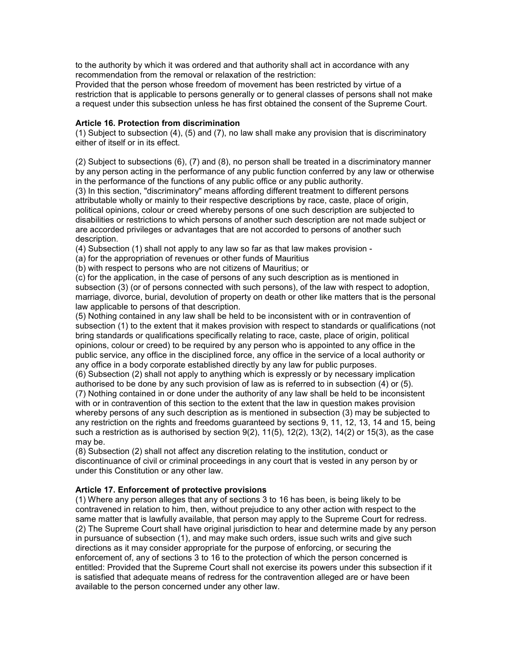to the authority by which it was ordered and that authority shall act in accordance with any recommendation from the removal or relaxation of the restriction:

Provided that the person whose freedom of movement has been restricted by virtue of a restriction that is applicable to persons generally or to general classes of persons shall not make a request under this subsection unless he has first obtained the consent of the Supreme Court.

## **Article 16. Protection from discrimination**

(1) Subject to subsection (4), (5) and (7), no law shall make any provision that is discriminatory either of itself or in its effect.

(2) Subject to subsections (6), (7) and (8), no person shall be treated in a discriminatory manner by any person acting in the performance of any public function conferred by any law or otherwise in the performance of the functions of any public office or any public authority.

(3) In this section, "discriminatory" means affording different treatment to different persons attributable wholly or mainly to their respective descriptions by race, caste, place of origin, political opinions, colour or creed whereby persons of one such description are subjected to disabilities or restrictions to which persons of another such description are not made subject or are accorded privileges or advantages that are not accorded to persons of another such description.

(4) Subsection (1) shall not apply to any law so far as that law makes provision -

(a) for the appropriation of revenues or other funds of Mauritius

(b) with respect to persons who are not citizens of Mauritius; or

(c) for the application, in the case of persons of any such description as is mentioned in subsection (3) (or of persons connected with such persons), of the law with respect to adoption, marriage, divorce, burial, devolution of property on death or other like matters that is the personal law applicable to persons of that description.

(5) Nothing contained in any law shall be held to be inconsistent with or in contravention of subsection (1) to the extent that it makes provision with respect to standards or qualifications (not bring standards or qualifications specifically relating to race, caste, place of origin, political opinions, colour or creed) to be required by any person who is appointed to any office in the public service, any office in the disciplined force, any office in the service of a local authority or any office in a body corporate established directly by any law for public purposes.

(6) Subsection (2) shall not apply to anything which is expressly or by necessary implication authorised to be done by any such provision of law as is referred to in subsection (4) or (5). (7) Nothing contained in or done under the authority of any law shall be held to be inconsistent

with or in contravention of this section to the extent that the law in question makes provision whereby persons of any such description as is mentioned in subsection (3) may be subjected to any restriction on the rights and freedoms guaranteed by sections 9, 11, 12, 13, 14 and 15, being such a restriction as is authorised by section  $9(2)$ ,  $11(5)$ ,  $12(2)$ ,  $13(2)$ ,  $14(2)$  or  $15(3)$ , as the case may be.

(8) Subsection (2) shall not affect any discretion relating to the institution, conduct or discontinuance of civil or criminal proceedings in any court that is vested in any person by or under this Constitution or any other law.

## **Article 17. Enforcement of protective provisions**

(1) Where any person alleges that any of sections 3 to 16 has been, is being likely to be contravened in relation to him, then, without prejudice to any other action with respect to the same matter that is lawfully available, that person may apply to the Supreme Court for redress. (2) The Supreme Court shall have original jurisdiction to hear and determine made by any person in pursuance of subsection (1), and may make such orders, issue such writs and give such directions as it may consider appropriate for the purpose of enforcing, or securing the enforcement of, any of sections 3 to 16 to the protection of which the person concerned is entitled: Provided that the Supreme Court shall not exercise its powers under this subsection if it is satisfied that adequate means of redress for the contravention alleged are or have been available to the person concerned under any other law.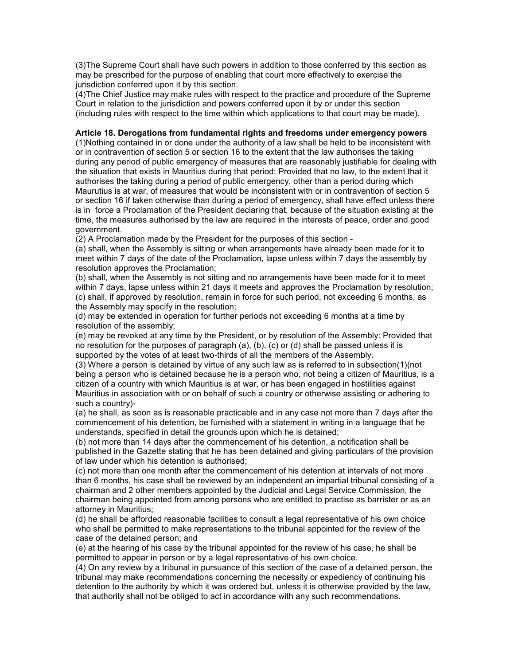(3)The Supreme Court shall have such powers in addition to those conferred by this section as may be prescribed for the purpose of enabling that court more effectively to exercise the jurisdiction conferred upon it by this section.

(4)The Chief Justice may make rules with respect to the practice and procedure of the Supreme Court in relation to the jurisdiction and powers conferred upon it by or under this section (including rules with respect to the time within which applications to that court may be made).

### **Article 18. Derogations from fundamental rights and freedoms under emergency powers**

(1)Nothing contained in or done under the authority of a law shall be held to be inconsistent with or in contravention of section 5 or section 16 to the extent that the law authorises the taking during any period of public emergency of measures that are reasonably justifiable for dealing with the situation that exists in Mauritius during that period: Provided that no law, to the extent that it authorises the taking during a period of public emergency, other than a period during which Maurutius is at war, of measures that would be inconsistent with or in contravention of section 5 or section 16 if taken otherwise than during a period of emergency, shall have effect unless there is in force a Proclamation of the President declaring that, because of the situation existing at the time, the measures authorised by the law are required in the interests of peace, order and good government.

(2) A Proclamation made by the President for the purposes of this section -

(a) shall, when the Assembly is sitting or when arrangements have already been made for it to meet within 7 days of the date of the Proclamation, lapse unless within 7 days the assembly by resolution approves the Proclamation;

(b) shall, when the Assembly is not sitting and no arrangements have been made for it to meet within 7 days, lapse unless within 21 days it meets and approves the Proclamation by resolution; (c) shall, if approved by resolution, remain in force for such period, not exceeding 6 months, as the Assembly may specify in the resolution;

(d) may be extended in operation for further periods not exceeding 6 months at a time by resolution of the assembly;

(e) may be revoked at any time by the President, or by resolution of the Assembly: Provided that no resolution for the purposes of paragraph (a), (b), (c) or (d) shall be passed unless it is supported by the votes of at least two-thirds of all the members of the Assembly.

(3) Where a person is detained by virtue of any such law as is referred to in subsection(1)(not being a person who is detained because he is a person who, not being a citizen of Mauritius, is a citizen of a country with which Mauritius is at war, or has been engaged in hostilities against Mauritius in association with or on behalf of such a country or otherwise assisting or adhering to such a country)-

(a) he shall, as soon as is reasonable practicable and in any case not more than 7 days after the commencement of his detention, be furnished with a statement in writing in a language that he understands, specified in detail the grounds upon which he is detained;

(b) not more than 14 days after the commencement of his detention, a notification shall be published in the Gazette stating that he has been detained and giving particulars of the provision of law under which his detention is authorised;

(c) not more than one month after the commencement of his detention at intervals of not more than 6 months, his case shall be reviewed by an independent an impartial tribunal consisting of a chairman and 2 other members appointed by the Judicial and Legal Service Commission, the chairman being appointed from among persons who are entitled to practise as barrister or as an attorney in Mauritius;

(d) he shall be afforded reasonable facilities to consult a legal representative of his own choice who shall be permitted to make representations to the tribunal appointed for the review of the case of the detained person; and

(e) at the hearing of his case by the tribunal appointed for the review of his case, he shall be permitted to appear in person or by a legal representative of his own choice.

(4) On any review by a tribunal in pursuance of this section of the case of a detained person, the tribunal may make recommendations concerning the necessity or expediency of continuing his detention to the authority by which it was ordered but, unless it is otherwise provided by the law, that authority shall not be obliged to act in accordance with any such recommendations.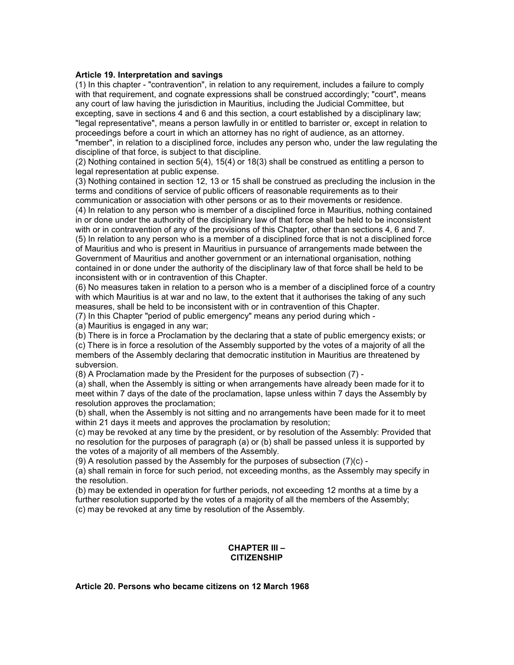#### **Article 19. Interpretation and savings**

(1) In this chapter - "contravention", in relation to any requirement, includes a failure to comply with that requirement, and cognate expressions shall be construed accordingly; "court", means any court of law having the jurisdiction in Mauritius, including the Judicial Committee, but excepting, save in sections 4 and 6 and this section, a court established by a disciplinary law; "legal representative", means a person lawfully in or entitled to barrister or, except in relation to proceedings before a court in which an attorney has no right of audience, as an attorney. "member", in relation to a disciplined force, includes any person who, under the law regulating the discipline of that force, is subject to that discipline.

(2) Nothing contained in section 5(4), 15(4) or 18(3) shall be construed as entitling a person to legal representation at public expense.

(3) Nothing contained in section 12, 13 or 15 shall be construed as precluding the inclusion in the terms and conditions of service of public officers of reasonable requirements as to their communication or association with other persons or as to their movements or residence.

(4) In relation to any person who is member of a disciplined force in Mauritius, nothing contained in or done under the authority of the disciplinary law of that force shall be held to be inconsistent with or in contravention of any of the provisions of this Chapter, other than sections 4, 6 and 7. (5) In relation to any person who is a member of a disciplined force that is not a disciplined force of Mauritius and who is present in Mauritius in pursuance of arrangements made between the Government of Mauritius and another government or an international organisation, nothing contained in or done under the authority of the disciplinary law of that force shall be held to be inconsistent with or in contravention of this Chapter.

(6) No measures taken in relation to a person who is a member of a disciplined force of a country with which Mauritius is at war and no law, to the extent that it authorises the taking of any such measures, shall be held to be inconsistent with or in contravention of this Chapter.

(7) In this Chapter "period of public emergency" means any period during which -

(a) Mauritius is engaged in any war;

(b) There is in force a Proclamation by the declaring that a state of public emergency exists; or (c) There is in force a resolution of the Assembly supported by the votes of a majority of all the members of the Assembly declaring that democratic institution in Mauritius are threatened by subversion.

(8) A Proclamation made by the President for the purposes of subsection (7) -

(a) shall, when the Assembly is sitting or when arrangements have already been made for it to meet within 7 days of the date of the proclamation, lapse unless within 7 days the Assembly by resolution approves the proclamation;

(b) shall, when the Assembly is not sitting and no arrangements have been made for it to meet within 21 days it meets and approves the proclamation by resolution;

(c) may be revoked at any time by the president, or by resolution of the Assembly: Provided that no resolution for the purposes of paragraph (a) or (b) shall be passed unless it is supported by the votes of a majority of all members of the Assembly.

(9) A resolution passed by the Assembly for the purposes of subsection  $(7)(c)$  -

(a) shall remain in force for such period, not exceeding months, as the Assembly may specify in the resolution.

(b) may be extended in operation for further periods, not exceeding 12 months at a time by a further resolution supported by the votes of a majority of all the members of the Assembly;

(c) may be revoked at any time by resolution of the Assembly.

### **CHAPTER III – CITIZENSHIP**

### **Article 20. Persons who became citizens on 12 March 1968**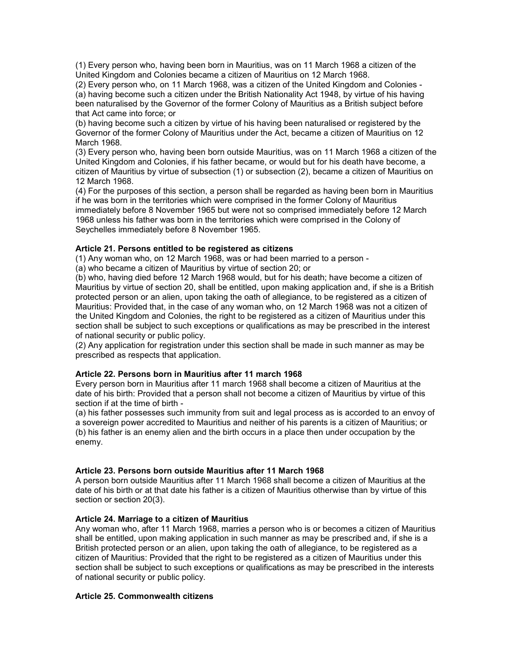(1) Every person who, having been born in Mauritius, was on 11 March 1968 a citizen of the United Kingdom and Colonies became a citizen of Mauritius on 12 March 1968.

(2) Every person who, on 11 March 1968, was a citizen of the United Kingdom and Colonies - (a) having become such a citizen under the British Nationality Act 1948, by virtue of his having been naturalised by the Governor of the former Colony of Mauritius as a British subject before that Act came into force; or

(b) having become such a citizen by virtue of his having been naturalised or registered by the Governor of the former Colony of Mauritius under the Act, became a citizen of Mauritius on 12 March 1968.

(3) Every person who, having been born outside Mauritius, was on 11 March 1968 a citizen of the United Kingdom and Colonies, if his father became, or would but for his death have become, a citizen of Mauritius by virtue of subsection (1) or subsection (2), became a citizen of Mauritius on 12 March 1968.

(4) For the purposes of this section, a person shall be regarded as having been born in Mauritius if he was born in the territories which were comprised in the former Colony of Mauritius immediately before 8 November 1965 but were not so comprised immediately before 12 March 1968 unless his father was born in the territories which were comprised in the Colony of Seychelles immediately before 8 November 1965.

## **Article 21. Persons entitled to be registered as citizens**

(1) Any woman who, on 12 March 1968, was or had been married to a person -

(a) who became a citizen of Mauritius by virtue of section 20; or

(b) who, having died before 12 March 1968 would, but for his death; have become a citizen of Mauritius by virtue of section 20, shall be entitled, upon making application and, if she is a British protected person or an alien, upon taking the oath of allegiance, to be registered as a citizen of Mauritius: Provided that, in the case of any woman who, on 12 March 1968 was not a citizen of the United Kingdom and Colonies, the right to be registered as a citizen of Mauritius under this section shall be subject to such exceptions or qualifications as may be prescribed in the interest of national security or public policy.

(2) Any application for registration under this section shall be made in such manner as may be prescribed as respects that application.

### **Article 22. Persons born in Mauritius after 11 march 1968**

Every person born in Mauritius after 11 march 1968 shall become a citizen of Mauritius at the date of his birth: Provided that a person shall not become a citizen of Mauritius by virtue of this section if at the time of birth -

(a) his father possesses such immunity from suit and legal process as is accorded to an envoy of a sovereign power accredited to Mauritius and neither of his parents is a citizen of Mauritius; or (b) his father is an enemy alien and the birth occurs in a place then under occupation by the enemy.

## **Article 23. Persons born outside Mauritius after 11 March 1968**

A person born outside Mauritius after 11 March 1968 shall become a citizen of Mauritius at the date of his birth or at that date his father is a citizen of Mauritius otherwise than by virtue of this section or section 20(3).

### **Article 24. Marriage to a citizen of Mauritius**

Any woman who, after 11 March 1968, marries a person who is or becomes a citizen of Mauritius shall be entitled, upon making application in such manner as may be prescribed and, if she is a British protected person or an alien, upon taking the oath of allegiance, to be registered as a citizen of Mauritius: Provided that the right to be registered as a citizen of Mauritius under this section shall be subject to such exceptions or qualifications as may be prescribed in the interests of national security or public policy.

### **Article 25. Commonwealth citizens**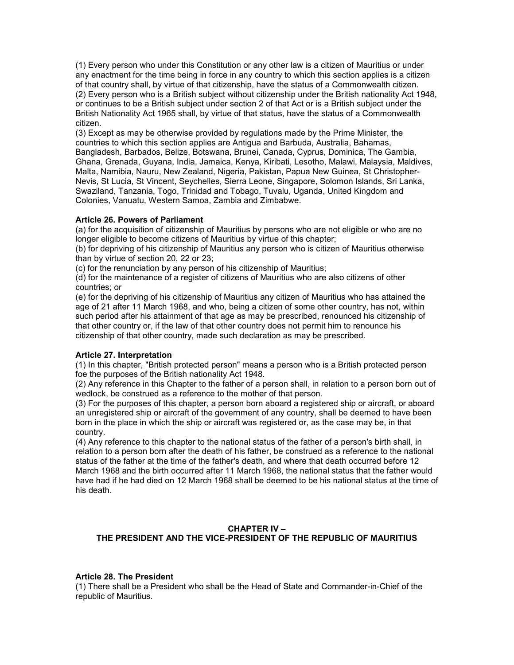(1) Every person who under this Constitution or any other law is a citizen of Mauritius or under any enactment for the time being in force in any country to which this section applies is a citizen of that country shall, by virtue of that citizenship, have the status of a Commonwealth citizen. (2) Every person who is a British subject without citizenship under the British nationality Act 1948, or continues to be a British subject under section 2 of that Act or is a British subject under the British Nationality Act 1965 shall, by virtue of that status, have the status of a Commonwealth citizen.

(3) Except as may be otherwise provided by regulations made by the Prime Minister, the countries to which this section applies are Antigua and Barbuda, Australia, Bahamas, Bangladesh, Barbados, Belize, Botswana, Brunei, Canada, Cyprus, Dominica, The Gambia, Ghana, Grenada, Guyana, India, Jamaica, Kenya, Kiribati, Lesotho, Malawi, Malaysia, Maldives, Malta, Namibia, Nauru, New Zealand, Nigeria, Pakistan, Papua New Guinea, St Christopher-Nevis, St Lucia, St Vincent, Seychelles, Sierra Leone, Singapore, Solomon Islands, Sri Lanka, Swaziland, Tanzania, Togo, Trinidad and Tobago, Tuvalu, Uganda, United Kingdom and Colonies, Vanuatu, Western Samoa, Zambia and Zimbabwe.

## **Article 26. Powers of Parliament**

(a) for the acquisition of citizenship of Mauritius by persons who are not eligible or who are no longer eligible to become citizens of Mauritius by virtue of this chapter;

(b) for depriving of his citizenship of Mauritius any person who is citizen of Mauritius otherwise than by virtue of section 20, 22 or 23;

(c) for the renunciation by any person of his citizenship of Mauritius;

(d) for the maintenance of a register of citizens of Mauritius who are also citizens of other countries; or

(e) for the depriving of his citizenship of Mauritius any citizen of Mauritius who has attained the age of 21 after 11 March 1968, and who, being a citizen of some other country, has not, within such period after his attainment of that age as may be prescribed, renounced his citizenship of that other country or, if the law of that other country does not permit him to renounce his citizenship of that other country, made such declaration as may be prescribed.

### **Article 27. Interpretation**

(1) In this chapter, "British protected person" means a person who is a British protected person foe the purposes of the British nationality Act 1948.

(2) Any reference in this Chapter to the father of a person shall, in relation to a person born out of wedlock, be construed as a reference to the mother of that person.

(3) For the purposes of this chapter, a person born aboard a registered ship or aircraft, or aboard an unregistered ship or aircraft of the government of any country, shall be deemed to have been born in the place in which the ship or aircraft was registered or, as the case may be, in that country.

(4) Any reference to this chapter to the national status of the father of a person's birth shall, in relation to a person born after the death of his father, be construed as a reference to the national status of the father at the time of the father's death, and where that death occurred before 12 March 1968 and the birth occurred after 11 March 1968, the national status that the father would have had if he had died on 12 March 1968 shall be deemed to be his national status at the time of his death.

## **CHAPTER IV – THE PRESIDENT AND THE VICE-PRESIDENT OF THE REPUBLIC OF MAURITIUS**

### **Article 28. The President**

(1) There shall be a President who shall be the Head of State and Commander-in-Chief of the republic of Mauritius.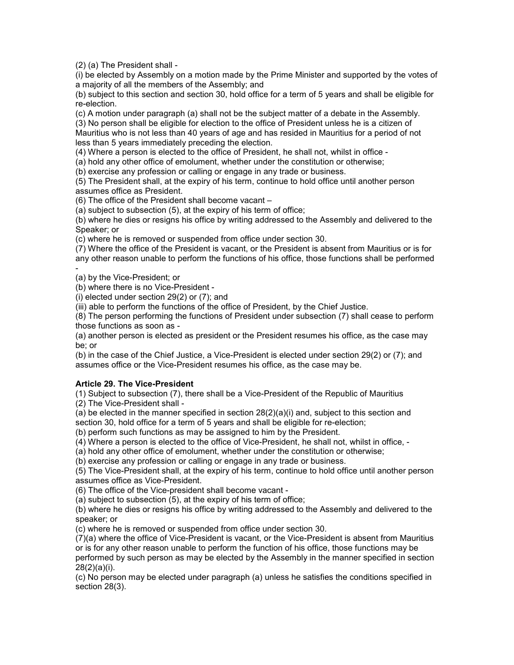(2) (a) The President shall -

(i) be elected by Assembly on a motion made by the Prime Minister and supported by the votes of a majority of all the members of the Assembly; and

(b) subject to this section and section 30, hold office for a term of 5 years and shall be eligible for re-election.

(c) A motion under paragraph (a) shall not be the subject matter of a debate in the Assembly.

(3) No person shall be eligible for election to the office of President unless he is a citizen of Mauritius who is not less than 40 years of age and has resided in Mauritius for a period of not less than 5 years immediately preceding the election.

(4) Where a person is elected to the office of President, he shall not, whilst in office -

(a) hold any other office of emolument, whether under the constitution or otherwise;

(b) exercise any profession or calling or engage in any trade or business.

(5) The President shall, at the expiry of his term, continue to hold office until another person assumes office as President.

(6) The office of the President shall become vacant –

(a) subject to subsection (5), at the expiry of his term of office;

(b) where he dies or resigns his office by writing addressed to the Assembly and delivered to the Speaker; or

(c) where he is removed or suspended from office under section 30.

(7) Where the office of the President is vacant, or the President is absent from Mauritius or is for any other reason unable to perform the functions of his office, those functions shall be performed

- (a) by the Vice-President; or

(b) where there is no Vice-President -

(i) elected under section 29(2) or (7); and

(iii) able to perform the functions of the office of President, by the Chief Justice.

(8) The person performing the functions of President under subsection (7) shall cease to perform those functions as soon as -

(a) another person is elected as president or the President resumes his office, as the case may be; or

(b) in the case of the Chief Justice, a Vice-President is elected under section 29(2) or (7); and assumes office or the Vice-President resumes his office, as the case may be.

## **Article 29. The Vice-President**

(1) Subject to subsection (7), there shall be a Vice-President of the Republic of Mauritius

(2) The Vice-President shall -

(a) be elected in the manner specified in section  $28(2)(a)(i)$  and, subject to this section and section 30, hold office for a term of 5 years and shall be eligible for re-election;

(b) perform such functions as may be assigned to him by the President.

(4) Where a person is elected to the office of Vice-President, he shall not, whilst in office, -

(a) hold any other office of emolument, whether under the constitution or otherwise;

(b) exercise any profession or calling or engage in any trade or business.

(5) The Vice-President shall, at the expiry of his term, continue to hold office until another person assumes office as Vice-President.

(6) The office of the Vice-president shall become vacant -

(a) subject to subsection (5), at the expiry of his term of office;

(b) where he dies or resigns his office by writing addressed to the Assembly and delivered to the speaker; or

(c) where he is removed or suspended from office under section 30.

(7)(a) where the office of Vice-President is vacant, or the Vice-President is absent from Mauritius or is for any other reason unable to perform the function of his office, those functions may be performed by such person as may be elected by the Assembly in the manner specified in section 28(2)(a)(i).

(c) No person may be elected under paragraph (a) unless he satisfies the conditions specified in section 28(3).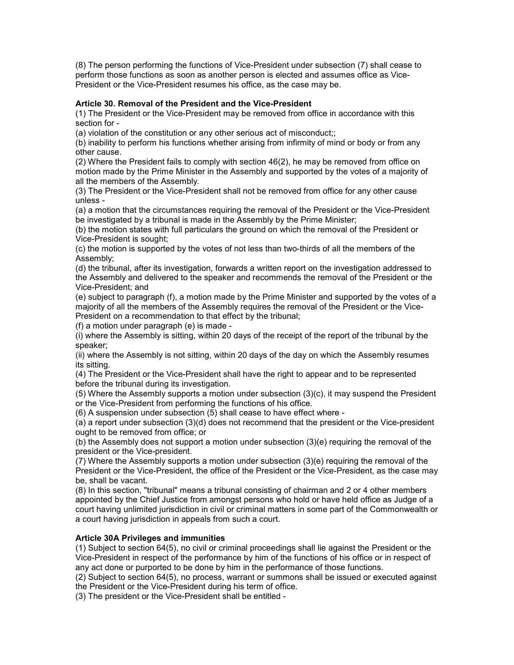(8) The person performing the functions of Vice-President under subsection (7) shall cease to perform those functions as soon as another person is elected and assumes office as Vice-President or the Vice-President resumes his office, as the case may be.

## **Article 30. Removal of the President and the Vice-President**

(1) The President or the Vice-President may be removed from office in accordance with this section for -

(a) violation of the constitution or any other serious act of misconduct;;

(b) inability to perform his functions whether arising from infirmity of mind or body or from any other cause.

(2) Where the President fails to comply with section 46(2), he may be removed from office on motion made by the Prime Minister in the Assembly and supported by the votes of a majority of all the members of the Assembly.

(3) The President or the Vice-President shall not be removed from office for any other cause unless -

(a) a motion that the circumstances requiring the removal of the President or the Vice-President be investigated by a tribunal is made in the Assembly by the Prime Minister;

(b) the motion states with full particulars the ground on which the removal of the President or Vice-President is sought;

(c) the motion is supported by the votes of not less than two-thirds of all the members of the Assembly;

(d) the tribunal, after its investigation, forwards a written report on the investigation addressed to the Assembly and delivered to the speaker and recommends the removal of the President or the Vice-President; and

(e) subject to paragraph (f), a motion made by the Prime Minister and supported by the votes of a majority of all the members of the Assembly requires the removal of the President or the Vice-President on a recommendation to that effect by the tribunal;

(f) a motion under paragraph (e) is made -

(i) where the Assembly is sitting, within 20 days of the receipt of the report of the tribunal by the speaker;

(ii) where the Assembly is not sitting, within 20 days of the day on which the Assembly resumes its sitting.

(4) The President or the Vice-President shall have the right to appear and to be represented before the tribunal during its investigation.

(5) Where the Assembly supports a motion under subsection (3)(c), it may suspend the President or the Vice-President from performing the functions of his office.

(6) A suspension under subsection (5) shall cease to have effect where -

(a) a report under subsection (3)(d) does not recommend that the president or the Vice-president ought to be removed from office; or

(b) the Assembly does not support a motion under subsection (3)(e) requiring the removal of the president or the Vice-president.

(7) Where the Assembly supports a motion under subsection (3)(e) requiring the removal of the President or the Vice-President, the office of the President or the Vice-President, as the case may be, shall be vacant.

(8) In this section, "tribunal" means a tribunal consisting of chairman and 2 or 4 other members appointed by the Chief Justice from amongst persons who hold or have held office as Judge of a court having unlimited jurisdiction in civil or criminal matters in some part of the Commonwealth or a court having jurisdiction in appeals from such a court.

## **Article 30A Privileges and immunities**

(1) Subject to section 64(5), no civil or criminal proceedings shall lie against the President or the Vice-President in respect of the performance by him of the functions of his office or in respect of any act done or purported to be done by him in the performance of those functions.

(2) Subject to section 64(5), no process, warrant or summons shall be issued or executed against the President or the Vice-President during his term of office.

(3) The president or the Vice-President shall be entitled -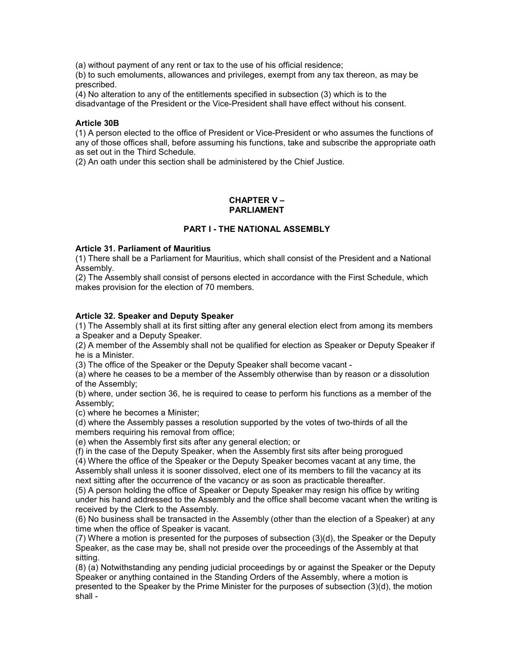(a) without payment of any rent or tax to the use of his official residence;

(b) to such emoluments, allowances and privileges, exempt from any tax thereon, as may be prescribed.

(4) No alteration to any of the entitlements specified in subsection (3) which is to the

disadvantage of the President or the Vice-President shall have effect without his consent.

## **Article 30B**

(1) A person elected to the office of President or Vice-President or who assumes the functions of any of those offices shall, before assuming his functions, take and subscribe the appropriate oath as set out in the Third Schedule.

(2) An oath under this section shall be administered by the Chief Justice.

### **CHAPTER V – PARLIAMENT**

## **PART I - THE NATIONAL ASSEMBLY**

## **Article 31. Parliament of Mauritius**

(1) There shall be a Parliament for Mauritius, which shall consist of the President and a National Assembly.

(2) The Assembly shall consist of persons elected in accordance with the First Schedule, which makes provision for the election of 70 members.

## **Article 32. Speaker and Deputy Speaker**

(1) The Assembly shall at its first sitting after any general election elect from among its members a Speaker and a Deputy Speaker.

(2) A member of the Assembly shall not be qualified for election as Speaker or Deputy Speaker if he is a Minister.

(3) The office of the Speaker or the Deputy Speaker shall become vacant -

(a) where he ceases to be a member of the Assembly otherwise than by reason or a dissolution of the Assembly;

(b) where, under section 36, he is required to cease to perform his functions as a member of the Assembly;

(c) where he becomes a Minister;

(d) where the Assembly passes a resolution supported by the votes of two-thirds of all the members requiring his removal from office;

(e) when the Assembly first sits after any general election; or

(f) in the case of the Deputy Speaker, when the Assembly first sits after being prorogued

(4) Where the office of the Speaker or the Deputy Speaker becomes vacant at any time, the Assembly shall unless it is sooner dissolved, elect one of its members to fill the vacancy at its next sitting after the occurrence of the vacancy or as soon as practicable thereafter.

(5) A person holding the office of Speaker or Deputy Speaker may resign his office by writing under his hand addressed to the Assembly and the office shall become vacant when the writing is received by the Clerk to the Assembly.

(6) No business shall be transacted in the Assembly (other than the election of a Speaker) at any time when the office of Speaker is vacant.

(7) Where a motion is presented for the purposes of subsection (3)(d), the Speaker or the Deputy Speaker, as the case may be, shall not preside over the proceedings of the Assembly at that sitting.

(8) (a) Notwithstanding any pending judicial proceedings by or against the Speaker or the Deputy Speaker or anything contained in the Standing Orders of the Assembly, where a motion is presented to the Speaker by the Prime Minister for the purposes of subsection (3)(d), the motion shall -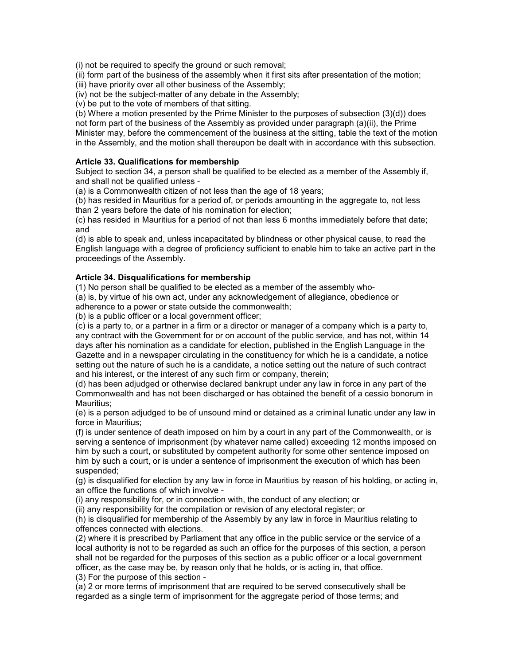(i) not be required to specify the ground or such removal;

(ii) form part of the business of the assembly when it first sits after presentation of the motion;

(iii) have priority over all other business of the Assembly;

(iv) not be the subject-matter of any debate in the Assembly;

(v) be put to the vote of members of that sitting.

(b) Where a motion presented by the Prime Minister to the purposes of subsection (3)(d)) does not form part of the business of the Assembly as provided under paragraph (a)(ii), the Prime Minister may, before the commencement of the business at the sitting, table the text of the motion in the Assembly, and the motion shall thereupon be dealt with in accordance with this subsection.

### **Article 33. Qualifications for membership**

Subject to section 34, a person shall be qualified to be elected as a member of the Assembly if, and shall not be qualified unless -

(a) is a Commonwealth citizen of not less than the age of 18 years;

(b) has resided in Mauritius for a period of, or periods amounting in the aggregate to, not less than 2 years before the date of his nomination for election;

(c) has resided in Mauritius for a period of not than less 6 months immediately before that date; and

(d) is able to speak and, unless incapacitated by blindness or other physical cause, to read the English language with a degree of proficiency sufficient to enable him to take an active part in the proceedings of the Assembly.

### **Article 34. Disqualifications for membership**

(1) No person shall be qualified to be elected as a member of the assembly who-

(a) is, by virtue of his own act, under any acknowledgement of allegiance, obedience or adherence to a power or state outside the commonwealth;

(b) is a public officer or a local government officer;

(c) is a party to, or a partner in a firm or a director or manager of a company which is a party to, any contract with the Government for or on account of the public service, and has not, within 14 days after his nomination as a candidate for election, published in the English Language in the Gazette and in a newspaper circulating in the constituency for which he is a candidate, a notice setting out the nature of such he is a candidate, a notice setting out the nature of such contract and his interest, or the interest of any such firm or company, therein;

(d) has been adjudged or otherwise declared bankrupt under any law in force in any part of the Commonwealth and has not been discharged or has obtained the benefit of a cessio bonorum in Mauritius;

(e) is a person adjudged to be of unsound mind or detained as a criminal lunatic under any law in force in Mauritius;

(f) is under sentence of death imposed on him by a court in any part of the Commonwealth, or is serving a sentence of imprisonment (by whatever name called) exceeding 12 months imposed on him by such a court, or substituted by competent authority for some other sentence imposed on him by such a court, or is under a sentence of imprisonment the execution of which has been suspended;

(g) is disqualified for election by any law in force in Mauritius by reason of his holding, or acting in, an office the functions of which involve -

(i) any responsibility for, or in connection with, the conduct of any election; or

(ii) any responsibility for the compilation or revision of any electoral register; or

(h) is disqualified for membership of the Assembly by any law in force in Mauritius relating to offences connected with elections.

(2) where it is prescribed by Parliament that any office in the public service or the service of a local authority is not to be regarded as such an office for the purposes of this section, a person shall not be regarded for the purposes of this section as a public officer or a local government officer, as the case may be, by reason only that he holds, or is acting in, that office. (3) For the purpose of this section -

(a) 2 or more terms of imprisonment that are required to be served consecutively shall be regarded as a single term of imprisonment for the aggregate period of those terms; and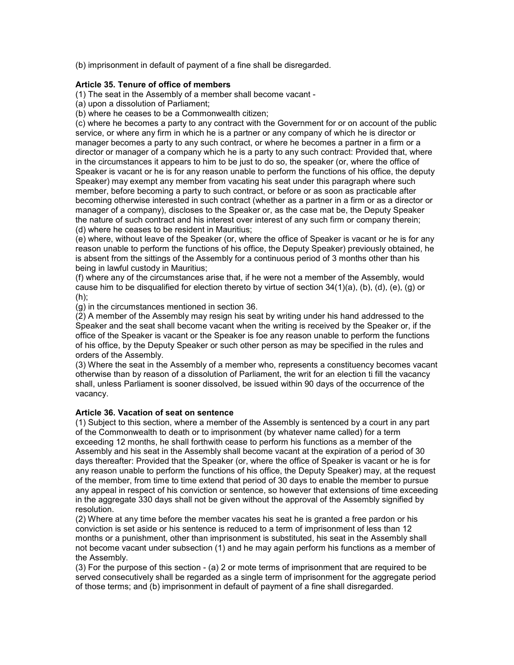(b) imprisonment in default of payment of a fine shall be disregarded.

## **Article 35. Tenure of office of members**

(1) The seat in the Assembly of a member shall become vacant -

(a) upon a dissolution of Parliament;

(b) where he ceases to be a Commonwealth citizen;

(c) where he becomes a party to any contract with the Government for or on account of the public service, or where any firm in which he is a partner or any company of which he is director or manager becomes a party to any such contract, or where he becomes a partner in a firm or a director or manager of a company which he is a party to any such contract: Provided that, where in the circumstances it appears to him to be just to do so, the speaker (or, where the office of Speaker is vacant or he is for any reason unable to perform the functions of his office, the deputy Speaker) may exempt any member from vacating his seat under this paragraph where such member, before becoming a party to such contract, or before or as soon as practicable after becoming otherwise interested in such contract (whether as a partner in a firm or as a director or manager of a company), discloses to the Speaker or, as the case mat be, the Deputy Speaker the nature of such contract and his interest over interest of any such firm or company therein; (d) where he ceases to be resident in Mauritius;

(e) where, without leave of the Speaker (or, where the office of Speaker is vacant or he is for any reason unable to perform the functions of his office, the Deputy Speaker) previously obtained, he is absent from the sittings of the Assembly for a continuous period of 3 months other than his being in lawful custody in Mauritius;

(f) where any of the circumstances arise that, if he were not a member of the Assembly, would cause him to be disqualified for election thereto by virtue of section  $34(1)(a)$ , (b), (d), (e), (g) or (h);

(g) in the circumstances mentioned in section 36.

(2) A member of the Assembly may resign his seat by writing under his hand addressed to the Speaker and the seat shall become vacant when the writing is received by the Speaker or, if the office of the Speaker is vacant or the Speaker is foe any reason unable to perform the functions of his office, by the Deputy Speaker or such other person as may be specified in the rules and orders of the Assembly.

(3) Where the seat in the Assembly of a member who, represents a constituency becomes vacant otherwise than by reason of a dissolution of Parliament, the writ for an election ti fill the vacancy shall, unless Parliament is sooner dissolved, be issued within 90 days of the occurrence of the vacancy.

## **Article 36. Vacation of seat on sentence**

(1) Subject to this section, where a member of the Assembly is sentenced by a court in any part of the Commonwealth to death or to imprisonment (by whatever name called) for a term exceeding 12 months, he shall forthwith cease to perform his functions as a member of the Assembly and his seat in the Assembly shall become vacant at the expiration of a period of 30 days thereafter: Provided that the Speaker (or, where the office of Speaker is vacant or he is for any reason unable to perform the functions of his office, the Deputy Speaker) may, at the request of the member, from time to time extend that period of 30 days to enable the member to pursue any appeal in respect of his conviction or sentence, so however that extensions of time exceeding in the aggregate 330 days shall not be given without the approval of the Assembly signified by resolution.

(2) Where at any time before the member vacates his seat he is granted a free pardon or his conviction is set aside or his sentence is reduced to a term of imprisonment of less than 12 months or a punishment, other than imprisonment is substituted, his seat in the Assembly shall not become vacant under subsection (1) and he may again perform his functions as a member of the Assembly.

(3) For the purpose of this section - (a) 2 or mote terms of imprisonment that are required to be served consecutively shall be regarded as a single term of imprisonment for the aggregate period of those terms; and (b) imprisonment in default of payment of a fine shall disregarded.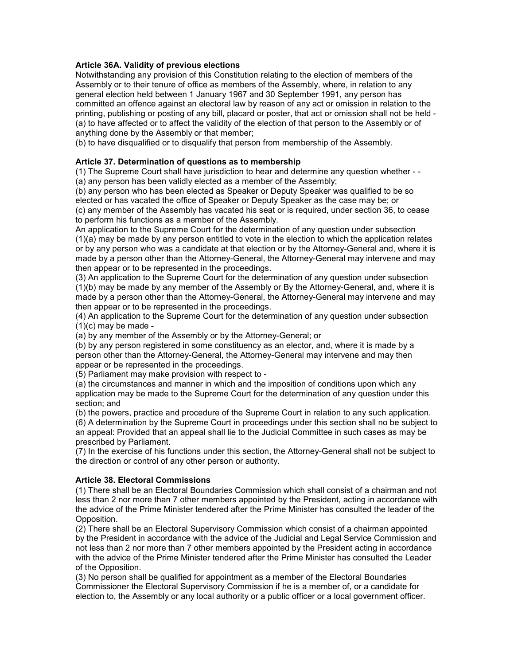## **Article 36A. Validity of previous elections**

Notwithstanding any provision of this Constitution relating to the election of members of the Assembly or to their tenure of office as members of the Assembly, where, in relation to any general election held between 1 January 1967 and 30 September 1991, any person has committed an offence against an electoral law by reason of any act or omission in relation to the printing, publishing or posting of any bill, placard or poster, that act or omission shall not be held - (a) to have affected or to affect the validity of the election of that person to the Assembly or of anything done by the Assembly or that member;

(b) to have disqualified or to disqualify that person from membership of the Assembly.

### **Article 37. Determination of questions as to membership**

(1) The Supreme Court shall have jurisdiction to hear and determine any question whether - - (a) any person has been validly elected as a member of the Assembly;

(b) any person who has been elected as Speaker or Deputy Speaker was qualified to be so elected or has vacated the office of Speaker or Deputy Speaker as the case may be; or (c) any member of the Assembly has vacated his seat or is required, under section 36, to cease

to perform his functions as a member of the Assembly.

An application to the Supreme Court for the determination of any question under subsection (1)(a) may be made by any person entitled to vote in the election to which the application relates or by any person who was a candidate at that election or by the Attorney-General and, where it is made by a person other than the Attorney-General, the Attorney-General may intervene and may then appear or to be represented in the proceedings.

(3) An application to the Supreme Court for the determination of any question under subsection (1)(b) may be made by any member of the Assembly or By the Attorney-General, and, where it is made by a person other than the Attorney-General, the Attorney-General may intervene and may then appear or to be represented in the proceedings.

(4) An application to the Supreme Court for the determination of any question under subsection  $(1)(c)$  may be made -

(a) by any member of the Assembly or by the Attorney-General; or

(b) by any person registered in some constituency as an elector, and, where it is made by a person other than the Attorney-General, the Attorney-General may intervene and may then appear or be represented in the proceedings.

(5) Parliament may make provision with respect to -

(a) the circumstances and manner in which and the imposition of conditions upon which any application may be made to the Supreme Court for the determination of any question under this section; and

(b) the powers, practice and procedure of the Supreme Court in relation to any such application. (6) A determination by the Supreme Court in proceedings under this section shall no be subject to an appeal: Provided that an appeal shall lie to the Judicial Committee in such cases as may be prescribed by Parliament.

(7) In the exercise of his functions under this section, the Attorney-General shall not be subject to the direction or control of any other person or authority.

### **Article 38. Electoral Commissions**

(1) There shall be an Electoral Boundaries Commission which shall consist of a chairman and not less than 2 nor more than 7 other members appointed by the President, acting in accordance with the advice of the Prime Minister tendered after the Prime Minister has consulted the leader of the Opposition.

(2) There shall be an Electoral Supervisory Commission which consist of a chairman appointed by the President in accordance with the advice of the Judicial and Legal Service Commission and not less than 2 nor more than 7 other members appointed by the President acting in accordance with the advice of the Prime Minister tendered after the Prime Minister has consulted the Leader of the Opposition.

(3) No person shall be qualified for appointment as a member of the Electoral Boundaries Commissioner the Electoral Supervisory Commission if he is a member of, or a candidate for election to, the Assembly or any local authority or a public officer or a local government officer.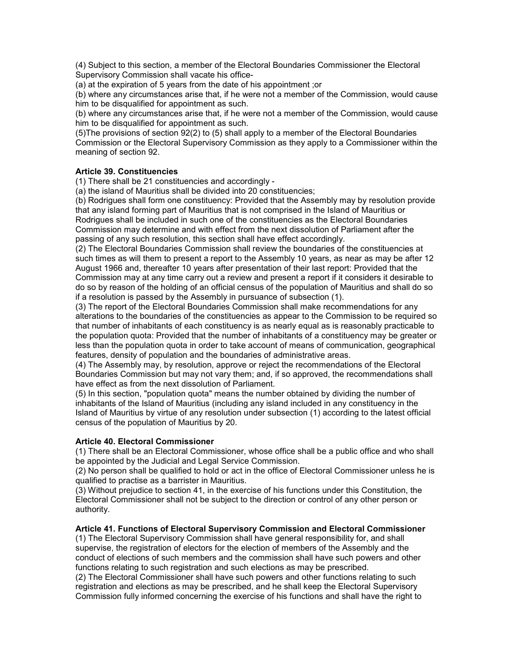(4) Subject to this section, a member of the Electoral Boundaries Commissioner the Electoral Supervisory Commission shall vacate his office-

(a) at the expiration of 5 years from the date of his appointment ;or

(b) where any circumstances arise that, if he were not a member of the Commission, would cause him to be disqualified for appointment as such.

(b) where any circumstances arise that, if he were not a member of the Commission, would cause him to be disqualified for appointment as such.

(5)The provisions of section 92(2) to (5) shall apply to a member of the Electoral Boundaries Commission or the Electoral Supervisory Commission as they apply to a Commissioner within the meaning of section 92.

## **Article 39. Constituencies**

(1) There shall be 21 constituencies and accordingly -

(a) the island of Mauritius shall be divided into 20 constituencies;

(b) Rodrigues shall form one constituency: Provided that the Assembly may by resolution provide that any island forming part of Mauritius that is not comprised in the Island of Mauritius or Rodrigues shall be included in such one of the constituencies as the Electoral Boundaries Commission may determine and with effect from the next dissolution of Parliament after the passing of any such resolution, this section shall have effect accordingly.

(2) The Electoral Boundaries Commission shall review the boundaries of the constituencies at such times as will them to present a report to the Assembly 10 years, as near as may be after 12 August 1966 and, thereafter 10 years after presentation of their last report: Provided that the Commission may at any time carry out a review and present a report if it considers it desirable to do so by reason of the holding of an official census of the population of Mauritius and shall do so if a resolution is passed by the Assembly in pursuance of subsection (1).

(3) The report of the Electoral Boundaries Commission shall make recommendations for any alterations to the boundaries of the constituencies as appear to the Commission to be required so that number of inhabitants of each constituency is as nearly equal as is reasonably practicable to the population quota: Provided that the number of inhabitants of a constituency may be greater or less than the population quota in order to take account of means of communication, geographical features, density of population and the boundaries of administrative areas.

(4) The Assembly may, by resolution, approve or reject the recommendations of the Electoral Boundaries Commission but may not vary them; and, if so approved, the recommendations shall have effect as from the next dissolution of Parliament.

(5) In this section, "population quota" means the number obtained by dividing the number of inhabitants of the Island of Mauritius (including any island included in any constituency in the Island of Mauritius by virtue of any resolution under subsection (1) according to the latest official census of the population of Mauritius by 20.

## **Article 40. Electoral Commissioner**

(1) There shall be an Electoral Commissioner, whose office shall be a public office and who shall be appointed by the Judicial and Legal Service Commission.

(2) No person shall be qualified to hold or act in the office of Electoral Commissioner unless he is qualified to practise as a barrister in Mauritius.

(3) Without prejudice to section 41, in the exercise of his functions under this Constitution, the Electoral Commissioner shall not be subject to the direction or control of any other person or authority.

## **Article 41. Functions of Electoral Supervisory Commission and Electoral Commissioner**

(1) The Electoral Supervisory Commission shall have general responsibility for, and shall supervise, the registration of electors for the election of members of the Assembly and the conduct of elections of such members and the commission shall have such powers and other functions relating to such registration and such elections as may be prescribed.

(2) The Electoral Commissioner shall have such powers and other functions relating to such registration and elections as may be prescribed, and he shall keep the Electoral Supervisory Commission fully informed concerning the exercise of his functions and shall have the right to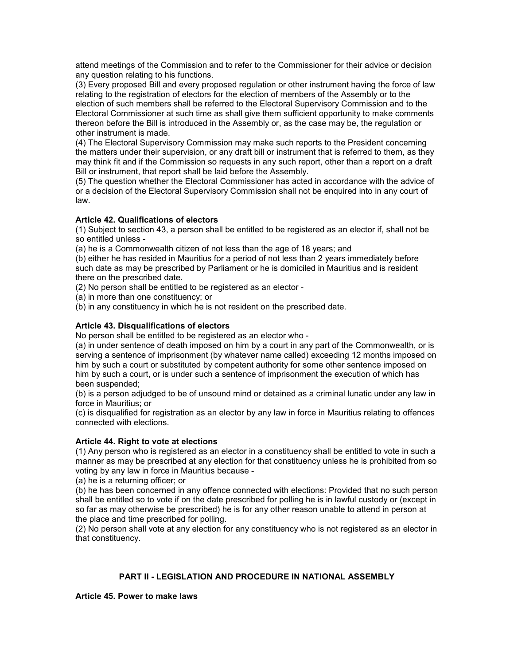attend meetings of the Commission and to refer to the Commissioner for their advice or decision any question relating to his functions.

(3) Every proposed Bill and every proposed regulation or other instrument having the force of law relating to the registration of electors for the election of members of the Assembly or to the election of such members shall be referred to the Electoral Supervisory Commission and to the Electoral Commissioner at such time as shall give them sufficient opportunity to make comments thereon before the Bill is introduced in the Assembly or, as the case may be, the regulation or other instrument is made.

(4) The Electoral Supervisory Commission may make such reports to the President concerning the matters under their supervision, or any draft bill or instrument that is referred to them, as they may think fit and if the Commission so requests in any such report, other than a report on a draft Bill or instrument, that report shall be laid before the Assembly.

(5) The question whether the Electoral Commissioner has acted in accordance with the advice of or a decision of the Electoral Supervisory Commission shall not be enquired into in any court of law.

## **Article 42. Qualifications of electors**

(1) Subject to section 43, a person shall be entitled to be registered as an elector if, shall not be so entitled unless -

(a) he is a Commonwealth citizen of not less than the age of 18 years; and

(b) either he has resided in Mauritius for a period of not less than 2 years immediately before such date as may be prescribed by Parliament or he is domiciled in Mauritius and is resident there on the prescribed date.

(2) No person shall be entitled to be registered as an elector -

(a) in more than one constituency; or

(b) in any constituency in which he is not resident on the prescribed date.

## **Article 43. Disqualifications of electors**

No person shall be entitled to be registered as an elector who -

(a) in under sentence of death imposed on him by a court in any part of the Commonwealth, or is serving a sentence of imprisonment (by whatever name called) exceeding 12 months imposed on him by such a court or substituted by competent authority for some other sentence imposed on him by such a court, or is under such a sentence of imprisonment the execution of which has been suspended;

(b) is a person adjudged to be of unsound mind or detained as a criminal lunatic under any law in force in Mauritius; or

(c) is disqualified for registration as an elector by any law in force in Mauritius relating to offences connected with elections.

## **Article 44. Right to vote at elections**

(1) Any person who is registered as an elector in a constituency shall be entitled to vote in such a manner as may be prescribed at any election for that constituency unless he is prohibited from so voting by any law in force in Mauritius because -

(a) he is a returning officer; or

(b) he has been concerned in any offence connected with elections: Provided that no such person shall be entitled so to vote if on the date prescribed for polling he is in lawful custody or (except in so far as may otherwise be prescribed) he is for any other reason unable to attend in person at the place and time prescribed for polling.

(2) No person shall vote at any election for any constituency who is not registered as an elector in that constituency.

## **PART II - LEGISLATION AND PROCEDURE IN NATIONAL ASSEMBLY**

### **Article 45. Power to make laws**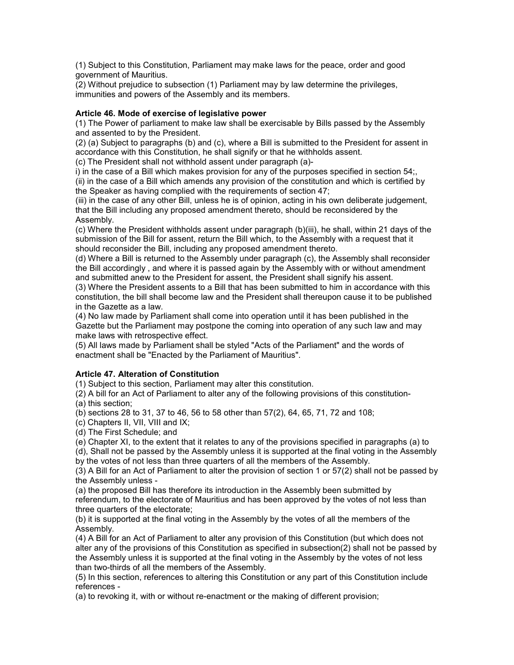(1) Subject to this Constitution, Parliament may make laws for the peace, order and good government of Mauritius.

(2) Without prejudice to subsection (1) Parliament may by law determine the privileges, immunities and powers of the Assembly and its members.

## **Article 46. Mode of exercise of legislative power**

(1) The Power of parliament to make law shall be exercisable by Bills passed by the Assembly and assented to by the President.

(2) (a) Subject to paragraphs (b) and (c), where a Bill is submitted to the President for assent in accordance with this Constitution, he shall signify or that he withholds assent.

(c) The President shall not withhold assent under paragraph (a)-

i) in the case of a Bill which makes provision for any of the purposes specified in section 54;,

(ii) in the case of a Bill which amends any provision of the constitution and which is certified by the Speaker as having complied with the requirements of section 47;

(iii) in the case of any other Bill, unless he is of opinion, acting in his own deliberate judgement, that the Bill including any proposed amendment thereto, should be reconsidered by the Assembly.

(c) Where the President withholds assent under paragraph (b)(iii), he shall, within 21 days of the submission of the Bill for assent, return the Bill which, to the Assembly with a request that it should reconsider the Bill, including any proposed amendment thereto.

(d) Where a Bill is returned to the Assembly under paragraph (c), the Assembly shall reconsider the Bill accordingly , and where it is passed again by the Assembly with or without amendment and submitted anew to the President for assent, the President shall signify his assent.

(3) Where the President assents to a Bill that has been submitted to him in accordance with this constitution, the bill shall become law and the President shall thereupon cause it to be published in the Gazette as a law.

(4) No law made by Parliament shall come into operation until it has been published in the Gazette but the Parliament may postpone the coming into operation of any such law and may make laws with retrospective effect.

(5) All laws made by Parliament shall be styled "Acts of the Parliament" and the words of enactment shall be "Enacted by the Parliament of Mauritius".

## **Article 47. Alteration of Constitution**

(1) Subject to this section, Parliament may alter this constitution.

(2) A bill for an Act of Parliament to alter any of the following provisions of this constitution-

(a) this section;

(b) sections 28 to 31, 37 to 46, 56 to 58 other than 57(2), 64, 65, 71, 72 and 108;

(c) Chapters II, VII, VIII and IX;

(d) The First Schedule; and

(e) Chapter XI, to the extent that it relates to any of the provisions specified in paragraphs (a) to

(d), Shall not be passed by the Assembly unless it is supported at the final voting in the Assembly by the votes of not less than three quarters of all the members of the Assembly.

(3) A Bill for an Act of Parliament to alter the provision of section 1 or 57(2) shall not be passed by the Assembly unless -

(a) the proposed Bill has therefore its introduction in the Assembly been submitted by

referendum, to the electorate of Mauritius and has been approved by the votes of not less than three quarters of the electorate;

(b) it is supported at the final voting in the Assembly by the votes of all the members of the Assembly.

(4) A Bill for an Act of Parliament to alter any provision of this Constitution (but which does not alter any of the provisions of this Constitution as specified in subsection(2) shall not be passed by the Assembly unless it is supported at the final voting in the Assembly by the votes of not less than two-thirds of all the members of the Assembly.

(5) In this section, references to altering this Constitution or any part of this Constitution include references -

(a) to revoking it, with or without re-enactment or the making of different provision;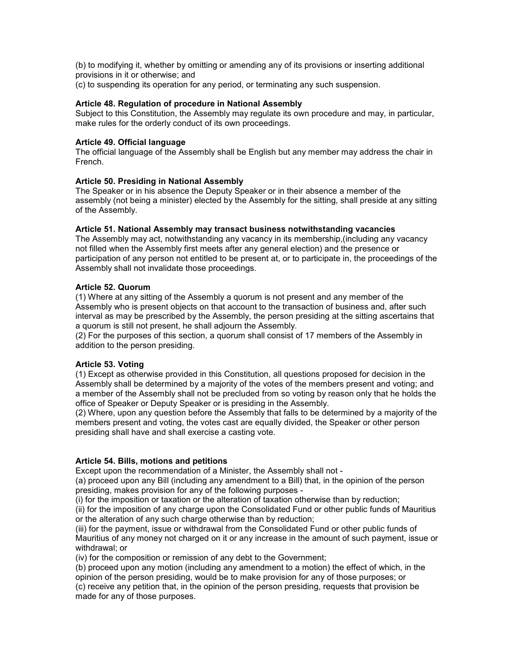(b) to modifying it, whether by omitting or amending any of its provisions or inserting additional provisions in it or otherwise; and

(c) to suspending its operation for any period, or terminating any such suspension.

### **Article 48. Regulation of procedure in National Assembly**

Subject to this Constitution, the Assembly may regulate its own procedure and may, in particular, make rules for the orderly conduct of its own proceedings.

### **Article 49. Official language**

The official language of the Assembly shall be English but any member may address the chair in French.

### **Article 50. Presiding in National Assembly**

The Speaker or in his absence the Deputy Speaker or in their absence a member of the assembly (not being a minister) elected by the Assembly for the sitting, shall preside at any sitting of the Assembly.

#### **Article 51. National Assembly may transact business notwithstanding vacancies**

The Assembly may act, notwithstanding any vacancy in its membership,(including any vacancy not filled when the Assembly first meets after any general election) and the presence or participation of any person not entitled to be present at, or to participate in, the proceedings of the Assembly shall not invalidate those proceedings.

#### **Article 52. Quorum**

(1) Where at any sitting of the Assembly a quorum is not present and any member of the Assembly who is present objects on that account to the transaction of business and, after such interval as may be prescribed by the Assembly, the person presiding at the sitting ascertains that a quorum is still not present, he shall adjourn the Assembly.

(2) For the purposes of this section, a quorum shall consist of 17 members of the Assembly in addition to the person presiding.

### **Article 53. Voting**

(1) Except as otherwise provided in this Constitution, all questions proposed for decision in the Assembly shall be determined by a majority of the votes of the members present and voting; and a member of the Assembly shall not be precluded from so voting by reason only that he holds the office of Speaker or Deputy Speaker or is presiding in the Assembly.

(2) Where, upon any question before the Assembly that falls to be determined by a majority of the members present and voting, the votes cast are equally divided, the Speaker or other person presiding shall have and shall exercise a casting vote.

### **Article 54. Bills, motions and petitions**

Except upon the recommendation of a Minister, the Assembly shall not -

(a) proceed upon any Bill (including any amendment to a Bill) that, in the opinion of the person presiding, makes provision for any of the following purposes -

(i) for the imposition or taxation or the alteration of taxation otherwise than by reduction;

(ii) for the imposition of any charge upon the Consolidated Fund or other public funds of Mauritius or the alteration of any such charge otherwise than by reduction;

(iii) for the payment, issue or withdrawal from the Consolidated Fund or other public funds of Mauritius of any money not charged on it or any increase in the amount of such payment, issue or withdrawal; or

(iv) for the composition or remission of any debt to the Government;

(b) proceed upon any motion (including any amendment to a motion) the effect of which, in the opinion of the person presiding, would be to make provision for any of those purposes; or

(c) receive any petition that, in the opinion of the person presiding, requests that provision be made for any of those purposes.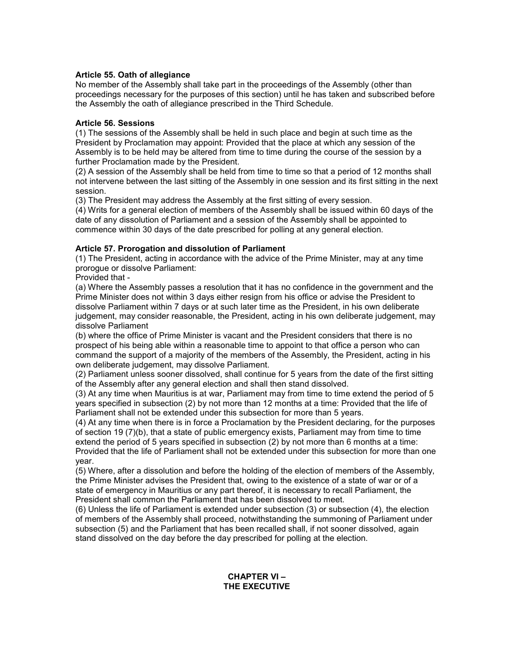### **Article 55. Oath of allegiance**

No member of the Assembly shall take part in the proceedings of the Assembly (other than proceedings necessary for the purposes of this section) until he has taken and subscribed before the Assembly the oath of allegiance prescribed in the Third Schedule.

## **Article 56. Sessions**

(1) The sessions of the Assembly shall be held in such place and begin at such time as the President by Proclamation may appoint: Provided that the place at which any session of the Assembly is to be held may be altered from time to time during the course of the session by a further Proclamation made by the President.

(2) A session of the Assembly shall be held from time to time so that a period of 12 months shall not intervene between the last sitting of the Assembly in one session and its first sitting in the next session.

(3) The President may address the Assembly at the first sitting of every session.

(4) Writs for a general election of members of the Assembly shall be issued within 60 days of the date of any dissolution of Parliament and a session of the Assembly shall be appointed to commence within 30 days of the date prescribed for polling at any general election.

## **Article 57. Prorogation and dissolution of Parliament**

(1) The President, acting in accordance with the advice of the Prime Minister, may at any time prorogue or dissolve Parliament:

Provided that -

(a) Where the Assembly passes a resolution that it has no confidence in the government and the Prime Minister does not within 3 days either resign from his office or advise the President to dissolve Parliament within 7 days or at such later time as the President, in his own deliberate judgement, may consider reasonable, the President, acting in his own deliberate judgement, may dissolve Parliament

(b) where the office of Prime Minister is vacant and the President considers that there is no prospect of his being able within a reasonable time to appoint to that office a person who can command the support of a majority of the members of the Assembly, the President, acting in his own deliberate judgement, may dissolve Parliament.

(2) Parliament unless sooner dissolved, shall continue for 5 years from the date of the first sitting of the Assembly after any general election and shall then stand dissolved.

(3) At any time when Mauritius is at war, Parliament may from time to time extend the period of 5 years specified in subsection (2) by not more than 12 months at a time: Provided that the life of Parliament shall not be extended under this subsection for more than 5 years.

(4) At any time when there is in force a Proclamation by the President declaring, for the purposes of section 19 (7)(b), that a state of public emergency exists, Parliament may from time to time extend the period of 5 years specified in subsection (2) by not more than 6 months at a time: Provided that the life of Parliament shall not be extended under this subsection for more than one year.

(5) Where, after a dissolution and before the holding of the election of members of the Assembly, the Prime Minister advises the President that, owing to the existence of a state of war or of a state of emergency in Mauritius or any part thereof, it is necessary to recall Parliament, the President shall common the Parliament that has been dissolved to meet.

(6) Unless the life of Parliament is extended under subsection (3) or subsection (4), the election of members of the Assembly shall proceed, notwithstanding the summoning of Parliament under subsection (5) and the Parliament that has been recalled shall, if not sooner dissolved, again stand dissolved on the day before the day prescribed for polling at the election.

### **CHAPTER VI – THE EXECUTIVE**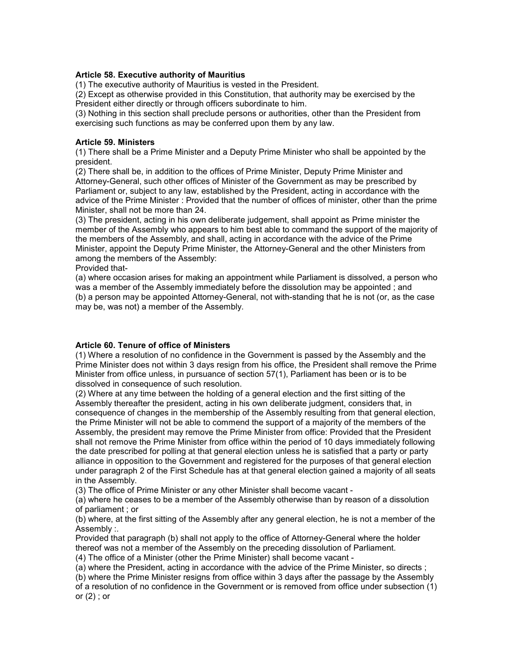### **Article 58. Executive authority of Mauritius**

(1) The executive authority of Mauritius is vested in the President.

(2) Except as otherwise provided in this Constitution, that authority may be exercised by the President either directly or through officers subordinate to him.

(3) Nothing in this section shall preclude persons or authorities, other than the President from exercising such functions as may be conferred upon them by any law.

### **Article 59. Ministers**

(1) There shall be a Prime Minister and a Deputy Prime Minister who shall be appointed by the president.

(2) There shall be, in addition to the offices of Prime Minister, Deputy Prime Minister and Attorney-General, such other offices of Minister of the Government as may be prescribed by Parliament or, subject to any law, established by the President, acting in accordance with the advice of the Prime Minister : Provided that the number of offices of minister, other than the prime Minister, shall not be more than 24.

(3) The president, acting in his own deliberate judgement, shall appoint as Prime minister the member of the Assembly who appears to him best able to command the support of the majority of the members of the Assembly, and shall, acting in accordance with the advice of the Prime Minister, appoint the Deputy Prime Minister, the Attorney-General and the other Ministers from among the members of the Assembly:

Provided that-

(a) where occasion arises for making an appointment while Parliament is dissolved, a person who was a member of the Assembly immediately before the dissolution may be appointed ; and (b) a person may be appointed Attorney-General, not with-standing that he is not (or, as the case may be, was not) a member of the Assembly.

## **Article 60. Tenure of office of Ministers**

(1) Where a resolution of no confidence in the Government is passed by the Assembly and the Prime Minister does not within 3 days resign from his office, the President shall remove the Prime Minister from office unless, in pursuance of section 57(1), Parliament has been or is to be dissolved in consequence of such resolution.

(2) Where at any time between the holding of a general election and the first sitting of the Assembly thereafter the president, acting in his own deliberate judgment, considers that, in consequence of changes in the membership of the Assembly resulting from that general election, the Prime Minister will not be able to commend the support of a majority of the members of the Assembly, the president may remove the Prime Minister from office: Provided that the President shall not remove the Prime Minister from office within the period of 10 days immediately following the date prescribed for polling at that general election unless he is satisfied that a party or party alliance in opposition to the Government and registered for the purposes of that general election under paragraph 2 of the First Schedule has at that general election gained a majority of all seats in the Assembly.

(3) The office of Prime Minister or any other Minister shall become vacant -

(a) where he ceases to be a member of the Assembly otherwise than by reason of a dissolution of parliament ; or

(b) where, at the first sitting of the Assembly after any general election, he is not a member of the Assembly :

Provided that paragraph (b) shall not apply to the office of Attorney-General where the holder thereof was not a member of the Assembly on the preceding dissolution of Parliament.

(4) The office of a Minister (other the Prime Minister) shall become vacant -

(a) where the President, acting in accordance with the advice of the Prime Minister, so directs ;

(b) where the Prime Minister resigns from office within 3 days after the passage by the Assembly of a resolution of no confidence in the Government or is removed from office under subsection (1)

or (2) ; or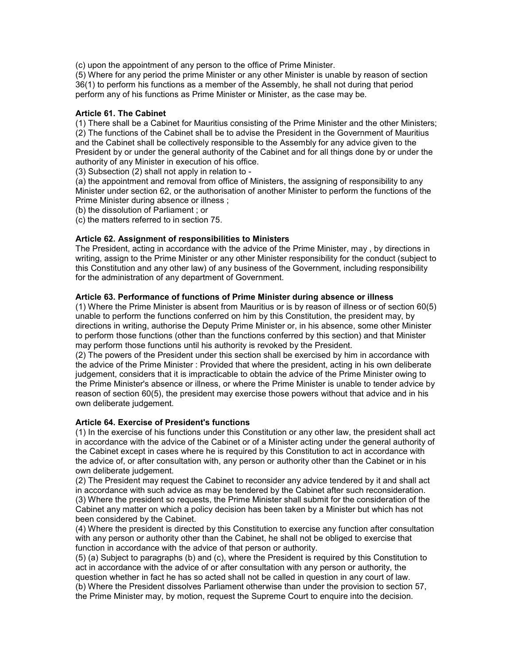(c) upon the appointment of any person to the office of Prime Minister.

(5) Where for any period the prime Minister or any other Minister is unable by reason of section 36(1) to perform his functions as a member of the Assembly, he shall not during that period perform any of his functions as Prime Minister or Minister, as the case may be.

### **Article 61. The Cabinet**

(1) There shall be a Cabinet for Mauritius consisting of the Prime Minister and the other Ministers; (2) The functions of the Cabinet shall be to advise the President in the Government of Mauritius and the Cabinet shall be collectively responsible to the Assembly for any advice given to the President by or under the general authority of the Cabinet and for all things done by or under the authority of any Minister in execution of his office.

(3) Subsection (2) shall not apply in relation to -

(a) the appointment and removal from office of Ministers, the assigning of responsibility to any Minister under section 62, or the authorisation of another Minister to perform the functions of the Prime Minister during absence or illness ;

(b) the dissolution of Parliament ; or

(c) the matters referred to in section 75.

### **Article 62. Assignment of responsibilities to Ministers**

The President, acting in accordance with the advice of the Prime Minister, may , by directions in writing, assign to the Prime Minister or any other Minister responsibility for the conduct (subject to this Constitution and any other law) of any business of the Government, including responsibility for the administration of any department of Government.

### **Article 63. Performance of functions of Prime Minister during absence or illness**

(1) Where the Prime Minister is absent from Mauritius or is by reason of illness or of section 60(5) unable to perform the functions conferred on him by this Constitution, the president may, by directions in writing, authorise the Deputy Prime Minister or, in his absence, some other Minister to perform those functions (other than the functions conferred by this section) and that Minister may perform those functions until his authority is revoked by the President.

(2) The powers of the President under this section shall be exercised by him in accordance with the advice of the Prime Minister : Provided that where the president, acting in his own deliberate judgement, considers that it is impracticable to obtain the advice of the Prime Minister owing to the Prime Minister's absence or illness, or where the Prime Minister is unable to tender advice by reason of section 60(5), the president may exercise those powers without that advice and in his own deliberate judgement.

### **Article 64. Exercise of President's functions**

(1) In the exercise of his functions under this Constitution or any other law, the president shall act in accordance with the advice of the Cabinet or of a Minister acting under the general authority of the Cabinet except in cases where he is required by this Constitution to act in accordance with the advice of, or after consultation with, any person or authority other than the Cabinet or in his own deliberate judgement.

(2) The President may request the Cabinet to reconsider any advice tendered by it and shall act in accordance with such advice as may be tendered by the Cabinet after such reconsideration. (3) Where the president so requests, the Prime Minister shall submit for the consideration of the Cabinet any matter on which a policy decision has been taken by a Minister but which has not been considered by the Cabinet.

(4) Where the president is directed by this Constitution to exercise any function after consultation with any person or authority other than the Cabinet, he shall not be obliged to exercise that function in accordance with the advice of that person or authority.

(5) (a) Subject to paragraphs (b) and (c), where the President is required by this Constitution to act in accordance with the advice of or after consultation with any person or authority, the question whether in fact he has so acted shall not be called in question in any court of law. (b) Where the President dissolves Parliament otherwise than under the provision to section 57, the Prime Minister may, by motion, request the Supreme Court to enquire into the decision.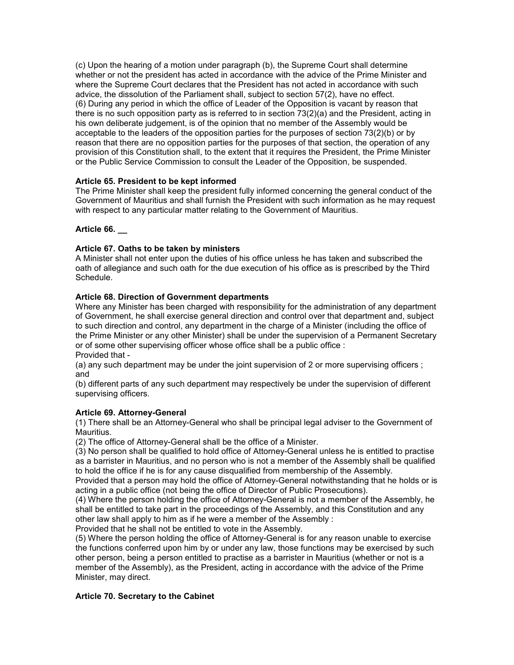(c) Upon the hearing of a motion under paragraph (b), the Supreme Court shall determine whether or not the president has acted in accordance with the advice of the Prime Minister and where the Supreme Court declares that the President has not acted in accordance with such advice, the dissolution of the Parliament shall, subject to section 57(2), have no effect. (6) During any period in which the office of Leader of the Opposition is vacant by reason that there is no such opposition party as is referred to in section 73(2)(a) and the President, acting in his own deliberate judgement, is of the opinion that no member of the Assembly would be acceptable to the leaders of the opposition parties for the purposes of section 73(2)(b) or by reason that there are no opposition parties for the purposes of that section, the operation of any provision of this Constitution shall, to the extent that it requires the President, the Prime Minister or the Public Service Commission to consult the Leader of the Opposition, be suspended.

## **Article 65. President to be kept informed**

The Prime Minister shall keep the president fully informed concerning the general conduct of the Government of Mauritius and shall furnish the President with such information as he may request with respect to any particular matter relating to the Government of Mauritius.

## **Article 66. \_\_**

## **Article 67. Oaths to be taken by ministers**

A Minister shall not enter upon the duties of his office unless he has taken and subscribed the oath of allegiance and such oath for the due execution of his office as is prescribed by the Third Schedule.

## **Article 68. Direction of Government departments**

Where any Minister has been charged with responsibility for the administration of any department of Government, he shall exercise general direction and control over that department and, subject to such direction and control, any department in the charge of a Minister (including the office of the Prime Minister or any other Minister) shall be under the supervision of a Permanent Secretary or of some other supervising officer whose office shall be a public office : Provided that -

(a) any such department may be under the joint supervision of 2 or more supervising officers ; and

(b) different parts of any such department may respectively be under the supervision of different supervising officers.

## **Article 69. Attorney-General**

(1) There shall be an Attorney-General who shall be principal legal adviser to the Government of Mauritius.

(2) The office of Attorney-General shall be the office of a Minister.

(3) No person shall be qualified to hold office of Attorney-General unless he is entitled to practise as a barrister in Mauritius, and no person who is not a member of the Assembly shall be qualified to hold the office if he is for any cause disqualified from membership of the Assembly.

Provided that a person may hold the office of Attorney-General notwithstanding that he holds or is acting in a public office (not being the office of Director of Public Prosecutions).

(4) Where the person holding the office of Attorney-General is not a member of the Assembly, he shall be entitled to take part in the proceedings of the Assembly, and this Constitution and any other law shall apply to him as if he were a member of the Assembly :

Provided that he shall not be entitled to vote in the Assembly.

(5) Where the person holding the office of Attorney-General is for any reason unable to exercise the functions conferred upon him by or under any law, those functions may be exercised by such other person, being a person entitled to practise as a barrister in Mauritius (whether or not is a member of the Assembly), as the President, acting in accordance with the advice of the Prime Minister, may direct.

## **Article 70. Secretary to the Cabinet**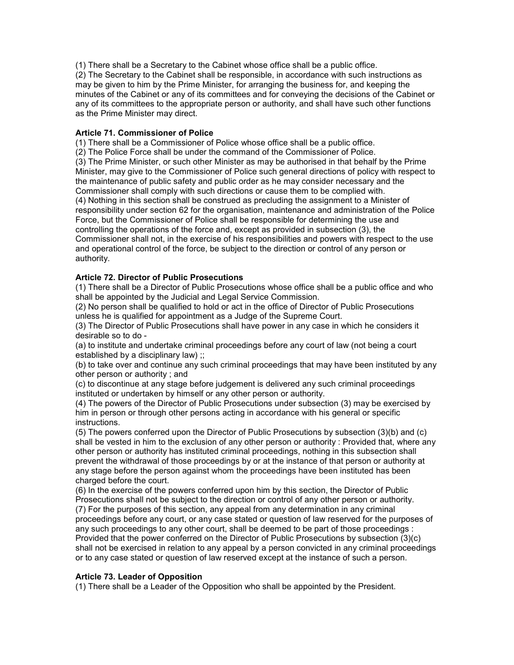(1) There shall be a Secretary to the Cabinet whose office shall be a public office.

(2) The Secretary to the Cabinet shall be responsible, in accordance with such instructions as may be given to him by the Prime Minister, for arranging the business for, and keeping the minutes of the Cabinet or any of its committees and for conveying the decisions of the Cabinet or any of its committees to the appropriate person or authority, and shall have such other functions as the Prime Minister may direct.

## **Article 71. Commissioner of Police**

(1) There shall be a Commissioner of Police whose office shall be a public office.

(2) The Police Force shall be under the command of the Commissioner of Police.

(3) The Prime Minister, or such other Minister as may be authorised in that behalf by the Prime Minister, may give to the Commissioner of Police such general directions of policy with respect to the maintenance of public safety and public order as he may consider necessary and the Commissioner shall comply with such directions or cause them to be complied with. (4) Nothing in this section shall be construed as precluding the assignment to a Minister of responsibility under section 62 for the organisation, maintenance and administration of the Police Force, but the Commissioner of Police shall be responsible for determining the use and controlling the operations of the force and, except as provided in subsection (3), the Commissioner shall not, in the exercise of his responsibilities and powers with respect to the use and operational control of the force, be subject to the direction or control of any person or authority.

## **Article 72. Director of Public Prosecutions**

(1) There shall be a Director of Public Prosecutions whose office shall be a public office and who shall be appointed by the Judicial and Legal Service Commission.

(2) No person shall be qualified to hold or act in the office of Director of Public Prosecutions unless he is qualified for appointment as a Judge of the Supreme Court.

(3) The Director of Public Prosecutions shall have power in any case in which he considers it desirable so to do -

(a) to institute and undertake criminal proceedings before any court of law (not being a court established by a disciplinary law) ;;

(b) to take over and continue any such criminal proceedings that may have been instituted by any other person or authority ; and

(c) to discontinue at any stage before judgement is delivered any such criminal proceedings instituted or undertaken by himself or any other person or authority.

(4) The powers of the Director of Public Prosecutions under subsection (3) may be exercised by him in person or through other persons acting in accordance with his general or specific instructions.

(5) The powers conferred upon the Director of Public Prosecutions by subsection (3)(b) and (c) shall be vested in him to the exclusion of any other person or authority : Provided that, where any other person or authority has instituted criminal proceedings, nothing in this subsection shall prevent the withdrawal of those proceedings by or at the instance of that person or authority at any stage before the person against whom the proceedings have been instituted has been charged before the court.

(6) In the exercise of the powers conferred upon him by this section, the Director of Public Prosecutions shall not be subject to the direction or control of any other person or authority. (7) For the purposes of this section, any appeal from any determination in any criminal proceedings before any court, or any case stated or question of law reserved for the purposes of any such proceedings to any other court, shall be deemed to be part of those proceedings : Provided that the power conferred on the Director of Public Prosecutions by subsection (3)(c) shall not be exercised in relation to any appeal by a person convicted in any criminal proceedings or to any case stated or question of law reserved except at the instance of such a person.

### **Article 73. Leader of Opposition**

(1) There shall be a Leader of the Opposition who shall be appointed by the President.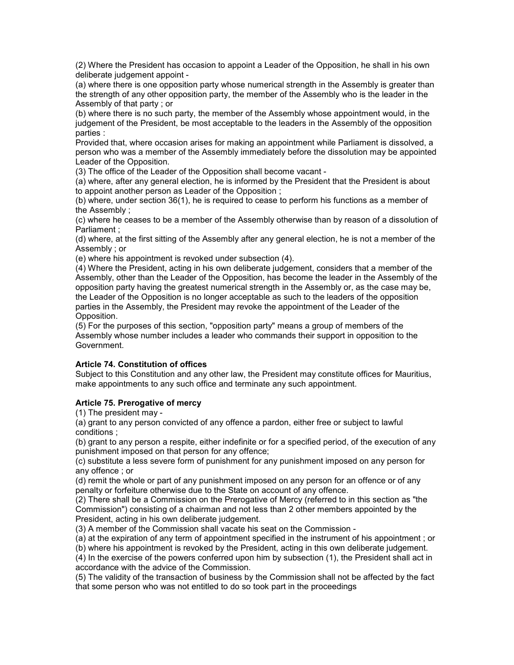(2) Where the President has occasion to appoint a Leader of the Opposition, he shall in his own deliberate judgement appoint -

(a) where there is one opposition party whose numerical strength in the Assembly is greater than the strength of any other opposition party, the member of the Assembly who is the leader in the Assembly of that party ; or

(b) where there is no such party, the member of the Assembly whose appointment would, in the judgement of the President, be most acceptable to the leaders in the Assembly of the opposition parties :

Provided that, where occasion arises for making an appointment while Parliament is dissolved, a person who was a member of the Assembly immediately before the dissolution may be appointed Leader of the Opposition.

(3) The office of the Leader of the Opposition shall become vacant -

(a) where, after any general election, he is informed by the President that the President is about to appoint another person as Leader of the Opposition ;

(b) where, under section 36(1), he is required to cease to perform his functions as a member of the Assembly ;

(c) where he ceases to be a member of the Assembly otherwise than by reason of a dissolution of Parliament ;

(d) where, at the first sitting of the Assembly after any general election, he is not a member of the Assembly ; or

(e) where his appointment is revoked under subsection (4).

(4) Where the President, acting in his own deliberate judgement, considers that a member of the Assembly, other than the Leader of the Opposition, has become the leader in the Assembly of the opposition party having the greatest numerical strength in the Assembly or, as the case may be, the Leader of the Opposition is no longer acceptable as such to the leaders of the opposition parties in the Assembly, the President may revoke the appointment of the Leader of the Opposition.

(5) For the purposes of this section, "opposition party" means a group of members of the Assembly whose number includes a leader who commands their support in opposition to the Government.

## **Article 74. Constitution of offices**

Subject to this Constitution and any other law, the President may constitute offices for Mauritius, make appointments to any such office and terminate any such appointment.

## **Article 75. Prerogative of mercy**

(1) The president may -

(a) grant to any person convicted of any offence a pardon, either free or subject to lawful conditions ;

(b) grant to any person a respite, either indefinite or for a specified period, of the execution of any punishment imposed on that person for any offence;

(c) substitute a less severe form of punishment for any punishment imposed on any person for any offence ; or

(d) remit the whole or part of any punishment imposed on any person for an offence or of any penalty or forfeiture otherwise due to the State on account of any offence.

(2) There shall be a Commission on the Prerogative of Mercy (referred to in this section as "the Commission") consisting of a chairman and not less than 2 other members appointed by the President, acting in his own deliberate judgement.

(3) A member of the Commission shall vacate his seat on the Commission -

(a) at the expiration of any term of appointment specified in the instrument of his appointment ; or

(b) where his appointment is revoked by the President, acting in this own deliberate judgement.

(4) In the exercise of the powers conferred upon him by subsection (1), the President shall act in accordance with the advice of the Commission.

(5) The validity of the transaction of business by the Commission shall not be affected by the fact that some person who was not entitled to do so took part in the proceedings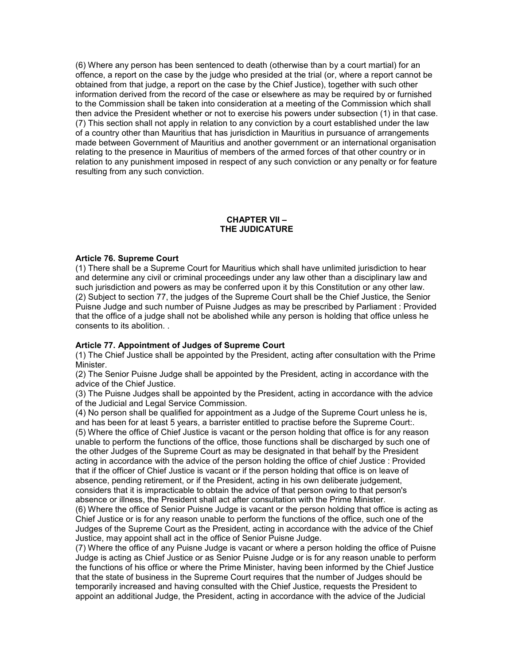(6) Where any person has been sentenced to death (otherwise than by a court martial) for an offence, a report on the case by the judge who presided at the trial (or, where a report cannot be obtained from that judge, a report on the case by the Chief Justice), together with such other information derived from the record of the case or elsewhere as may be required by or furnished to the Commission shall be taken into consideration at a meeting of the Commission which shall then advice the President whether or not to exercise his powers under subsection (1) in that case. (7) This section shall not apply in relation to any conviction by a court established under the law of a country other than Mauritius that has jurisdiction in Mauritius in pursuance of arrangements made between Government of Mauritius and another government or an international organisation relating to the presence in Mauritius of members of the armed forces of that other country or in relation to any punishment imposed in respect of any such conviction or any penalty or for feature resulting from any such conviction.

### **CHAPTER VII – THE JUDICATURE**

### **Article 76. Supreme Court**

(1) There shall be a Supreme Court for Mauritius which shall have unlimited jurisdiction to hear and determine any civil or criminal proceedings under any law other than a disciplinary law and such jurisdiction and powers as may be conferred upon it by this Constitution or any other law. (2) Subject to section 77, the judges of the Supreme Court shall be the Chief Justice, the Senior Puisne Judge and such number of Puisne Judges as may be prescribed by Parliament : Provided that the office of a judge shall not be abolished while any person is holding that office unless he consents to its abolition. .

### **Article 77. Appointment of Judges of Supreme Court**

(1) The Chief Justice shall be appointed by the President, acting after consultation with the Prime Minister.

(2) The Senior Puisne Judge shall be appointed by the President, acting in accordance with the advice of the Chief Justice.

(3) The Puisne Judges shall be appointed by the President, acting in accordance with the advice of the Judicial and Legal Service Commission.

(4) No person shall be qualified for appointment as a Judge of the Supreme Court unless he is, and has been for at least 5 years, a barrister entitled to practise before the Supreme Court:. (5) Where the office of Chief Justice is vacant or the person holding that office is for any reason unable to perform the functions of the office, those functions shall be discharged by such one of the other Judges of the Supreme Court as may be designated in that behalf by the President acting in accordance with the advice of the person holding the office of chief Justice : Provided that if the officer of Chief Justice is vacant or if the person holding that office is on leave of absence, pending retirement, or if the President, acting in his own deliberate judgement, considers that it is impracticable to obtain the advice of that person owing to that person's absence or illness, the President shall act after consultation with the Prime Minister.

(6) Where the office of Senior Puisne Judge is vacant or the person holding that office is acting as Chief Justice or is for any reason unable to perform the functions of the office, such one of the Judges of the Supreme Court as the President, acting in accordance with the advice of the Chief Justice, may appoint shall act in the office of Senior Puisne Judge.

(7) Where the office of any Puisne Judge is vacant or where a person holding the office of Puisne Judge is acting as Chief Justice or as Senior Puisne Judge or is for any reason unable to perform the functions of his office or where the Prime Minister, having been informed by the Chief Justice that the state of business in the Supreme Court requires that the number of Judges should be temporarily increased and having consulted with the Chief Justice, requests the President to appoint an additional Judge, the President, acting in accordance with the advice of the Judicial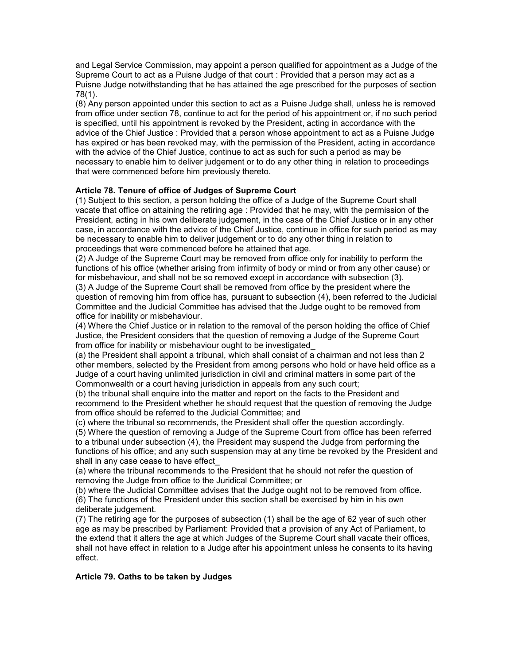and Legal Service Commission, may appoint a person qualified for appointment as a Judge of the Supreme Court to act as a Puisne Judge of that court : Provided that a person may act as a Puisne Judge notwithstanding that he has attained the age prescribed for the purposes of section 78(1).

(8) Any person appointed under this section to act as a Puisne Judge shall, unless he is removed from office under section 78, continue to act for the period of his appointment or, if no such period is specified, until his appointment is revoked by the President, acting in accordance with the advice of the Chief Justice : Provided that a person whose appointment to act as a Puisne Judge has expired or has been revoked may, with the permission of the President, acting in accordance with the advice of the Chief Justice, continue to act as such for such a period as may be necessary to enable him to deliver judgement or to do any other thing in relation to proceedings that were commenced before him previously thereto.

## **Article 78. Tenure of office of Judges of Supreme Court**

(1) Subject to this section, a person holding the office of a Judge of the Supreme Court shall vacate that office on attaining the retiring age : Provided that he may, with the permission of the President, acting in his own deliberate judgement, in the case of the Chief Justice or in any other case, in accordance with the advice of the Chief Justice, continue in office for such period as may be necessary to enable him to deliver judgement or to do any other thing in relation to proceedings that were commenced before he attained that age.

(2) A Judge of the Supreme Court may be removed from office only for inability to perform the functions of his office (whether arising from infirmity of body or mind or from any other cause) or for misbehaviour, and shall not be so removed except in accordance with subsection (3). (3) A Judge of the Supreme Court shall be removed from office by the president where the

question of removing him from office has, pursuant to subsection (4), been referred to the Judicial Committee and the Judicial Committee has advised that the Judge ought to be removed from office for inability or misbehaviour.

(4) Where the Chief Justice or in relation to the removal of the person holding the office of Chief Justice, the President considers that the question of removing a Judge of the Supreme Court from office for inability or misbehaviour ought to be investigated\_

(a) the President shall appoint a tribunal, which shall consist of a chairman and not less than 2 other members, selected by the President from among persons who hold or have held office as a Judge of a court having unlimited jurisdiction in civil and criminal matters in some part of the Commonwealth or a court having jurisdiction in appeals from any such court;

(b) the tribunal shall enquire into the matter and report on the facts to the President and recommend to the President whether he should request that the question of removing the Judge from office should be referred to the Judicial Committee; and

(c) where the tribunal so recommends, the President shall offer the question accordingly.

(5) Where the question of removing a Judge of the Supreme Court from office has been referred to a tribunal under subsection (4), the President may suspend the Judge from performing the functions of his office; and any such suspension may at any time be revoked by the President and shall in any case cease to have effect\_

(a) where the tribunal recommends to the President that he should not refer the question of removing the Judge from office to the Juridical Committee; or

(b) where the Judicial Committee advises that the Judge ought not to be removed from office. (6) The functions of the President under this section shall be exercised by him in his own deliberate judgement.

(7) The retiring age for the purposes of subsection (1) shall be the age of 62 year of such other age as may be prescribed by Parliament: Provided that a provision of any Act of Parliament, to the extend that it alters the age at which Judges of the Supreme Court shall vacate their offices, shall not have effect in relation to a Judge after his appointment unless he consents to its having effect.

## **Article 79. Oaths to be taken by Judges**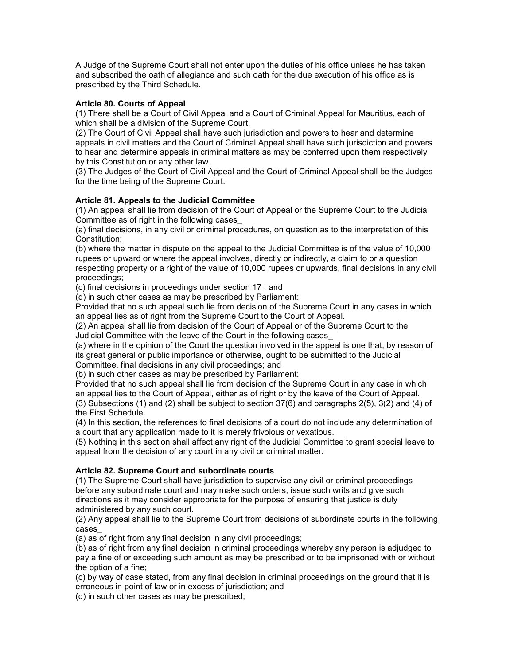A Judge of the Supreme Court shall not enter upon the duties of his office unless he has taken and subscribed the oath of allegiance and such oath for the due execution of his office as is prescribed by the Third Schedule.

## **Article 80. Courts of Appeal**

(1) There shall be a Court of Civil Appeal and a Court of Criminal Appeal for Mauritius, each of which shall be a division of the Supreme Court.

(2) The Court of Civil Appeal shall have such jurisdiction and powers to hear and determine appeals in civil matters and the Court of Criminal Appeal shall have such jurisdiction and powers to hear and determine appeals in criminal matters as may be conferred upon them respectively by this Constitution or any other law.

(3) The Judges of the Court of Civil Appeal and the Court of Criminal Appeal shall be the Judges for the time being of the Supreme Court.

## **Article 81. Appeals to the Judicial Committee**

(1) An appeal shall lie from decision of the Court of Appeal or the Supreme Court to the Judicial Committee as of right in the following cases\_

(a) final decisions, in any civil or criminal procedures, on question as to the interpretation of this Constitution;

(b) where the matter in dispute on the appeal to the Judicial Committee is of the value of 10,000 rupees or upward or where the appeal involves, directly or indirectly, a claim to or a question respecting property or a right of the value of 10,000 rupees or upwards, final decisions in any civil proceedings;

(c) final decisions in proceedings under section 17 ; and

(d) in such other cases as may be prescribed by Parliament:

Provided that no such appeal such lie from decision of the Supreme Court in any cases in which an appeal lies as of right from the Supreme Court to the Court of Appeal.

(2) An appeal shall lie from decision of the Court of Appeal or of the Supreme Court to the Judicial Committee with the leave of the Court in the following cases\_

(a) where in the opinion of the Court the question involved in the appeal is one that, by reason of its great general or public importance or otherwise, ought to be submitted to the Judicial

Committee, final decisions in any civil proceedings; and

(b) in such other cases as may be prescribed by Parliament:

Provided that no such appeal shall lie from decision of the Supreme Court in any case in which an appeal lies to the Court of Appeal, either as of right or by the leave of the Court of Appeal.

(3) Subsections (1) and (2) shall be subject to section 37(6) and paragraphs 2(5), 3(2) and (4) of the First Schedule.

(4) In this section, the references to final decisions of a court do not include any determination of a court that any application made to it is merely frivolous or vexatious.

(5) Nothing in this section shall affect any right of the Judicial Committee to grant special leave to appeal from the decision of any court in any civil or criminal matter.

## **Article 82. Supreme Court and subordinate courts**

(1) The Supreme Court shall have jurisdiction to supervise any civil or criminal proceedings before any subordinate court and may make such orders, issue such writs and give such directions as it may consider appropriate for the purpose of ensuring that justice is duly administered by any such court.

(2) Any appeal shall lie to the Supreme Court from decisions of subordinate courts in the following cases\_

(a) as of right from any final decision in any civil proceedings;

(b) as of right from any final decision in criminal proceedings whereby any person is adjudged to pay a fine of or exceeding such amount as may be prescribed or to be imprisoned with or without the option of a fine;

(c) by way of case stated, from any final decision in criminal proceedings on the ground that it is erroneous in point of law or in excess of jurisdiction; and

(d) in such other cases as may be prescribed;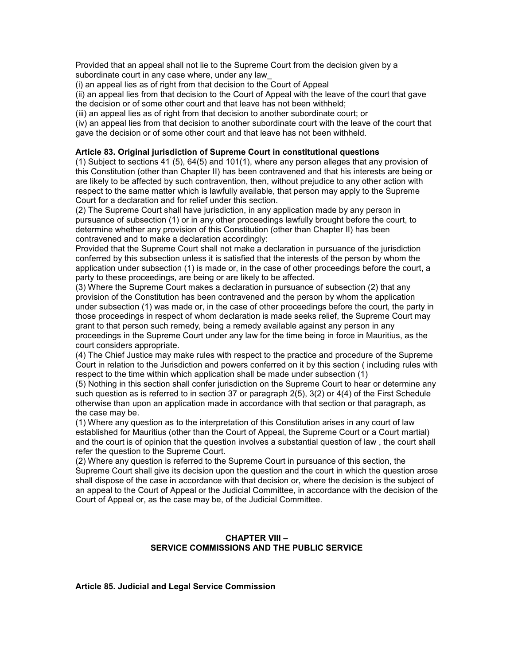Provided that an appeal shall not lie to the Supreme Court from the decision given by a subordinate court in any case where, under any law\_

(i) an appeal lies as of right from that decision to the Court of Appeal

(ii) an appeal lies from that decision to the Court of Appeal with the leave of the court that gave the decision or of some other court and that leave has not been withheld;

(iii) an appeal lies as of right from that decision to another subordinate court; or

(iv) an appeal lies from that decision to another subordinate court with the leave of the court that gave the decision or of some other court and that leave has not been withheld.

## **Article 83. Original jurisdiction of Supreme Court in constitutional questions**

(1) Subject to sections 41 (5), 64(5) and 101(1), where any person alleges that any provision of this Constitution (other than Chapter II) has been contravened and that his interests are being or are likely to be affected by such contravention, then, without prejudice to any other action with respect to the same matter which is lawfully available, that person may apply to the Supreme Court for a declaration and for relief under this section.

(2) The Supreme Court shall have jurisdiction, in any application made by any person in pursuance of subsection (1) or in any other proceedings lawfully brought before the court, to determine whether any provision of this Constitution (other than Chapter II) has been contravened and to make a declaration accordingly:

Provided that the Supreme Court shall not make a declaration in pursuance of the jurisdiction conferred by this subsection unless it is satisfied that the interests of the person by whom the application under subsection (1) is made or, in the case of other proceedings before the court, a party to these proceedings, are being or are likely to be affected.

(3) Where the Supreme Court makes a declaration in pursuance of subsection (2) that any provision of the Constitution has been contravened and the person by whom the application under subsection (1) was made or, in the case of other proceedings before the court, the party in those proceedings in respect of whom declaration is made seeks relief, the Supreme Court may grant to that person such remedy, being a remedy available against any person in any proceedings in the Supreme Court under any law for the time being in force in Mauritius, as the court considers appropriate.

(4) The Chief Justice may make rules with respect to the practice and procedure of the Supreme Court in relation to the Jurisdiction and powers conferred on it by this section ( including rules with respect to the time within which application shall be made under subsection (1)

(5) Nothing in this section shall confer jurisdiction on the Supreme Court to hear or determine any such question as is referred to in section 37 or paragraph 2(5), 3(2) or 4(4) of the First Schedule otherwise than upon an application made in accordance with that section or that paragraph, as the case may be.

(1) Where any question as to the interpretation of this Constitution arises in any court of law established for Mauritius (other than the Court of Appeal, the Supreme Court or a Court martial) and the court is of opinion that the question involves a substantial question of law , the court shall refer the question to the Supreme Court.

(2) Where any question is referred to the Supreme Court in pursuance of this section, the Supreme Court shall give its decision upon the question and the court in which the question arose shall dispose of the case in accordance with that decision or, where the decision is the subject of an appeal to the Court of Appeal or the Judicial Committee, in accordance with the decision of the Court of Appeal or, as the case may be, of the Judicial Committee.

## **CHAPTER VIII – SERVICE COMMISSIONS AND THE PUBLIC SERVICE**

### **Article 85. Judicial and Legal Service Commission**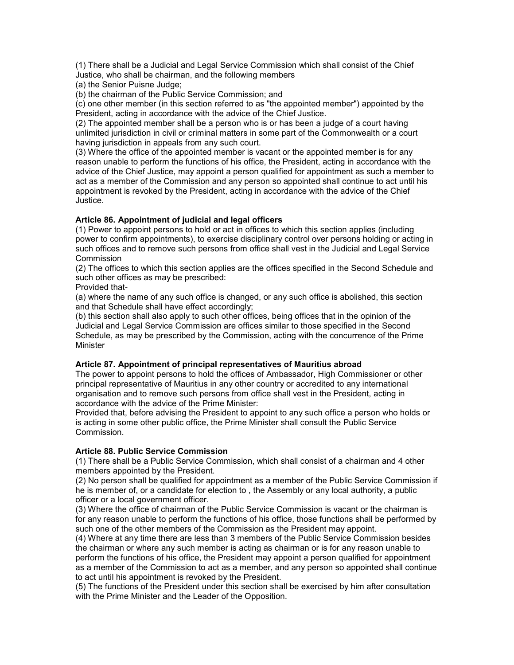(1) There shall be a Judicial and Legal Service Commission which shall consist of the Chief Justice, who shall be chairman, and the following members

(a) the Senior Puisne Judge;

(b) the chairman of the Public Service Commission; and

(c) one other member (in this section referred to as "the appointed member") appointed by the President, acting in accordance with the advice of the Chief Justice.

(2) The appointed member shall be a person who is or has been a judge of a court having unlimited jurisdiction in civil or criminal matters in some part of the Commonwealth or a court having jurisdiction in appeals from any such court.

(3) Where the office of the appointed member is vacant or the appointed member is for any reason unable to perform the functions of his office, the President, acting in accordance with the advice of the Chief Justice, may appoint a person qualified for appointment as such a member to act as a member of the Commission and any person so appointed shall continue to act until his appointment is revoked by the President, acting in accordance with the advice of the Chief Justice.

## **Article 86. Appointment of judicial and legal officers**

(1) Power to appoint persons to hold or act in offices to which this section applies (including power to confirm appointments), to exercise disciplinary control over persons holding or acting in such offices and to remove such persons from office shall vest in the Judicial and Legal Service Commission

(2) The offices to which this section applies are the offices specified in the Second Schedule and such other offices as may be prescribed:

Provided that-

(a) where the name of any such office is changed, or any such office is abolished, this section and that Schedule shall have effect accordingly;

(b) this section shall also apply to such other offices, being offices that in the opinion of the Judicial and Legal Service Commission are offices similar to those specified in the Second Schedule, as may be prescribed by the Commission, acting with the concurrence of the Prime **Minister** 

### **Article 87. Appointment of principal representatives of Mauritius abroad**

The power to appoint persons to hold the offices of Ambassador, High Commissioner or other principal representative of Mauritius in any other country or accredited to any international organisation and to remove such persons from office shall vest in the President, acting in accordance with the advice of the Prime Minister:

Provided that, before advising the President to appoint to any such office a person who holds or is acting in some other public office, the Prime Minister shall consult the Public Service Commission.

### **Article 88. Public Service Commission**

(1) There shall be a Public Service Commission, which shall consist of a chairman and 4 other members appointed by the President.

(2) No person shall be qualified for appointment as a member of the Public Service Commission if he is member of, or a candidate for election to , the Assembly or any local authority, a public officer or a local government officer.

(3) Where the office of chairman of the Public Service Commission is vacant or the chairman is for any reason unable to perform the functions of his office, those functions shall be performed by such one of the other members of the Commission as the President may appoint.

(4) Where at any time there are less than 3 members of the Public Service Commission besides the chairman or where any such member is acting as chairman or is for any reason unable to perform the functions of his office, the President may appoint a person qualified for appointment as a member of the Commission to act as a member, and any person so appointed shall continue to act until his appointment is revoked by the President.

(5) The functions of the President under this section shall be exercised by him after consultation with the Prime Minister and the Leader of the Opposition.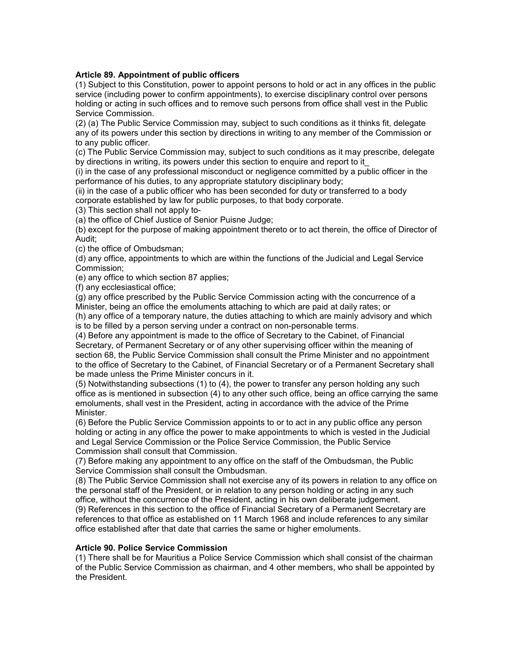### **Article 89. Appointment of public officers**

(1) Subject to this Constitution, power to appoint persons to hold or act in any offices in the public service (including power to confirm appointments), to exercise disciplinary control over persons holding or acting in such offices and to remove such persons from office shall vest in the Public Service Commission.

(2) (a) The Public Service Commission may, subject to such conditions as it thinks fit, delegate any of its powers under this section by directions in writing to any member of the Commission or to any public officer.

(c) The Public Service Commission may, subject to such conditions as it may prescribe, delegate by directions in writing, its powers under this section to enquire and report to it\_

(i) in the case of any professional misconduct or negligence committed by a public officer in the performance of his duties, to any appropriate statutory disciplinary body;

(ii) in the case of a public officer who has been seconded for duty or transferred to a body corporate established by law for public purposes, to that body corporate.

(3) This section shall not apply to-

(a) the office of Chief Justice of Senior Puisne Judge;

(b) except for the purpose of making appointment thereto or to act therein, the office of Director of Audit;

(c) the office of Ombudsman;

(d) any office, appointments to which are within the functions of the Judicial and Legal Service Commission;

(e) any office to which section 87 applies;

(f) any ecclesiastical office;

(g) any office prescribed by the Public Service Commission acting with the concurrence of a Minister, being an office the emoluments attaching to which are paid at daily rates; or (h) any office of a temporary nature, the duties attaching to which are mainly advisory and which is to be filled by a person serving under a contract on non-personable terms.

(4) Before any appointment is made to the office of Secretary to the Cabinet, of Financial Secretary, of Permanent Secretary or of any other supervising officer within the meaning of section 68, the Public Service Commission shall consult the Prime Minister and no appointment to the office of Secretary to the Cabinet, of Financial Secretary or of a Permanent Secretary shall be made unless the Prime Minister concurs in it.

(5) Notwithstanding subsections (1) to (4), the power to transfer any person holding any such office as is mentioned in subsection (4) to any other such office, being an office carrying the same emoluments, shall vest in the President, acting in accordance with the advice of the Prime Minister.

(6) Before the Public Service Commission appoints to or to act in any public office any person holding or acting in any office the power to make appointments to which is vested in the Judicial and Legal Service Commission or the Police Service Commission, the Public Service Commission shall consult that Commission.

(7) Before making any appointment to any office on the staff of the Ombudsman, the Public Service Commission shall consult the Ombudsman.

(8) The Public Service Commission shall not exercise any of its powers in relation to any office on the personal staff of the President, or in relation to any person holding or acting in any such office, without the concurrence of the President, acting in his own deliberate judgement.

(9) References in this section to the office of Financial Secretary of a Permanent Secretary are references to that office as established on 11 March 1968 and include references to any similar office established after that date that carries the same or higher emoluments.

## **Article 90. Police Service Commission**

(1) There shall be for Mauritius a Police Service Commission which shall consist of the chairman of the Public Service Commission as chairman, and 4 other members, who shall be appointed by the President.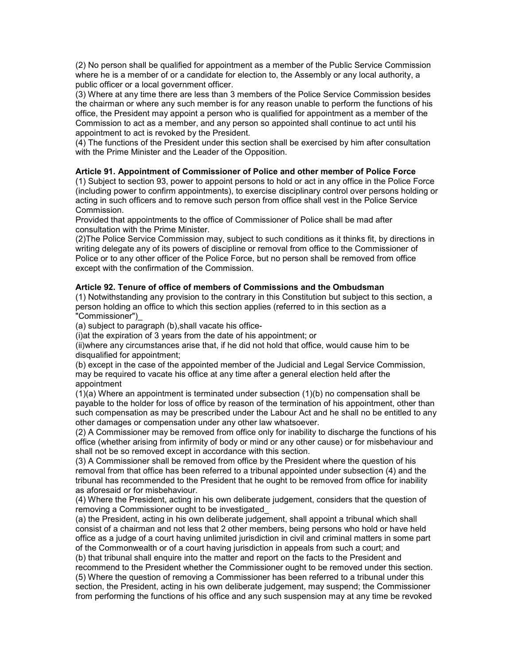(2) No person shall be qualified for appointment as a member of the Public Service Commission where he is a member of or a candidate for election to, the Assembly or any local authority, a public officer or a local government officer.

(3) Where at any time there are less than 3 members of the Police Service Commission besides the chairman or where any such member is for any reason unable to perform the functions of his office, the President may appoint a person who is qualified for appointment as a member of the Commission to act as a member, and any person so appointed shall continue to act until his appointment to act is revoked by the President.

(4) The functions of the President under this section shall be exercised by him after consultation with the Prime Minister and the Leader of the Opposition.

## **Article 91. Appointment of Commissioner of Police and other member of Police Force**

(1) Subject to section 93, power to appoint persons to hold or act in any office in the Police Force (including power to confirm appointments), to exercise disciplinary control over persons holding or acting in such officers and to remove such person from office shall vest in the Police Service Commission.

Provided that appointments to the office of Commissioner of Police shall be mad after consultation with the Prime Minister.

(2)The Police Service Commission may, subject to such conditions as it thinks fit, by directions in writing delegate any of its powers of discipline or removal from office to the Commissioner of Police or to any other officer of the Police Force, but no person shall be removed from office except with the confirmation of the Commission.

## **Article 92. Tenure of office of members of Commissions and the Ombudsman**

(1) Notwithstanding any provision to the contrary in this Constitution but subject to this section, a person holding an office to which this section applies (referred to in this section as a "Commissioner")\_

(a) subject to paragraph (b),shall vacate his office-

(i)at the expiration of 3 years from the date of his appointment; or

(ii)where any circumstances arise that, if he did not hold that office, would cause him to be disqualified for appointment;

(b) except in the case of the appointed member of the Judicial and Legal Service Commission, may be required to vacate his office at any time after a general election held after the appointment

(1)(a) Where an appointment is terminated under subsection (1)(b) no compensation shall be payable to the holder for loss of office by reason of the termination of his appointment, other than such compensation as may be prescribed under the Labour Act and he shall no be entitled to any other damages or compensation under any other law whatsoever.

(2) A Commissioner may be removed from office only for inability to discharge the functions of his office (whether arising from infirmity of body or mind or any other cause) or for misbehaviour and shall not be so removed except in accordance with this section.

(3) A Commissioner shall be removed from office by the President where the question of his removal from that office has been referred to a tribunal appointed under subsection (4) and the tribunal has recommended to the President that he ought to be removed from office for inability as aforesaid or for misbehaviour.

(4) Where the President, acting in his own deliberate judgement, considers that the question of removing a Commissioner ought to be investigated\_

(a) the President, acting in his own deliberate judgement, shall appoint a tribunal which shall consist of a chairman and not less that 2 other members, being persons who hold or have held office as a judge of a court having unlimited jurisdiction in civil and criminal matters in some part of the Commonwealth or of a court having jurisdiction in appeals from such a court; and

(b) that tribunal shall enquire into the matter and report on the facts to the President and recommend to the President whether the Commissioner ought to be removed under this section. (5) Where the question of removing a Commissioner has been referred to a tribunal under this section, the President, acting in his own deliberate judgement, may suspend; the Commissioner from performing the functions of his office and any such suspension may at any time be revoked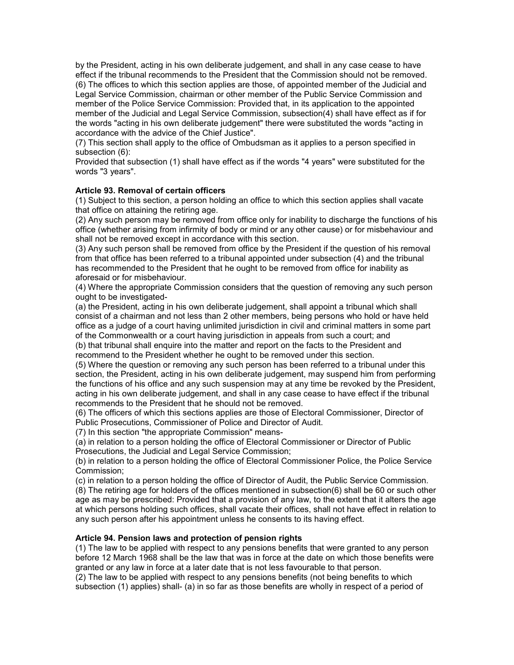by the President, acting in his own deliberate judgement, and shall in any case cease to have effect if the tribunal recommends to the President that the Commission should not be removed. (6) The offices to which this section applies are those, of appointed member of the Judicial and Legal Service Commission, chairman or other member of the Public Service Commission and member of the Police Service Commission: Provided that, in its application to the appointed member of the Judicial and Legal Service Commission, subsection(4) shall have effect as if for the words "acting in his own deliberate judgement" there were substituted the words "acting in accordance with the advice of the Chief Justice".

(7) This section shall apply to the office of Ombudsman as it applies to a person specified in subsection (6):

Provided that subsection (1) shall have effect as if the words "4 years" were substituted for the words "3 years".

### **Article 93. Removal of certain officers**

(1) Subject to this section, a person holding an office to which this section applies shall vacate that office on attaining the retiring age.

(2) Any such person may be removed from office only for inability to discharge the functions of his office (whether arising from infirmity of body or mind or any other cause) or for misbehaviour and shall not be removed except in accordance with this section.

(3) Any such person shall be removed from office by the President if the question of his removal from that office has been referred to a tribunal appointed under subsection (4) and the tribunal has recommended to the President that he ought to be removed from office for inability as aforesaid or for misbehaviour.

(4) Where the appropriate Commission considers that the question of removing any such person ought to be investigated-

(a) the President, acting in his own deliberate judgement, shall appoint a tribunal which shall consist of a chairman and not less than 2 other members, being persons who hold or have held office as a judge of a court having unlimited jurisdiction in civil and criminal matters in some part of the Commonwealth or a court having jurisdiction in appeals from such a court; and (b) that tribunal shall enquire into the matter and report on the facts to the President and recommend to the President whether he ought to be removed under this section.

(5) Where the question or removing any such person has been referred to a tribunal under this section, the President, acting in his own deliberate judgement, may suspend him from performing the functions of his office and any such suspension may at any time be revoked by the President, acting in his own deliberate judgement, and shall in any case cease to have effect if the tribunal recommends to the President that he should not be removed.

(6) The officers of which this sections applies are those of Electoral Commissioner, Director of Public Prosecutions, Commissioner of Police and Director of Audit.

(7) In this section "the appropriate Commission" means-

(a) in relation to a person holding the office of Electoral Commissioner or Director of Public Prosecutions, the Judicial and Legal Service Commission;

(b) in relation to a person holding the office of Electoral Commissioner Police, the Police Service Commission;

(c) in relation to a person holding the office of Director of Audit, the Public Service Commission.

(8) The retiring age for holders of the offices mentioned in subsection(6) shall be 60 or such other age as may be prescribed: Provided that a provision of any law, to the extent that it alters the age at which persons holding such offices, shall vacate their offices, shall not have effect in relation to any such person after his appointment unless he consents to its having effect.

### **Article 94. Pension laws and protection of pension rights**

(1) The law to be applied with respect to any pensions benefits that were granted to any person before 12 March 1968 shall be the law that was in force at the date on which those benefits were granted or any law in force at a later date that is not less favourable to that person.

(2) The law to be applied with respect to any pensions benefits (not being benefits to which subsection (1) applies) shall- (a) in so far as those benefits are wholly in respect of a period of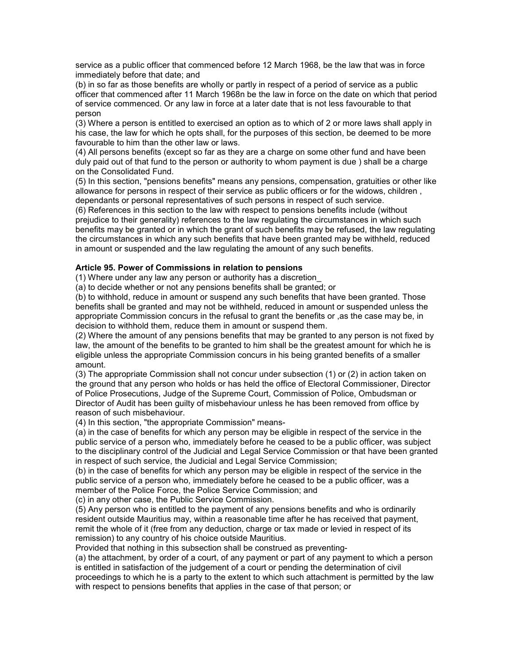service as a public officer that commenced before 12 March 1968, be the law that was in force immediately before that date; and

(b) in so far as those benefits are wholly or partly in respect of a period of service as a public officer that commenced after 11 March 1968n be the law in force on the date on which that period of service commenced. Or any law in force at a later date that is not less favourable to that person

(3) Where a person is entitled to exercised an option as to which of 2 or more laws shall apply in his case, the law for which he opts shall, for the purposes of this section, be deemed to be more favourable to him than the other law or laws.

(4) All persons benefits (except so far as they are a charge on some other fund and have been duly paid out of that fund to the person or authority to whom payment is due ) shall be a charge on the Consolidated Fund.

(5) In this section, "pensions benefits" means any pensions, compensation, gratuities or other like allowance for persons in respect of their service as public officers or for the widows, children , dependants or personal representatives of such persons in respect of such service.

(6) References in this section to the law with respect to pensions benefits include (without prejudice to their generality) references to the law regulating the circumstances in which such benefits may be granted or in which the grant of such benefits may be refused, the law regulating the circumstances in which any such benefits that have been granted may be withheld, reduced in amount or suspended and the law regulating the amount of any such benefits.

### **Article 95. Power of Commissions in relation to pensions**

(1) Where under any law any person or authority has a discretion\_

(a) to decide whether or not any pensions benefits shall be granted; or

(b) to withhold, reduce in amount or suspend any such benefits that have been granted. Those benefits shall be granted and may not be withheld, reduced in amount or suspended unless the appropriate Commission concurs in the refusal to grant the benefits or ,as the case may be, in decision to withhold them, reduce them in amount or suspend them.

(2) Where the amount of any pensions benefits that may be granted to any person is not fixed by law, the amount of the benefits to be granted to him shall be the greatest amount for which he is eligible unless the appropriate Commission concurs in his being granted benefits of a smaller amount.

(3) The appropriate Commission shall not concur under subsection (1) or (2) in action taken on the ground that any person who holds or has held the office of Electoral Commissioner, Director of Police Prosecutions, Judge of the Supreme Court, Commission of Police, Ombudsman or Director of Audit has been guilty of misbehaviour unless he has been removed from office by reason of such misbehaviour.

(4) In this section, "the appropriate Commission" means-

(a) in the case of benefits for which any person may be eligible in respect of the service in the public service of a person who, immediately before he ceased to be a public officer, was subject to the disciplinary control of the Judicial and Legal Service Commission or that have been granted in respect of such service, the Judicial and Legal Service Commission;

(b) in the case of benefits for which any person may be eligible in respect of the service in the public service of a person who, immediately before he ceased to be a public officer, was a member of the Police Force, the Police Service Commission; and

(c) in any other case, the Public Service Commission.

(5) Any person who is entitled to the payment of any pensions benefits and who is ordinarily resident outside Mauritius may, within a reasonable time after he has received that payment, remit the whole of it (free from any deduction, charge or tax made or levied in respect of its remission) to any country of his choice outside Mauritius.

Provided that nothing in this subsection shall be construed as preventing-

(a) the attachment, by order of a court, of any payment or part of any payment to which a person is entitled in satisfaction of the judgement of a court or pending the determination of civil proceedings to which he is a party to the extent to which such attachment is permitted by the law with respect to pensions benefits that applies in the case of that person; or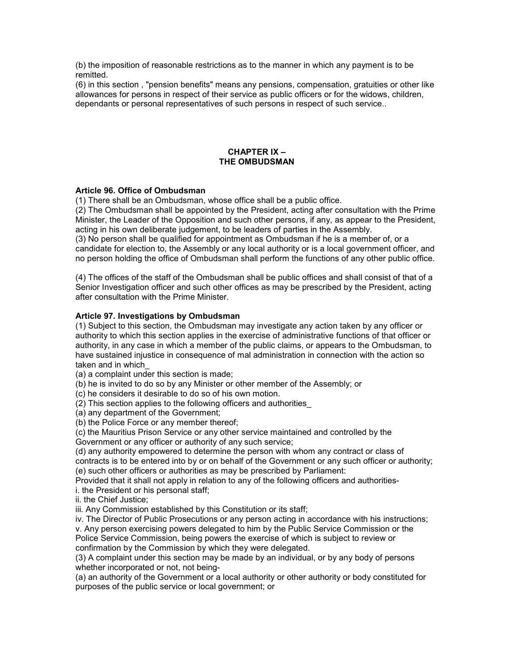(b) the imposition of reasonable restrictions as to the manner in which any payment is to be remitted.

(6) in this section , "pension benefits" means any pensions, compensation, gratuities or other like allowances for persons in respect of their service as public officers or for the widows, children, dependants or personal representatives of such persons in respect of such service..

### **CHAPTER IX – THE OMBUDSMAN**

### **Article 96. Office of Ombudsman**

(1) There shall be an Ombudsman, whose office shall be a public office.

(2) The Ombudsman shall be appointed by the President, acting after consultation with the Prime Minister, the Leader of the Opposition and such other persons, if any, as appear to the President, acting in his own deliberate judgement, to be leaders of parties in the Assembly.

(3) No person shall be qualified for appointment as Ombudsman if he is a member of, or a candidate for election to, the Assembly or any local authority or is a local government officer, and no person holding the office of Ombudsman shall perform the functions of any other public office.

(4) The offices of the staff of the Ombudsman shall be public offices and shall consist of that of a Senior Investigation officer and such other offices as may be prescribed by the President, acting after consultation with the Prime Minister.

## **Article 97. Investigations by Ombudsman**

(1) Subject to this section, the Ombudsman may investigate any action taken by any officer or authority to which this section applies in the exercise of administrative functions of that officer or authority, in any case in which a member of the public claims, or appears to the Ombudsman, to have sustained injustice in consequence of mal administration in connection with the action so taken and in which

(a) a complaint under this section is made;

(b) he is invited to do so by any Minister or other member of the Assembly; or

(c) he considers it desirable to do so of his own motion.

(2) This section applies to the following officers and authorities\_

(a) any department of the Government;

(b) the Police Force or any member thereof;

(c) the Mauritius Prison Service or any other service maintained and controlled by the

Government or any officer or authority of any such service;

(d) any authority empowered to determine the person with whom any contract or class of contracts is to be entered into by or on behalf of the Government or any such officer or authority;

(e) such other officers or authorities as may be prescribed by Parliament:

Provided that it shall not apply in relation to any of the following officers and authorities-

i. the President or his personal staff;

ii. the Chief Justice;

iii. Any Commission established by this Constitution or its staff;

iv. The Director of Public Prosecutions or any person acting in accordance with his instructions;

v. Any person exercising powers delegated to him by the Public Service Commission or the Police Service Commission, being powers the exercise of which is subject to review or confirmation by the Commission by which they were delegated.

(3) A complaint under this section may be made by an individual, or by any body of persons whether incorporated or not, not being-

(a) an authority of the Government or a local authority or other authority or body constituted for purposes of the public service or local government; or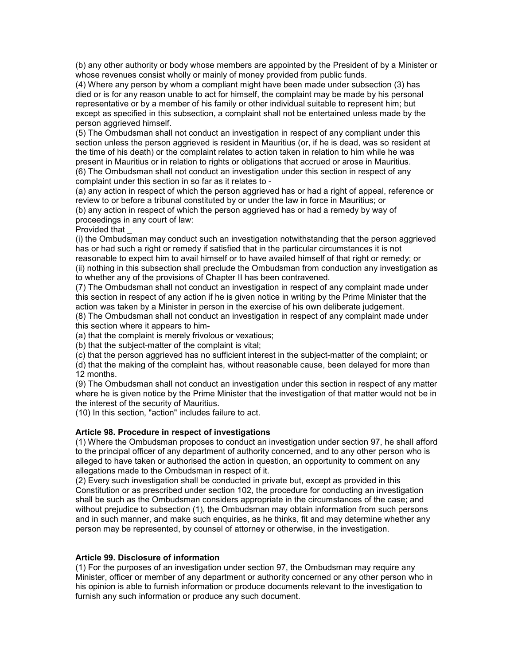(b) any other authority or body whose members are appointed by the President of by a Minister or whose revenues consist wholly or mainly of money provided from public funds.

(4) Where any person by whom a compliant might have been made under subsection (3) has died or is for any reason unable to act for himself, the complaint may be made by his personal representative or by a member of his family or other individual suitable to represent him; but except as specified in this subsection, a complaint shall not be entertained unless made by the person aggrieved himself.

(5) The Ombudsman shall not conduct an investigation in respect of any compliant under this section unless the person aggrieved is resident in Mauritius (or, if he is dead, was so resident at the time of his death) or the complaint relates to action taken in relation to him while he was present in Mauritius or in relation to rights or obligations that accrued or arose in Mauritius. (6) The Ombudsman shall not conduct an investigation under this section in respect of any complaint under this section in so far as it relates to -

(a) any action in respect of which the person aggrieved has or had a right of appeal, reference or review to or before a tribunal constituted by or under the law in force in Mauritius; or (b) any action in respect of which the person aggrieved has or had a remedy by way of proceedings in any court of law:

Provided that

(i) the Ombudsman may conduct such an investigation notwithstanding that the person aggrieved has or had such a right or remedy if satisfied that in the particular circumstances it is not reasonable to expect him to avail himself or to have availed himself of that right or remedy; or (ii) nothing in this subsection shall preclude the Ombudsman from conduction any investigation as to whether any of the provisions of Chapter II has been contravened.

(7) The Ombudsman shall not conduct an investigation in respect of any complaint made under this section in respect of any action if he is given notice in writing by the Prime Minister that the action was taken by a Minister in person in the exercise of his own deliberate judgement.

(8) The Ombudsman shall not conduct an investigation in respect of any complaint made under this section where it appears to him-

(a) that the complaint is merely frivolous or vexatious;

(b) that the subject-matter of the complaint is vital;

(c) that the person aggrieved has no sufficient interest in the subject-matter of the complaint; or

(d) that the making of the complaint has, without reasonable cause, been delayed for more than 12 months.

(9) The Ombudsman shall not conduct an investigation under this section in respect of any matter where he is given notice by the Prime Minister that the investigation of that matter would not be in the interest of the security of Mauritius.

(10) In this section, "action" includes failure to act.

## **Article 98. Procedure in respect of investigations**

(1) Where the Ombudsman proposes to conduct an investigation under section 97, he shall afford to the principal officer of any department of authority concerned, and to any other person who is alleged to have taken or authorised the action in question, an opportunity to comment on any allegations made to the Ombudsman in respect of it.

(2) Every such investigation shall be conducted in private but, except as provided in this Constitution or as prescribed under section 102, the procedure for conducting an investigation shall be such as the Ombudsman considers appropriate in the circumstances of the case; and without prejudice to subsection (1), the Ombudsman may obtain information from such persons and in such manner, and make such enquiries, as he thinks, fit and may determine whether any person may be represented, by counsel of attorney or otherwise, in the investigation.

## **Article 99. Disclosure of information**

(1) For the purposes of an investigation under section 97, the Ombudsman may require any Minister, officer or member of any department or authority concerned or any other person who in his opinion is able to furnish information or produce documents relevant to the investigation to furnish any such information or produce any such document.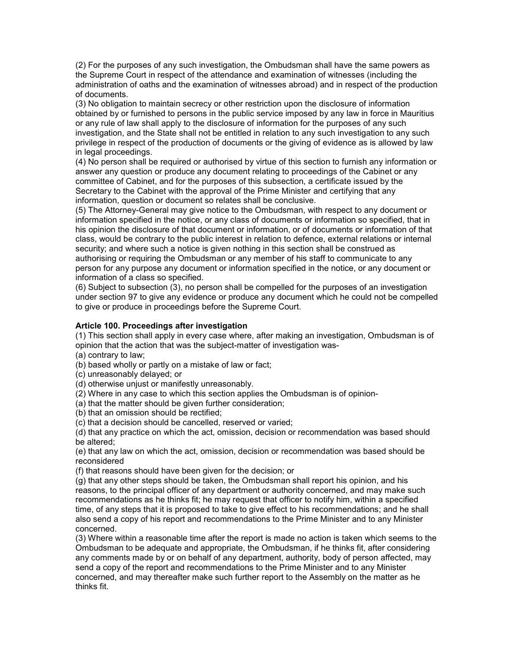(2) For the purposes of any such investigation, the Ombudsman shall have the same powers as the Supreme Court in respect of the attendance and examination of witnesses (including the administration of oaths and the examination of witnesses abroad) and in respect of the production of documents.

(3) No obligation to maintain secrecy or other restriction upon the disclosure of information obtained by or furnished to persons in the public service imposed by any law in force in Mauritius or any rule of law shall apply to the disclosure of information for the purposes of any such investigation, and the State shall not be entitled in relation to any such investigation to any such privilege in respect of the production of documents or the giving of evidence as is allowed by law in legal proceedings.

(4) No person shall be required or authorised by virtue of this section to furnish any information or answer any question or produce any document relating to proceedings of the Cabinet or any committee of Cabinet, and for the purposes of this subsection, a certificate issued by the Secretary to the Cabinet with the approval of the Prime Minister and certifying that any information, question or document so relates shall be conclusive.

(5) The Attorney-General may give notice to the Ombudsman, with respect to any document or information specified in the notice, or any class of documents or information so specified, that in his opinion the disclosure of that document or information, or of documents or information of that class, would be contrary to the public interest in relation to defence, external relations or internal security; and where such a notice is given nothing in this section shall be construed as authorising or requiring the Ombudsman or any member of his staff to communicate to any person for any purpose any document or information specified in the notice, or any document or information of a class so specified.

(6) Subject to subsection (3), no person shall be compelled for the purposes of an investigation under section 97 to give any evidence or produce any document which he could not be compelled to give or produce in proceedings before the Supreme Court.

## **Article 100. Proceedings after investigation**

(1) This section shall apply in every case where, after making an investigation, Ombudsman is of opinion that the action that was the subject-matter of investigation was-

- (a) contrary to law;
- (b) based wholly or partly on a mistake of law or fact;
- (c) unreasonably delayed; or
- (d) otherwise unjust or manifestly unreasonably.
- (2) Where in any case to which this section applies the Ombudsman is of opinion-
- (a) that the matter should be given further consideration;
- (b) that an omission should be rectified;
- (c) that a decision should be cancelled, reserved or varied;

(d) that any practice on which the act, omission, decision or recommendation was based should be altered;

(e) that any law on which the act, omission, decision or recommendation was based should be reconsidered

(f) that reasons should have been given for the decision; or

(g) that any other steps should be taken, the Ombudsman shall report his opinion, and his reasons, to the principal officer of any department or authority concerned, and may make such recommendations as he thinks fit; he may request that officer to notify him, within a specified time, of any steps that it is proposed to take to give effect to his recommendations; and he shall also send a copy of his report and recommendations to the Prime Minister and to any Minister concerned.

(3) Where within a reasonable time after the report is made no action is taken which seems to the Ombudsman to be adequate and appropriate, the Ombudsman, if he thinks fit, after considering any comments made by or on behalf of any department, authority, body of person affected, may send a copy of the report and recommendations to the Prime Minister and to any Minister concerned, and may thereafter make such further report to the Assembly on the matter as he thinks fit.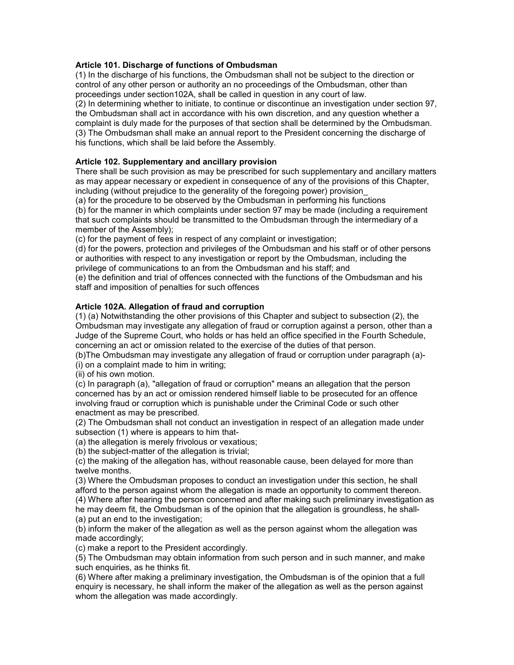## **Article 101. Discharge of functions of Ombudsman**

(1) In the discharge of his functions, the Ombudsman shall not be subject to the direction or control of any other person or authority an no proceedings of the Ombudsman, other than proceedings under section102A, shall be called in question in any court of law.

(2) In determining whether to initiate, to continue or discontinue an investigation under section 97, the Ombudsman shall act in accordance with his own discretion, and any question whether a complaint is duly made for the purposes of that section shall be determined by the Ombudsman. (3) The Ombudsman shall make an annual report to the President concerning the discharge of his functions, which shall be laid before the Assembly.

### **Article 102. Supplementary and ancillary provision**

There shall be such provision as may be prescribed for such supplementary and ancillary matters as may appear necessary or expedient in consequence of any of the provisions of this Chapter, including (without prejudice to the generality of the foregoing power) provision\_

(a) for the procedure to be observed by the Ombudsman in performing his functions

(b) for the manner in which complaints under section 97 may be made (including a requirement that such complaints should be transmitted to the Ombudsman through the intermediary of a member of the Assembly);

(c) for the payment of fees in respect of any complaint or investigation;

(d) for the powers, protection and privileges of the Ombudsman and his staff or of other persons or authorities with respect to any investigation or report by the Ombudsman, including the privilege of communications to an from the Ombudsman and his staff; and

(e) the definition and trial of offences connected with the functions of the Ombudsman and his staff and imposition of penalties for such offences

### **Article 102A. Allegation of fraud and corruption**

(1) (a) Notwithstanding the other provisions of this Chapter and subject to subsection (2), the Ombudsman may investigate any allegation of fraud or corruption against a person, other than a Judge of the Supreme Court, who holds or has held an office specified in the Fourth Schedule, concerning an act or omission related to the exercise of the duties of that person.

(b)The Ombudsman may investigate any allegation of fraud or corruption under paragraph (a)- (i) on a complaint made to him in writing;

(ii) of his own motion.

(c) In paragraph (a), "allegation of fraud or corruption" means an allegation that the person concerned has by an act or omission rendered himself liable to be prosecuted for an offence involving fraud or corruption which is punishable under the Criminal Code or such other enactment as may be prescribed.

(2) The Ombudsman shall not conduct an investigation in respect of an allegation made under subsection (1) where is appears to him that-

(a) the allegation is merely frivolous or vexatious;

(b) the subject-matter of the allegation is trivial;

(c) the making of the allegation has, without reasonable cause, been delayed for more than twelve months.

(3) Where the Ombudsman proposes to conduct an investigation under this section, he shall afford to the person against whom the allegation is made an opportunity to comment thereon.

(4) Where after hearing the person concerned and after making such preliminary investigation as he may deem fit, the Ombudsman is of the opinion that the allegation is groundless, he shall-

(a) put an end to the investigation;

(b) inform the maker of the allegation as well as the person against whom the allegation was made accordingly;

(c) make a report to the President accordingly.

(5) The Ombudsman may obtain information from such person and in such manner, and make such enquiries, as he thinks fit.

(6) Where after making a preliminary investigation, the Ombudsman is of the opinion that a full enquiry is necessary, he shall inform the maker of the allegation as well as the person against whom the allegation was made accordingly.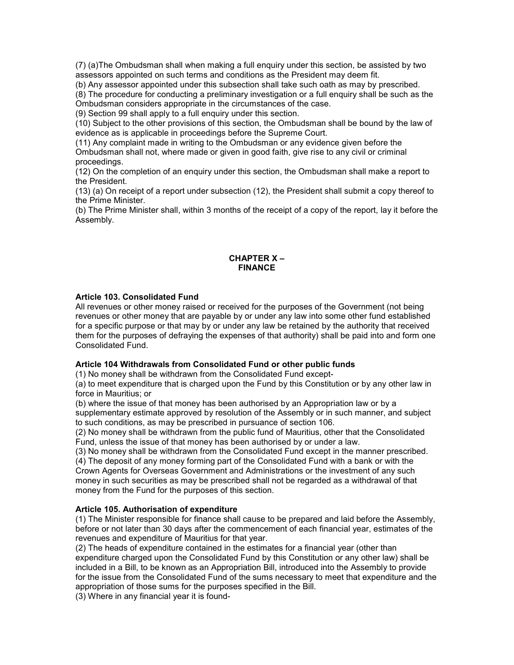(7) (a)The Ombudsman shall when making a full enquiry under this section, be assisted by two assessors appointed on such terms and conditions as the President may deem fit.

(b) Any assessor appointed under this subsection shall take such oath as may by prescribed.

(8) The procedure for conducting a preliminary investigation or a full enquiry shall be such as the Ombudsman considers appropriate in the circumstances of the case.

(9) Section 99 shall apply to a full enquiry under this section.

(10) Subject to the other provisions of this section, the Ombudsman shall be bound by the law of evidence as is applicable in proceedings before the Supreme Court.

(11) Any complaint made in writing to the Ombudsman or any evidence given before the Ombudsman shall not, where made or given in good faith, give rise to any civil or criminal proceedings.

(12) On the completion of an enquiry under this section, the Ombudsman shall make a report to the President.

(13) (a) On receipt of a report under subsection (12), the President shall submit a copy thereof to the Prime Minister.

(b) The Prime Minister shall, within 3 months of the receipt of a copy of the report, lay it before the Assembly.

### **CHAPTER X – FINANCE**

### **Article 103. Consolidated Fund**

All revenues or other money raised or received for the purposes of the Government (not being revenues or other money that are payable by or under any law into some other fund established for a specific purpose or that may by or under any law be retained by the authority that received them for the purposes of defraying the expenses of that authority) shall be paid into and form one Consolidated Fund.

## **Article 104 Withdrawals from Consolidated Fund or other public funds**

(1) No money shall be withdrawn from the Consolidated Fund except-

(a) to meet expenditure that is charged upon the Fund by this Constitution or by any other law in force in Mauritius; or

(b) where the issue of that money has been authorised by an Appropriation law or by a supplementary estimate approved by resolution of the Assembly or in such manner, and subject to such conditions, as may be prescribed in pursuance of section 106.

(2) No money shall be withdrawn from the public fund of Mauritius, other that the Consolidated Fund, unless the issue of that money has been authorised by or under a law.

(3) No money shall be withdrawn from the Consolidated Fund except in the manner prescribed.

(4) The deposit of any money forming part of the Consolidated Fund with a bank or with the Crown Agents for Overseas Government and Administrations or the investment of any such money in such securities as may be prescribed shall not be regarded as a withdrawal of that money from the Fund for the purposes of this section.

### **Article 105. Authorisation of expenditure**

(1) The Minister responsible for finance shall cause to be prepared and laid before the Assembly, before or not later than 30 days after the commencement of each financial year, estimates of the revenues and expenditure of Mauritius for that year.

(2) The heads of expenditure contained in the estimates for a financial year (other than expenditure charged upon the Consolidated Fund by this Constitution or any other law) shall be included in a Bill, to be known as an Appropriation Bill, introduced into the Assembly to provide for the issue from the Consolidated Fund of the sums necessary to meet that expenditure and the appropriation of those sums for the purposes specified in the Bill.

(3) Where in any financial year it is found-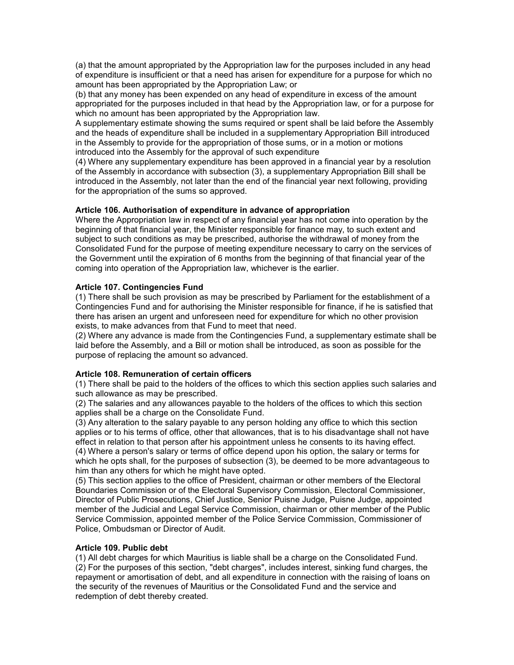(a) that the amount appropriated by the Appropriation law for the purposes included in any head of expenditure is insufficient or that a need has arisen for expenditure for a purpose for which no amount has been appropriated by the Appropriation Law; or

(b) that any money has been expended on any head of expenditure in excess of the amount appropriated for the purposes included in that head by the Appropriation law, or for a purpose for which no amount has been appropriated by the Appropriation law.

A supplementary estimate showing the sums required or spent shall be laid before the Assembly and the heads of expenditure shall be included in a supplementary Appropriation Bill introduced in the Assembly to provide for the appropriation of those sums, or in a motion or motions introduced into the Assembly for the approval of such expenditure

(4) Where any supplementary expenditure has been approved in a financial year by a resolution of the Assembly in accordance with subsection (3), a supplementary Appropriation Bill shall be introduced in the Assembly, not later than the end of the financial year next following, providing for the appropriation of the sums so approved.

## **Article 106. Authorisation of expenditure in advance of appropriation**

Where the Appropriation law in respect of any financial year has not come into operation by the beginning of that financial year, the Minister responsible for finance may, to such extent and subject to such conditions as may be prescribed, authorise the withdrawal of money from the Consolidated Fund for the purpose of meeting expenditure necessary to carry on the services of the Government until the expiration of 6 months from the beginning of that financial year of the coming into operation of the Appropriation law, whichever is the earlier.

## **Article 107. Contingencies Fund**

(1) There shall be such provision as may be prescribed by Parliament for the establishment of a Contingencies Fund and for authorising the Minister responsible for finance, if he is satisfied that there has arisen an urgent and unforeseen need for expenditure for which no other provision exists, to make advances from that Fund to meet that need.

(2) Where any advance is made from the Contingencies Fund, a supplementary estimate shall be laid before the Assembly, and a Bill or motion shall be introduced, as soon as possible for the purpose of replacing the amount so advanced.

## **Article 108. Remuneration of certain officers**

(1) There shall be paid to the holders of the offices to which this section applies such salaries and such allowance as may be prescribed.

(2) The salaries and any allowances payable to the holders of the offices to which this section applies shall be a charge on the Consolidate Fund.

(3) Any alteration to the salary payable to any person holding any office to which this section applies or to his terms of office, other that allowances, that is to his disadvantage shall not have effect in relation to that person after his appointment unless he consents to its having effect. (4) Where a person's salary or terms of office depend upon his option, the salary or terms for which he opts shall, for the purposes of subsection (3), be deemed to be more advantageous to him than any others for which he might have opted.

(5) This section applies to the office of President, chairman or other members of the Electoral Boundaries Commission or of the Electoral Supervisory Commission, Electoral Commissioner, Director of Public Prosecutions, Chief Justice, Senior Puisne Judge, Puisne Judge, appointed member of the Judicial and Legal Service Commission, chairman or other member of the Public Service Commission, appointed member of the Police Service Commission, Commissioner of Police, Ombudsman or Director of Audit.

### **Article 109. Public debt**

(1) All debt charges for which Mauritius is liable shall be a charge on the Consolidated Fund. (2) For the purposes of this section, "debt charges", includes interest, sinking fund charges, the repayment or amortisation of debt, and all expenditure in connection with the raising of loans on the security of the revenues of Mauritius or the Consolidated Fund and the service and redemption of debt thereby created.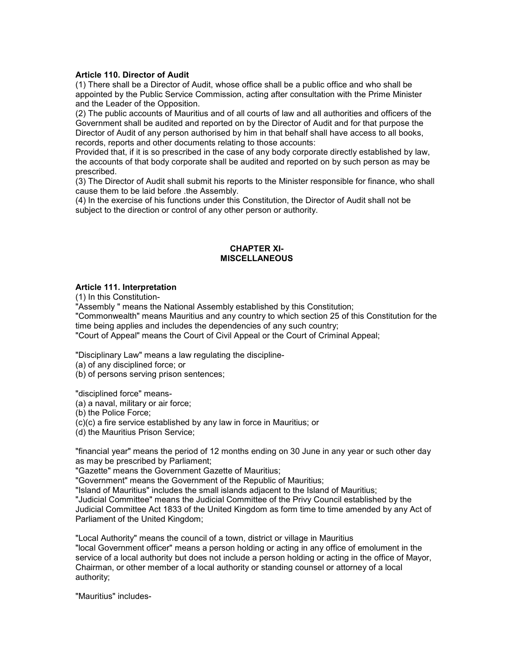### **Article 110. Director of Audit**

(1) There shall be a Director of Audit, whose office shall be a public office and who shall be appointed by the Public Service Commission, acting after consultation with the Prime Minister and the Leader of the Opposition.

(2) The public accounts of Mauritius and of all courts of law and all authorities and officers of the Government shall be audited and reported on by the Director of Audit and for that purpose the Director of Audit of any person authorised by him in that behalf shall have access to all books, records, reports and other documents relating to those accounts:

Provided that, if it is so prescribed in the case of any body corporate directly established by law, the accounts of that body corporate shall be audited and reported on by such person as may be prescribed.

(3) The Director of Audit shall submit his reports to the Minister responsible for finance, who shall cause them to be laid before .the Assembly.

(4) In the exercise of his functions under this Constitution, the Director of Audit shall not be subject to the direction or control of any other person or authority.

### **CHAPTER XI-MISCELLANEOUS**

#### **Article 111. Interpretation**

(1) In this Constitution-

"Assembly " means the National Assembly established by this Constitution;

"Commonwealth" means Mauritius and any country to which section 25 of this Constitution for the time being applies and includes the dependencies of any such country;

"Court of Appeal" means the Court of Civil Appeal or the Court of Criminal Appeal;

"Disciplinary Law" means a law regulating the discipline-

(a) of any disciplined force; or

(b) of persons serving prison sentences;

"disciplined force" means-

(a) a naval, military or air force;

(b) the Police Force;

(c)(c) a fire service established by any law in force in Mauritius; or

(d) the Mauritius Prison Service;

"financial year" means the period of 12 months ending on 30 June in any year or such other day as may be prescribed by Parliament;

"Gazette" means the Government Gazette of Mauritius;

"Government" means the Government of the Republic of Mauritius;

"Island of Mauritius" includes the small islands adjacent to the Island of Mauritius;

"Judicial Committee" means the Judicial Committee of the Privy Council established by the Judicial Committee Act 1833 of the United Kingdom as form time to time amended by any Act of Parliament of the United Kingdom;

"Local Authority" means the council of a town, district or village in Mauritius "local Government officer" means a person holding or acting in any office of emolument in the service of a local authority but does not include a person holding or acting in the office of Mayor, Chairman, or other member of a local authority or standing counsel or attorney of a local authority;

"Mauritius" includes-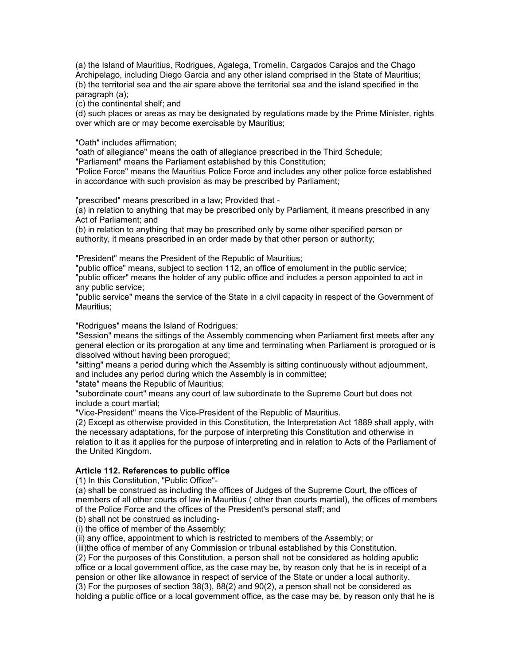(a) the Island of Mauritius, Rodrigues, Agalega, Tromelin, Cargados Carajos and the Chago Archipelago, including Diego Garcia and any other island comprised in the State of Mauritius; (b) the territorial sea and the air spare above the territorial sea and the island specified in the paragraph (a);

(c) the continental shelf; and

(d) such places or areas as may be designated by regulations made by the Prime Minister, rights over which are or may become exercisable by Mauritius;

"Oath" includes affirmation;

"oath of allegiance" means the oath of allegiance prescribed in the Third Schedule;

"Parliament" means the Parliament established by this Constitution;

"Police Force" means the Mauritius Police Force and includes any other police force established in accordance with such provision as may be prescribed by Parliament;

"prescribed" means prescribed in a law; Provided that -

(a) in relation to anything that may be prescribed only by Parliament, it means prescribed in any Act of Parliament; and

(b) in relation to anything that may be prescribed only by some other specified person or authority, it means prescribed in an order made by that other person or authority;

"President" means the President of the Republic of Mauritius;

"public office" means, subject to section 112, an office of emolument in the public service; "public officer" means the holder of any public office and includes a person appointed to act in any public service;

"public service" means the service of the State in a civil capacity in respect of the Government of Mauritius;

"Rodrigues" means the Island of Rodrigues;

"Session" means the sittings of the Assembly commencing when Parliament first meets after any general election or its prorogation at any time and terminating when Parliament is prorogued or is dissolved without having been prorogued;

"sitting" means a period during which the Assembly is sitting continuously without adjournment, and includes any period during which the Assembly is in committee;

"state" means the Republic of Mauritius;

"subordinate court" means any court of law subordinate to the Supreme Court but does not include a court martial;

"Vice-President" means the Vice-President of the Republic of Mauritius.

(2) Except as otherwise provided in this Constitution, the Interpretation Act 1889 shall apply, with the necessary adaptations, for the purpose of interpreting this Constitution and otherwise in relation to it as it applies for the purpose of interpreting and in relation to Acts of the Parliament of the United Kingdom.

### **Article 112. References to public office**

(1) In this Constitution, "Public Office"-

(a) shall be construed as including the offices of Judges of the Supreme Court, the offices of members of all other courts of law in Mauritius ( other than courts martial), the offices of members of the Police Force and the offices of the President's personal staff; and

(b) shall not be construed as including-

(i) the office of member of the Assembly;

(ii) any office, appointment to which is restricted to members of the Assembly; or

(iii)the office of member of any Commission or tribunal established by this Constitution.

(2) For the purposes of this Constitution, a person shall not be considered as holding apublic office or a local government office, as the case may be, by reason only that he is in receipt of a pension or other like allowance in respect of service of the State or under a local authority. (3) For the purposes of section 38(3), 88(2) and 90(2), a person shall not be considered as

holding a public office or a local government office, as the case may be, by reason only that he is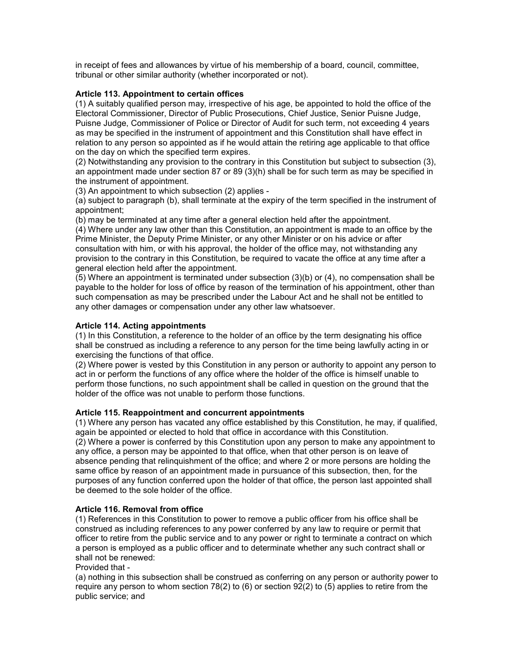in receipt of fees and allowances by virtue of his membership of a board, council, committee, tribunal or other similar authority (whether incorporated or not).

## **Article 113. Appointment to certain offices**

(1) A suitably qualified person may, irrespective of his age, be appointed to hold the office of the Electoral Commissioner, Director of Public Prosecutions, Chief Justice, Senior Puisne Judge, Puisne Judge, Commissioner of Police or Director of Audit for such term, not exceeding 4 years as may be specified in the instrument of appointment and this Constitution shall have effect in relation to any person so appointed as if he would attain the retiring age applicable to that office on the day on which the specified term expires.

(2) Notwithstanding any provision to the contrary in this Constitution but subject to subsection (3), an appointment made under section 87 or 89 (3)(h) shall be for such term as may be specified in the instrument of appointment.

(3) An appointment to which subsection (2) applies -

(a) subject to paragraph (b), shall terminate at the expiry of the term specified in the instrument of appointment;

(b) may be terminated at any time after a general election held after the appointment.

(4) Where under any law other than this Constitution, an appointment is made to an office by the Prime Minister, the Deputy Prime Minister, or any other Minister or on his advice or after consultation with him, or with his approval, the holder of the office may, not withstanding any provision to the contrary in this Constitution, be required to vacate the office at any time after a general election held after the appointment.

(5) Where an appointment is terminated under subsection (3)(b) or (4), no compensation shall be payable to the holder for loss of office by reason of the termination of his appointment, other than such compensation as may be prescribed under the Labour Act and he shall not be entitled to any other damages or compensation under any other law whatsoever.

## **Article 114. Acting appointments**

(1) In this Constitution, a reference to the holder of an office by the term designating his office shall be construed as including a reference to any person for the time being lawfully acting in or exercising the functions of that office.

(2) Where power is vested by this Constitution in any person or authority to appoint any person to act in or perform the functions of any office where the holder of the office is himself unable to perform those functions, no such appointment shall be called in question on the ground that the holder of the office was not unable to perform those functions.

## **Article 115. Reappointment and concurrent appointments**

(1) Where any person has vacated any office established by this Constitution, he may, if qualified, again be appointed or elected to hold that office in accordance with this Constitution. (2) Where a power is conferred by this Constitution upon any person to make any appointment to any office, a person may be appointed to that office, when that other person is on leave of absence pending that relinquishment of the office; and where 2 or more persons are holding the same office by reason of an appointment made in pursuance of this subsection, then, for the purposes of any function conferred upon the holder of that office, the person last appointed shall be deemed to the sole holder of the office.

## **Article 116. Removal from office**

(1) References in this Constitution to power to remove a public officer from his office shall be construed as including references to any power conferred by any law to require or permit that officer to retire from the public service and to any power or right to terminate a contract on which a person is employed as a public officer and to determinate whether any such contract shall or shall not be renewed:

## Provided that -

(a) nothing in this subsection shall be construed as conferring on any person or authority power to require any person to whom section 78(2) to (6) or section 92(2) to (5) applies to retire from the public service; and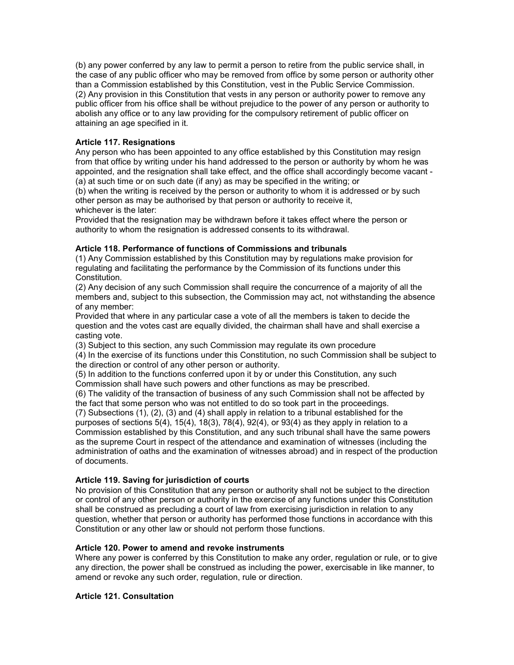(b) any power conferred by any law to permit a person to retire from the public service shall, in the case of any public officer who may be removed from office by some person or authority other than a Commission established by this Constitution, vest in the Public Service Commission. (2) Any provision in this Constitution that vests in any person or authority power to remove any public officer from his office shall be without prejudice to the power of any person or authority to abolish any office or to any law providing for the compulsory retirement of public officer on attaining an age specified in it.

## **Article 117. Resignations**

Any person who has been appointed to any office established by this Constitution may resign from that office by writing under his hand addressed to the person or authority by whom he was appointed, and the resignation shall take effect, and the office shall accordingly become vacant - (a) at such time or on such date (if any) as may be specified in the writing; or

(b) when the writing is received by the person or authority to whom it is addressed or by such other person as may be authorised by that person or authority to receive it, whichever is the later:

Provided that the resignation may be withdrawn before it takes effect where the person or authority to whom the resignation is addressed consents to its withdrawal.

## **Article 118. Performance of functions of Commissions and tribunals**

(1) Any Commission established by this Constitution may by regulations make provision for regulating and facilitating the performance by the Commission of its functions under this Constitution.

(2) Any decision of any such Commission shall require the concurrence of a majority of all the members and, subject to this subsection, the Commission may act, not withstanding the absence of any member:

Provided that where in any particular case a vote of all the members is taken to decide the question and the votes cast are equally divided, the chairman shall have and shall exercise a casting vote.

(3) Subject to this section, any such Commission may regulate its own procedure

(4) In the exercise of its functions under this Constitution, no such Commission shall be subject to the direction or control of any other person or authority.

(5) In addition to the functions conferred upon it by or under this Constitution, any such Commission shall have such powers and other functions as may be prescribed.

(6) The validity of the transaction of business of any such Commission shall not be affected by the fact that some person who was not entitled to do so took part in the proceedings.

(7) Subsections (1), (2), (3) and (4) shall apply in relation to a tribunal established for the purposes of sections 5(4), 15(4), 18(3), 78(4), 92(4), or 93(4) as they apply in relation to a Commission established by this Constitution, and any such tribunal shall have the same powers as the supreme Court in respect of the attendance and examination of witnesses (including the administration of oaths and the examination of witnesses abroad) and in respect of the production of documents.

### **Article 119. Saving for jurisdiction of courts**

No provision of this Constitution that any person or authority shall not be subject to the direction or control of any other person or authority in the exercise of any functions under this Constitution shall be construed as precluding a court of law from exercising jurisdiction in relation to any question, whether that person or authority has performed those functions in accordance with this Constitution or any other law or should not perform those functions.

### **Article 120. Power to amend and revoke instruments**

Where any power is conferred by this Constitution to make any order, regulation or rule, or to give any direction, the power shall be construed as including the power, exercisable in like manner, to amend or revoke any such order, regulation, rule or direction.

## **Article 121. Consultation**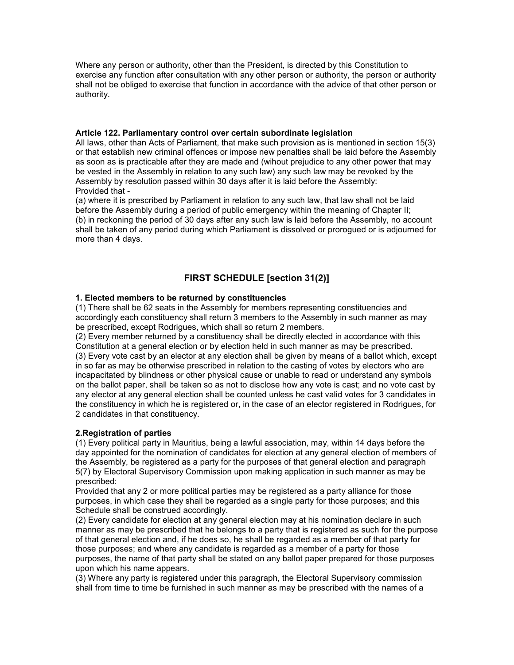Where any person or authority, other than the President, is directed by this Constitution to exercise any function after consultation with any other person or authority, the person or authority shall not be obliged to exercise that function in accordance with the advice of that other person or authority.

#### **Article 122. Parliamentary control over certain subordinate legislation**

All laws, other than Acts of Parliament, that make such provision as is mentioned in section 15(3) or that establish new criminal offences or impose new penalties shall be laid before the Assembly as soon as is practicable after they are made and (wihout prejudice to any other power that may be vested in the Assembly in relation to any such law) any such law may be revoked by the Assembly by resolution passed within 30 days after it is laid before the Assembly: Provided that -

(a) where it is prescribed by Parliament in relation to any such law, that law shall not be laid before the Assembly during a period of public emergency within the meaning of Chapter II; (b) in reckoning the period of 30 days after any such law is laid before the Assembly, no account shall be taken of any period during which Parliament is dissolved or prorogued or is adjourned for more than 4 days.

# **FIRST SCHEDULE [section 31(2)]**

## **1. Elected members to be returned by constituencies**

(1) There shall be 62 seats in the Assembly for members representing constituencies and accordingly each constituency shall return 3 members to the Assembly in such manner as may be prescribed, except Rodrigues, which shall so return 2 members.

(2) Every member returned by a constituency shall be directly elected in accordance with this Constitution at a general election or by election held in such manner as may be prescribed. (3) Every vote cast by an elector at any election shall be given by means of a ballot which, except in so far as may be otherwise prescribed in relation to the casting of votes by electors who are incapacitated by blindness or other physical cause or unable to read or understand any symbols on the ballot paper, shall be taken so as not to disclose how any vote is cast; and no vote cast by any elector at any general election shall be counted unless he cast valid votes for 3 candidates in the constituency in which he is registered or, in the case of an elector registered in Rodrigues, for 2 candidates in that constituency.

### **2.Registration of parties**

(1) Every political party in Mauritius, being a lawful association, may, within 14 days before the day appointed for the nomination of candidates for election at any general election of members of the Assembly, be registered as a party for the purposes of that general election and paragraph 5(7) by Electoral Supervisory Commission upon making application in such manner as may be prescribed:

Provided that any 2 or more political parties may be registered as a party alliance for those purposes, in which case they shall be regarded as a single party for those purposes; and this Schedule shall be construed accordingly.

(2) Every candidate for election at any general election may at his nomination declare in such manner as may be prescribed that he belongs to a party that is registered as such for the purpose of that general election and, if he does so, he shall be regarded as a member of that party for those purposes; and where any candidate is regarded as a member of a party for those purposes, the name of that party shall be stated on any ballot paper prepared for those purposes upon which his name appears.

(3) Where any party is registered under this paragraph, the Electoral Supervisory commission shall from time to time be furnished in such manner as may be prescribed with the names of a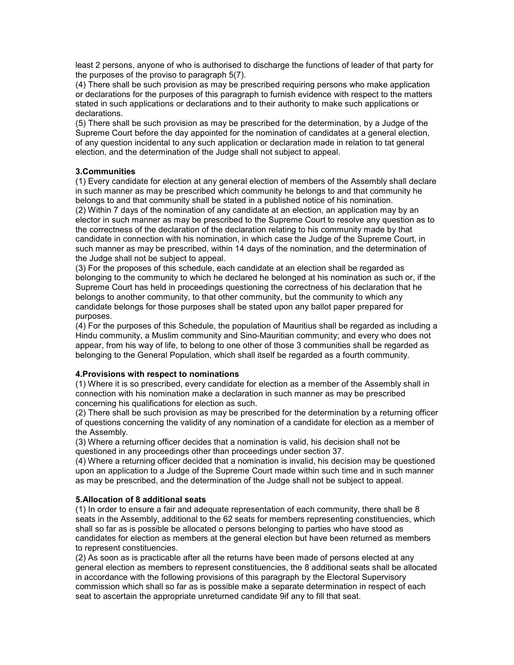least 2 persons, anyone of who is authorised to discharge the functions of leader of that party for the purposes of the proviso to paragraph 5(7).

(4) There shall be such provision as may be prescribed requiring persons who make application or declarations for the purposes of this paragraph to furnish evidence with respect to the matters stated in such applications or declarations and to their authority to make such applications or declarations.

(5) There shall be such provision as may be prescribed for the determination, by a Judge of the Supreme Court before the day appointed for the nomination of candidates at a general election, of any question incidental to any such application or declaration made in relation to tat general election, and the determination of the Judge shall not subject to appeal.

## **3.Communities**

(1) Every candidate for election at any general election of members of the Assembly shall declare in such manner as may be prescribed which community he belongs to and that community he belongs to and that community shall be stated in a published notice of his nomination.

(2) Within 7 days of the nomination of any candidate at an election, an application may by an elector in such manner as may be prescribed to the Supreme Court to resolve any question as to the correctness of the declaration of the declaration relating to his community made by that candidate in connection with his nomination, in which case the Judge of the Supreme Court, in such manner as may be prescribed, within 14 days of the nomination, and the determination of the Judge shall not be subject to appeal.

(3) For the proposes of this schedule, each candidate at an election shall be regarded as belonging to the community to which he declared he belonged at his nomination as such or, if the Supreme Court has held in proceedings questioning the correctness of his declaration that he belongs to another community, to that other community, but the community to which any candidate belongs for those purposes shall be stated upon any ballot paper prepared for purposes.

(4) For the purposes of this Schedule, the population of Mauritius shall be regarded as including a Hindu community, a Muslim community and Sino-Mauritian community; and every who does not appear, from his way of life, to belong to one other of those 3 communities shall be regarded as belonging to the General Population, which shall itself be regarded as a fourth community.

### **4.Provisions with respect to nominations**

(1) Where it is so prescribed, every candidate for election as a member of the Assembly shall in connection with his nomination make a declaration in such manner as may be prescribed concerning his qualifications for election as such.

(2) There shall be such provision as may be prescribed for the determination by a returning officer of questions concerning the validity of any nomination of a candidate for election as a member of the Assembly.

(3) Where a returning officer decides that a nomination is valid, his decision shall not be questioned in any proceedings other than proceedings under section 37.

(4) Where a returning officer decided that a nomination is invalid, his decision may be questioned upon an application to a Judge of the Supreme Court made within such time and in such manner as may be prescribed, and the determination of the Judge shall not be subject to appeal.

### **5.Allocation of 8 additional seats**

(1) In order to ensure a fair and adequate representation of each community, there shall be 8 seats in the Assembly, additional to the 62 seats for members representing constituencies, which shall so far as is possible be allocated o persons belonging to parties who have stood as candidates for election as members at the general election but have been returned as members to represent constituencies.

(2) As soon as is practicable after all the returns have been made of persons elected at any general election as members to represent constituencies, the 8 additional seats shall be allocated in accordance with the following provisions of this paragraph by the Electoral Supervisory commission which shall so far as is possible make a separate determination in respect of each seat to ascertain the appropriate unreturned candidate 9if any to fill that seat.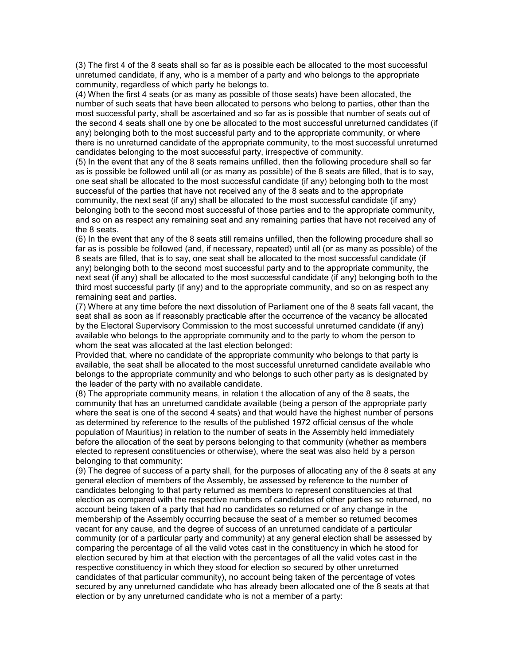(3) The first 4 of the 8 seats shall so far as is possible each be allocated to the most successful unreturned candidate, if any, who is a member of a party and who belongs to the appropriate community, regardless of which party he belongs to.

(4) When the first 4 seats (or as many as possible of those seats) have been allocated, the number of such seats that have been allocated to persons who belong to parties, other than the most successful party, shall be ascertained and so far as is possible that number of seats out of the second 4 seats shall one by one be allocated to the most successful unreturned candidates (if any) belonging both to the most successful party and to the appropriate community, or where there is no unreturned candidate of the appropriate community, to the most successful unreturned candidates belonging to the most successful party, irrespective of community.

(5) In the event that any of the 8 seats remains unfilled, then the following procedure shall so far as is possible be followed until all (or as many as possible) of the 8 seats are filled, that is to say, one seat shall be allocated to the most successful candidate (if any) belonging both to the most successful of the parties that have not received any of the 8 seats and to the appropriate community, the next seat (if any) shall be allocated to the most successful candidate (if any) belonging both to the second most successful of those parties and to the appropriate community, and so on as respect any remaining seat and any remaining parties that have not received any of the 8 seats.

(6) In the event that any of the 8 seats still remains unfilled, then the following procedure shall so far as is possible be followed (and, if necessary, repeated) until all (or as many as possible) of the 8 seats are filled, that is to say, one seat shall be allocated to the most successful candidate (if any) belonging both to the second most successful party and to the appropriate community, the next seat (if any) shall be allocated to the most successful candidate (if any) belonging both to the third most successful party (if any) and to the appropriate community, and so on as respect any remaining seat and parties.

(7) Where at any time before the next dissolution of Parliament one of the 8 seats fall vacant, the seat shall as soon as if reasonably practicable after the occurrence of the vacancy be allocated by the Electoral Supervisory Commission to the most successful unreturned candidate (if any) available who belongs to the appropriate community and to the party to whom the person to whom the seat was allocated at the last election belonged:

Provided that, where no candidate of the appropriate community who belongs to that party is available, the seat shall be allocated to the most successful unreturned candidate available who belongs to the appropriate community and who belongs to such other party as is designated by the leader of the party with no available candidate.

(8) The appropriate community means, in relation t the allocation of any of the 8 seats, the community that has an unreturned candidate available (being a person of the appropriate party where the seat is one of the second 4 seats) and that would have the highest number of persons as determined by reference to the results of the published 1972 official census of the whole population of Mauritius) in relation to the number of seats in the Assembly held immediately before the allocation of the seat by persons belonging to that community (whether as members elected to represent constituencies or otherwise), where the seat was also held by a person belonging to that community:

(9) The degree of success of a party shall, for the purposes of allocating any of the 8 seats at any general election of members of the Assembly, be assessed by reference to the number of candidates belonging to that party returned as members to represent constituencies at that election as compared with the respective numbers of candidates of other parties so returned, no account being taken of a party that had no candidates so returned or of any change in the membership of the Assembly occurring because the seat of a member so returned becomes vacant for any cause, and the degree of success of an unreturned candidate of a particular community (or of a particular party and community) at any general election shall be assessed by comparing the percentage of all the valid votes cast in the constituency in which he stood for election secured by him at that election with the percentages of all the valid votes cast in the respective constituency in which they stood for election so secured by other unreturned candidates of that particular community), no account being taken of the percentage of votes secured by any unreturned candidate who has already been allocated one of the 8 seats at that election or by any unreturned candidate who is not a member of a party: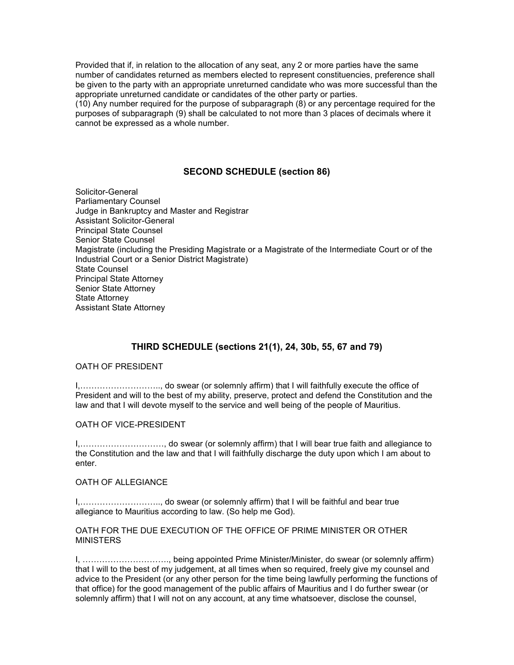Provided that if, in relation to the allocation of any seat, any 2 or more parties have the same number of candidates returned as members elected to represent constituencies, preference shall be given to the party with an appropriate unreturned candidate who was more successful than the appropriate unreturned candidate or candidates of the other party or parties.

(10) Any number required for the purpose of subparagraph (8) or any percentage required for the purposes of subparagraph (9) shall be calculated to not more than 3 places of decimals where it cannot be expressed as a whole number.

## **SECOND SCHEDULE (section 86)**

Solicitor-General Parliamentary Counsel Judge in Bankruptcy and Master and Registrar Assistant Solicitor-General Principal State Counsel Senior State Counsel Magistrate (including the Presiding Magistrate or a Magistrate of the Intermediate Court or of the Industrial Court or a Senior District Magistrate) State Counsel Principal State Attorney Senior State Attorney State Attorney Assistant State Attorney

## **THIRD SCHEDULE (sections 21(1), 24, 30b, 55, 67 and 79)**

### OATH OF PRESIDENT

I,……………………….., do swear (or solemnly affirm) that I will faithfully execute the office of President and will to the best of my ability, preserve, protect and defend the Constitution and the law and that I will devote myself to the service and well being of the people of Mauritius.

#### OATH OF VICE-PRESIDENT

I,…………………………, do swear (or solemnly affirm) that I will bear true faith and allegiance to the Constitution and the law and that I will faithfully discharge the duty upon which I am about to enter.

OATH OF ALLEGIANCE

I,……………………….., do swear (or solemnly affirm) that I will be faithful and bear true allegiance to Mauritius according to law. (So help me God).

OATH FOR THE DUE EXECUTION OF THE OFFICE OF PRIME MINISTER OR OTHER MINISTERS

I, …………………………., being appointed Prime Minister/Minister, do swear (or solemnly affirm) that I will to the best of my judgement, at all times when so required, freely give my counsel and advice to the President (or any other person for the time being lawfully performing the functions of that office) for the good management of the public affairs of Mauritius and I do further swear (or solemnly affirm) that I will not on any account, at any time whatsoever, disclose the counsel,